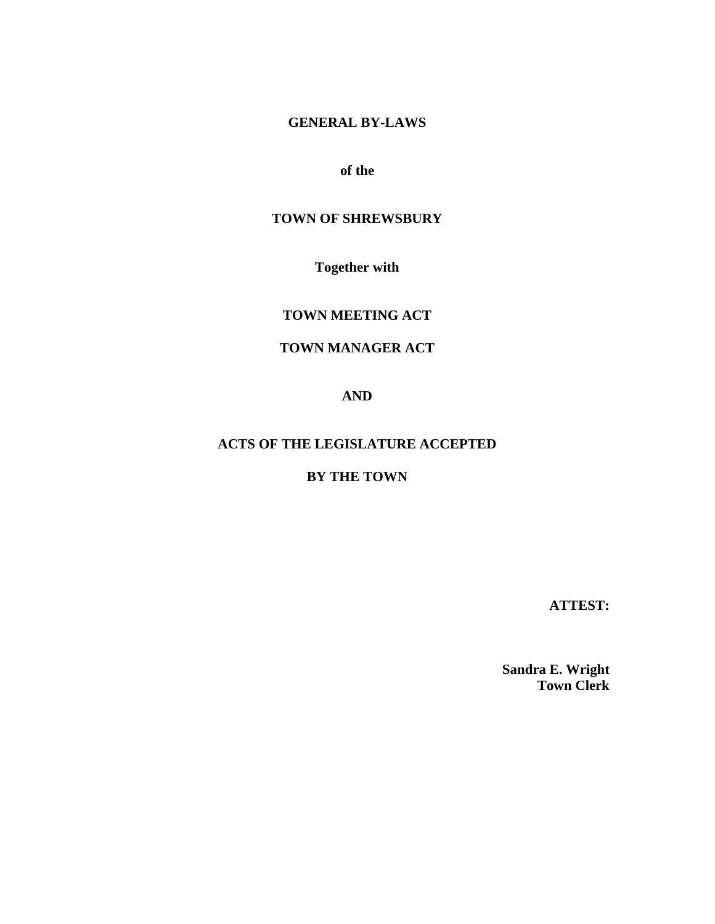# **GENERAL BY-LAWS**

# **of the**

# **TOWN OF SHREWSBURY**

**Together with**

**TOWN MEETING ACT**

# **TOWN MANAGER ACT**

**AND**

# **ACTS OF THE LEGISLATURE ACCEPTED**

# **BY THE TOWN**

**ATTEST:**

**Sandra E. Wright Town Clerk**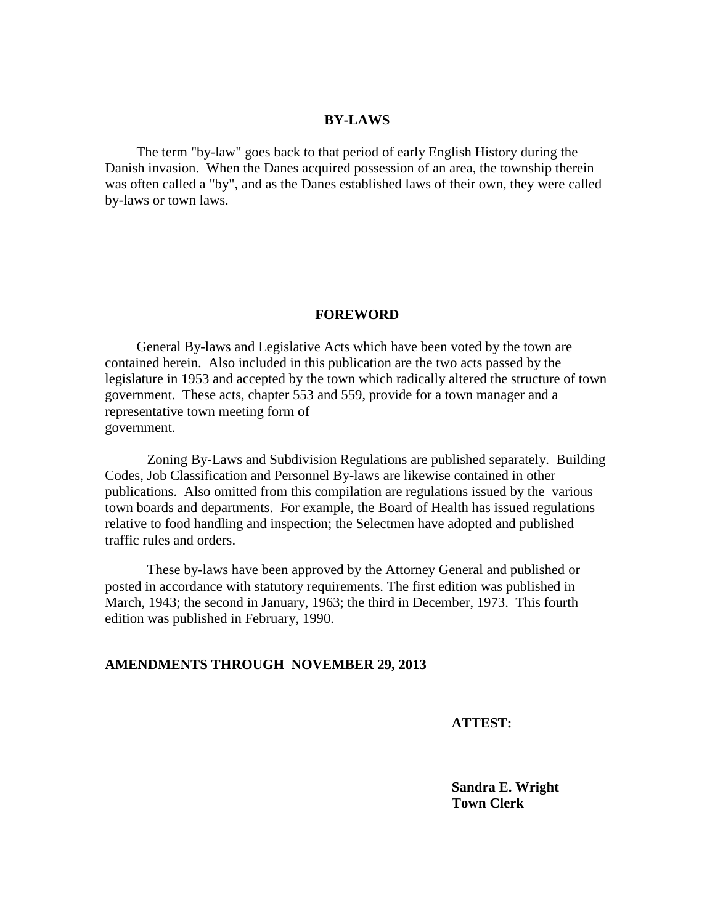#### **BY-LAWS**

 The term "by-law" goes back to that period of early English History during the Danish invasion. When the Danes acquired possession of an area, the township therein was often called a "by", and as the Danes established laws of their own, they were called by-laws or town laws.

#### **FOREWORD**

 General By-laws and Legislative Acts which have been voted by the town are contained herein. Also included in this publication are the two acts passed by the legislature in 1953 and accepted by the town which radically altered the structure of town government. These acts, chapter 553 and 559, provide for a town manager and a representative town meeting form of government.

Zoning By-Laws and Subdivision Regulations are published separately. Building Codes, Job Classification and Personnel By-laws are likewise contained in other publications. Also omitted from this compilation are regulations issued by the various town boards and departments. For example, the Board of Health has issued regulations relative to food handling and inspection; the Selectmen have adopted and published traffic rules and orders.

These by-laws have been approved by the Attorney General and published or posted in accordance with statutory requirements. The first edition was published in March, 1943; the second in January, 1963; the third in December, 1973. This fourth edition was published in February, 1990.

#### **AMENDMENTS THROUGH NOVEMBER 29, 2013**

 **ATTEST:**

**Sandra E. Wright Town Clerk**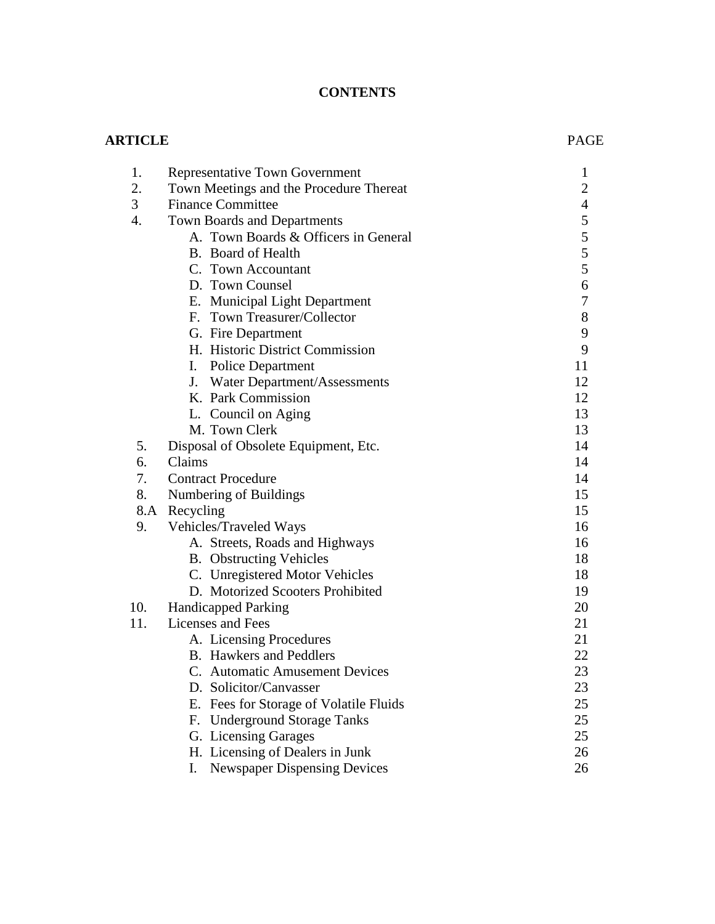# **CONTENTS**

# **ARTICLE** PAGE

| 1.               | <b>Representative Town Government</b>     | $\mathbf{1}$     |
|------------------|-------------------------------------------|------------------|
| 2.               | Town Meetings and the Procedure Thereat   | $\overline{c}$   |
| 3                | <b>Finance Committee</b>                  | $\overline{4}$   |
| $\overline{4}$ . | Town Boards and Departments               | 5                |
|                  | A. Town Boards & Officers in General      | 5                |
|                  | B. Board of Health                        | 5                |
|                  | C. Town Accountant                        | 5                |
|                  | D. Town Counsel                           | 6                |
|                  | E. Municipal Light Department             | $\boldsymbol{7}$ |
|                  | F. Town Treasurer/Collector               | 8                |
|                  | G. Fire Department                        | 9                |
|                  | H. Historic District Commission           | 9                |
|                  | <b>Police Department</b><br>I.            | 11               |
|                  | J.<br>Water Department/Assessments        | 12               |
|                  | K. Park Commission                        | 12               |
|                  | L. Council on Aging                       | 13               |
|                  | M. Town Clerk                             | 13               |
| 5.               | Disposal of Obsolete Equipment, Etc.      | 14               |
| 6.               | Claims                                    | 14               |
| 7.               | <b>Contract Procedure</b>                 | 14               |
| 8.               | Numbering of Buildings                    | 15               |
| 8.A              | Recycling                                 | 15               |
| 9.               | Vehicles/Traveled Ways                    | 16               |
|                  | A. Streets, Roads and Highways            | 16               |
|                  | <b>B.</b> Obstructing Vehicles            | 18               |
|                  | C. Unregistered Motor Vehicles            | 18               |
|                  | D. Motorized Scooters Prohibited          | 19               |
| 10.              | <b>Handicapped Parking</b>                | 20               |
| 11.              | Licenses and Fees                         | 21               |
|                  | A. Licensing Procedures                   | 21               |
|                  | <b>B.</b> Hawkers and Peddlers            | 22               |
|                  | C. Automatic Amusement Devices            | 23               |
|                  | D. Solicitor/Canvasser                    | 23               |
|                  | E. Fees for Storage of Volatile Fluids    | 25               |
|                  | F. Underground Storage Tanks              | 25               |
|                  | G. Licensing Garages                      | 25               |
|                  | H. Licensing of Dealers in Junk           | 26               |
|                  | I.<br><b>Newspaper Dispensing Devices</b> | 26               |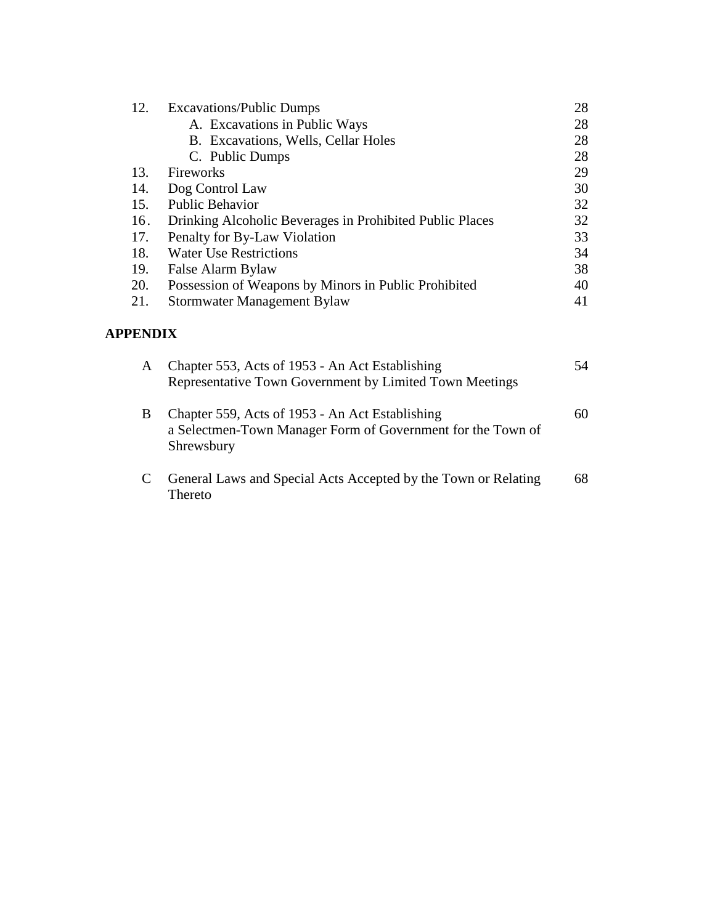| 12. | <b>Excavations/Public Dumps</b>                          | 28 |
|-----|----------------------------------------------------------|----|
|     | A. Excavations in Public Ways                            | 28 |
|     | B. Excavations, Wells, Cellar Holes                      | 28 |
|     | C. Public Dumps                                          | 28 |
| 13. | Fireworks                                                | 29 |
| 14. | Dog Control Law                                          | 30 |
| 15. | <b>Public Behavior</b>                                   | 32 |
| 16. | Drinking Alcoholic Beverages in Prohibited Public Places | 32 |
| 17. | Penalty for By-Law Violation                             | 33 |
| 18. | <b>Water Use Restrictions</b>                            | 34 |
| 19. | False Alarm Bylaw                                        | 38 |
| 20. | Possession of Weapons by Minors in Public Prohibited     | 40 |
| 21. | Stormwater Management Bylaw                              | 41 |

# **APPENDIX**

| A | Chapter 553, Acts of 1953 - An Act Establishing<br>Representative Town Government by Limited Town Meetings                   | 54 |
|---|------------------------------------------------------------------------------------------------------------------------------|----|
| B | Chapter 559, Acts of 1953 - An Act Establishing<br>a Selectmen-Town Manager Form of Government for the Town of<br>Shrewsbury | 60 |
| C | General Laws and Special Acts Accepted by the Town or Relating<br>Thereto                                                    | 68 |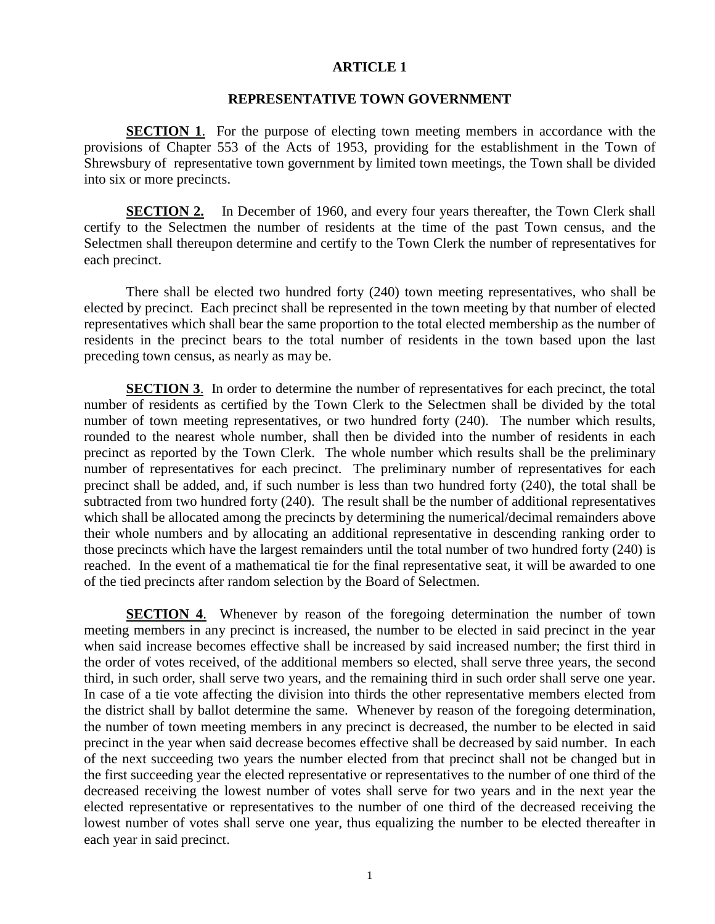#### **REPRESENTATIVE TOWN GOVERNMENT**

**SECTION 1.** For the purpose of electing town meeting members in accordance with the provisions of Chapter 553 of the Acts of 1953, providing for the establishment in the Town of Shrewsbury of representative town government by limited town meetings, the Town shall be divided into six or more precincts.

**SECTION 2.** In December of 1960, and every four years thereafter, the Town Clerk shall certify to the Selectmen the number of residents at the time of the past Town census, and the Selectmen shall thereupon determine and certify to the Town Clerk the number of representatives for each precinct.

There shall be elected two hundred forty (240) town meeting representatives, who shall be elected by precinct. Each precinct shall be represented in the town meeting by that number of elected representatives which shall bear the same proportion to the total elected membership as the number of residents in the precinct bears to the total number of residents in the town based upon the last preceding town census, as nearly as may be.

**SECTION 3.** In order to determine the number of representatives for each precinct, the total number of residents as certified by the Town Clerk to the Selectmen shall be divided by the total number of town meeting representatives, or two hundred forty (240). The number which results, rounded to the nearest whole number, shall then be divided into the number of residents in each precinct as reported by the Town Clerk. The whole number which results shall be the preliminary number of representatives for each precinct. The preliminary number of representatives for each precinct shall be added, and, if such number is less than two hundred forty (240), the total shall be subtracted from two hundred forty (240). The result shall be the number of additional representatives which shall be allocated among the precincts by determining the numerical/decimal remainders above their whole numbers and by allocating an additional representative in descending ranking order to those precincts which have the largest remainders until the total number of two hundred forty (240) is reached. In the event of a mathematical tie for the final representative seat, it will be awarded to one of the tied precincts after random selection by the Board of Selectmen.

**SECTION 4.** Whenever by reason of the foregoing determination the number of town meeting members in any precinct is increased, the number to be elected in said precinct in the year when said increase becomes effective shall be increased by said increased number; the first third in the order of votes received, of the additional members so elected, shall serve three years, the second third, in such order, shall serve two years, and the remaining third in such order shall serve one year. In case of a tie vote affecting the division into thirds the other representative members elected from the district shall by ballot determine the same. Whenever by reason of the foregoing determination, the number of town meeting members in any precinct is decreased, the number to be elected in said precinct in the year when said decrease becomes effective shall be decreased by said number. In each of the next succeeding two years the number elected from that precinct shall not be changed but in the first succeeding year the elected representative or representatives to the number of one third of the decreased receiving the lowest number of votes shall serve for two years and in the next year the elected representative or representatives to the number of one third of the decreased receiving the lowest number of votes shall serve one year, thus equalizing the number to be elected thereafter in each year in said precinct.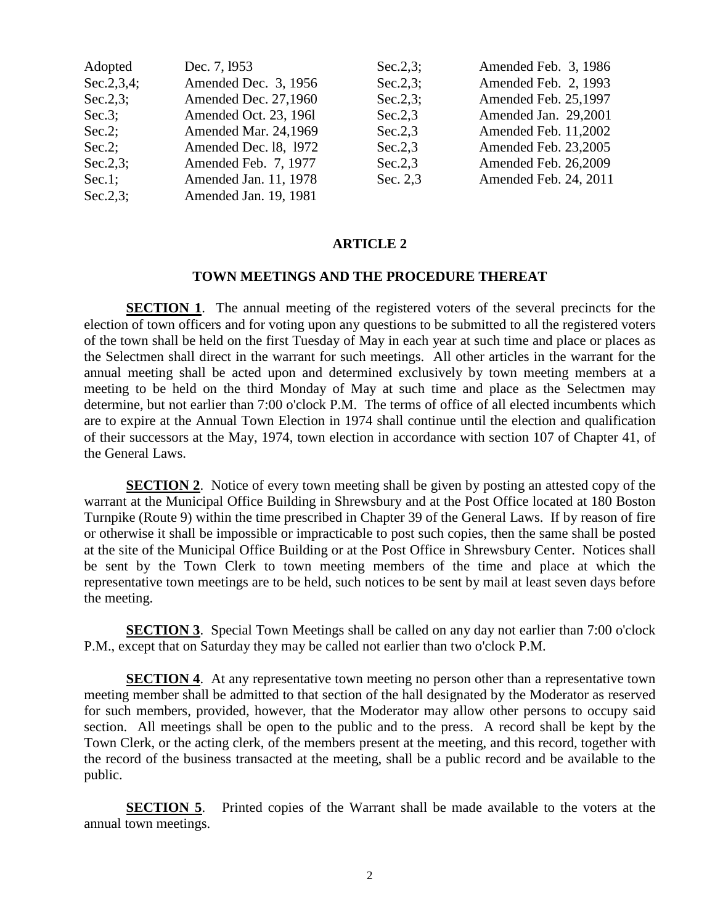| Adopted     | Dec. 7, 1953          | $Sec.2.3$ ; | Amended Feb. 3, 1986  |
|-------------|-----------------------|-------------|-----------------------|
| Sec.2,3,4;  | Amended Dec. 3, 1956  | $Sec.2.3$ ; | Amended Feb. 2, 1993  |
| $Sec.2.3$ ; | Amended Dec. 27,1960  | $Sec.2.3$ ; | Amended Feb. 25,1997  |
| $Sec.3$ ;   | Amended Oct. 23, 1961 | Sec.2,3     | Amended Jan. 29,2001  |
| $Sec.2$ ;   | Amended Mar. 24,1969  | Sec.2,3     | Amended Feb. 11,2002  |
| $Sec.2$ ;   | Amended Dec. 18, 1972 | Sec.2,3     | Amended Feb. 23,2005  |
| $Sec.2.3$ ; | Amended Feb. 7, 1977  | Sec.2,3     | Amended Feb. 26,2009  |
| $Sec.1$ ;   | Amended Jan. 11, 1978 | Sec. 2,3    | Amended Feb. 24, 2011 |
| $Sec.2.3$ ; | Amended Jan. 19, 1981 |             |                       |

## **TOWN MEETINGS AND THE PROCEDURE THEREAT**

**SECTION 1.** The annual meeting of the registered voters of the several precincts for the election of town officers and for voting upon any questions to be submitted to all the registered voters of the town shall be held on the first Tuesday of May in each year at such time and place or places as the Selectmen shall direct in the warrant for such meetings. All other articles in the warrant for the annual meeting shall be acted upon and determined exclusively by town meeting members at a meeting to be held on the third Monday of May at such time and place as the Selectmen may determine, but not earlier than 7:00 o'clock P.M. The terms of office of all elected incumbents which are to expire at the Annual Town Election in 1974 shall continue until the election and qualification of their successors at the May, 1974, town election in accordance with section 107 of Chapter 41, of the General Laws.

**SECTION 2.** Notice of every town meeting shall be given by posting an attested copy of the warrant at the Municipal Office Building in Shrewsbury and at the Post Office located at 180 Boston Turnpike (Route 9) within the time prescribed in Chapter 39 of the General Laws. If by reason of fire or otherwise it shall be impossible or impracticable to post such copies, then the same shall be posted at the site of the Municipal Office Building or at the Post Office in Shrewsbury Center. Notices shall be sent by the Town Clerk to town meeting members of the time and place at which the representative town meetings are to be held, such notices to be sent by mail at least seven days before the meeting.

**SECTION 3.** Special Town Meetings shall be called on any day not earlier than 7:00 o'clock P.M., except that on Saturday they may be called not earlier than two o'clock P.M.

**SECTION 4.** At any representative town meeting no person other than a representative town meeting member shall be admitted to that section of the hall designated by the Moderator as reserved for such members, provided, however, that the Moderator may allow other persons to occupy said section. All meetings shall be open to the public and to the press. A record shall be kept by the Town Clerk, or the acting clerk, of the members present at the meeting, and this record, together with the record of the business transacted at the meeting, shall be a public record and be available to the public.

**SECTION 5**. Printed copies of the Warrant shall be made available to the voters at the annual town meetings.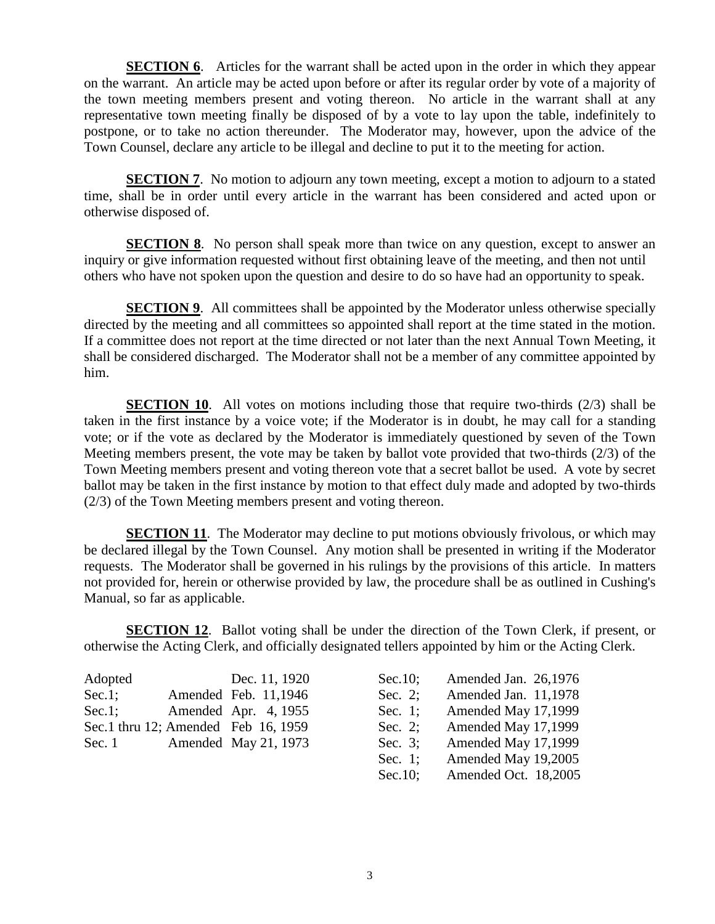**SECTION 6.** Articles for the warrant shall be acted upon in the order in which they appear on the warrant. An article may be acted upon before or after its regular order by vote of a majority of the town meeting members present and voting thereon. No article in the warrant shall at any representative town meeting finally be disposed of by a vote to lay upon the table, indefinitely to postpone, or to take no action thereunder. The Moderator may, however, upon the advice of the Town Counsel, declare any article to be illegal and decline to put it to the meeting for action.

**SECTION 7.** No motion to adjourn any town meeting, except a motion to adjourn to a stated time, shall be in order until every article in the warrant has been considered and acted upon or otherwise disposed of.

**SECTION 8**. No person shall speak more than twice on any question, except to answer an inquiry or give information requested without first obtaining leave of the meeting, and then not until others who have not spoken upon the question and desire to do so have had an opportunity to speak.

**SECTION 9.** All committees shall be appointed by the Moderator unless otherwise specially directed by the meeting and all committees so appointed shall report at the time stated in the motion. If a committee does not report at the time directed or not later than the next Annual Town Meeting, it shall be considered discharged. The Moderator shall not be a member of any committee appointed by him.

**SECTION 10.** All votes on motions including those that require two-thirds (2/3) shall be taken in the first instance by a voice vote; if the Moderator is in doubt, he may call for a standing vote; or if the vote as declared by the Moderator is immediately questioned by seven of the Town Meeting members present, the vote may be taken by ballot vote provided that two-thirds (2/3) of the Town Meeting members present and voting thereon vote that a secret ballot be used. A vote by secret ballot may be taken in the first instance by motion to that effect duly made and adopted by two-thirds (2/3) of the Town Meeting members present and voting thereon.

**SECTION 11.** The Moderator may decline to put motions obviously frivolous, or which may be declared illegal by the Town Counsel. Any motion shall be presented in writing if the Moderator requests. The Moderator shall be governed in his rulings by the provisions of this article. In matters not provided for, herein or otherwise provided by law, the procedure shall be as outlined in Cushing's Manual, so far as applicable.

**SECTION 12.** Ballot voting shall be under the direction of the Town Clerk, if present, or otherwise the Acting Clerk, and officially designated tellers appointed by him or the Acting Clerk.

| Adopted   | Dec. 11, 1920                       | Sec. $10$ ; | Amended Jan. 26,1976 |
|-----------|-------------------------------------|-------------|----------------------|
| $Sec.1$ ; | Amended Feb. 11,1946                | Sec. 2:     | Amended Jan. 11,1978 |
| $Sec.1$ ; | Amended Apr. 4, 1955                | Sec. 1;     | Amended May 17,1999  |
|           | Sec.1 thru 12; Amended Feb 16, 1959 | Sec. 2;     | Amended May 17,1999  |
| Sec. $1$  | Amended May 21, 1973                | Sec. $3$ :  | Amended May 17,1999  |

| Sec.10; | Amended Jan. 26,1976 |
|---------|----------------------|
| Sec. 2; | Amended Jan. 11,1978 |
| Sec. 1; | Amended May 17,1999  |
| Sec. 2; | Amended May 17,1999  |
| Sec. 3; | Amended May 17,1999  |
| Sec. 1; | Amended May 19,2005  |
| Sec.10; | Amended Oct. 18,2005 |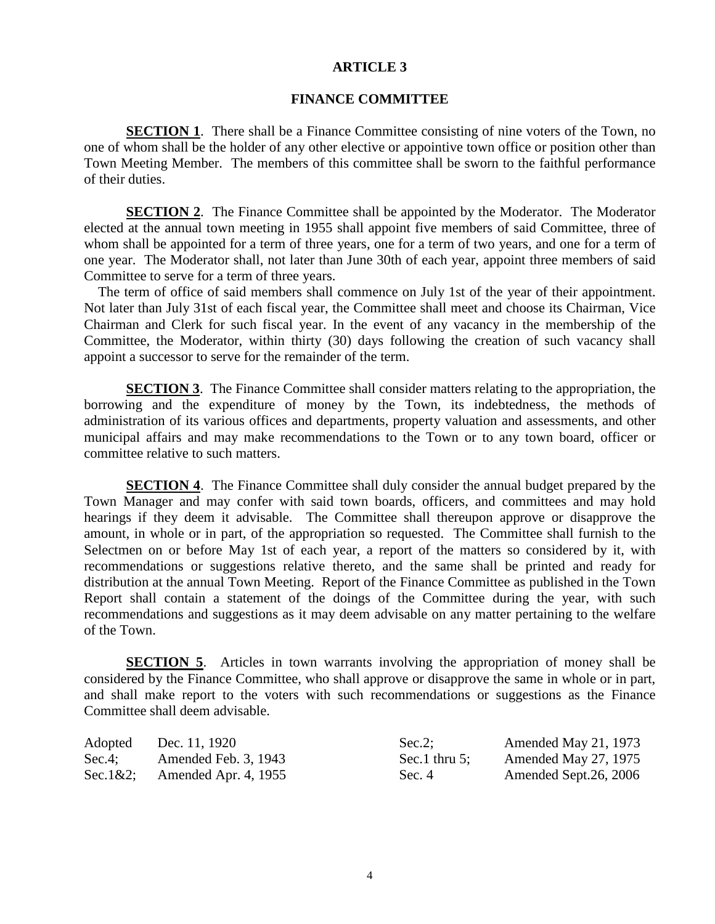#### **FINANCE COMMITTEE**

**SECTION 1.** There shall be a Finance Committee consisting of nine voters of the Town, no one of whom shall be the holder of any other elective or appointive town office or position other than Town Meeting Member. The members of this committee shall be sworn to the faithful performance of their duties.

**SECTION 2.** The Finance Committee shall be appointed by the Moderator. The Moderator elected at the annual town meeting in 1955 shall appoint five members of said Committee, three of whom shall be appointed for a term of three years, one for a term of two years, and one for a term of one year. The Moderator shall, not later than June 30th of each year, appoint three members of said Committee to serve for a term of three years.

The term of office of said members shall commence on July 1st of the year of their appointment. Not later than July 31st of each fiscal year, the Committee shall meet and choose its Chairman, Vice Chairman and Clerk for such fiscal year. In the event of any vacancy in the membership of the Committee, the Moderator, within thirty (30) days following the creation of such vacancy shall appoint a successor to serve for the remainder of the term.

**SECTION 3**. The Finance Committee shall consider matters relating to the appropriation, the borrowing and the expenditure of money by the Town, its indebtedness, the methods of administration of its various offices and departments, property valuation and assessments, and other municipal affairs and may make recommendations to the Town or to any town board, officer or committee relative to such matters.

**SECTION 4.** The Finance Committee shall duly consider the annual budget prepared by the Town Manager and may confer with said town boards, officers, and committees and may hold hearings if they deem it advisable. The Committee shall thereupon approve or disapprove the amount, in whole or in part, of the appropriation so requested. The Committee shall furnish to the Selectmen on or before May 1st of each year, a report of the matters so considered by it, with recommendations or suggestions relative thereto, and the same shall be printed and ready for distribution at the annual Town Meeting. Report of the Finance Committee as published in the Town Report shall contain a statement of the doings of the Committee during the year, with such recommendations and suggestions as it may deem advisable on any matter pertaining to the welfare of the Town.

**SECTION 5.** Articles in town warrants involving the appropriation of money shall be considered by the Finance Committee, who shall approve or disapprove the same in whole or in part, and shall make report to the voters with such recommendations or suggestions as the Finance Committee shall deem advisable.

| Adopted     | Dec. 11, 1920        | $Sec.2$ :        | Amended May 21, 1973  |
|-------------|----------------------|------------------|-----------------------|
| $Sec.4$ ;   | Amended Feb. 3, 1943 | Sec.1 thru $5$ : | Amended May 27, 1975  |
| $Sec.1&2$ : | Amended Apr. 4, 1955 | Sec. 4           | Amended Sept.26, 2006 |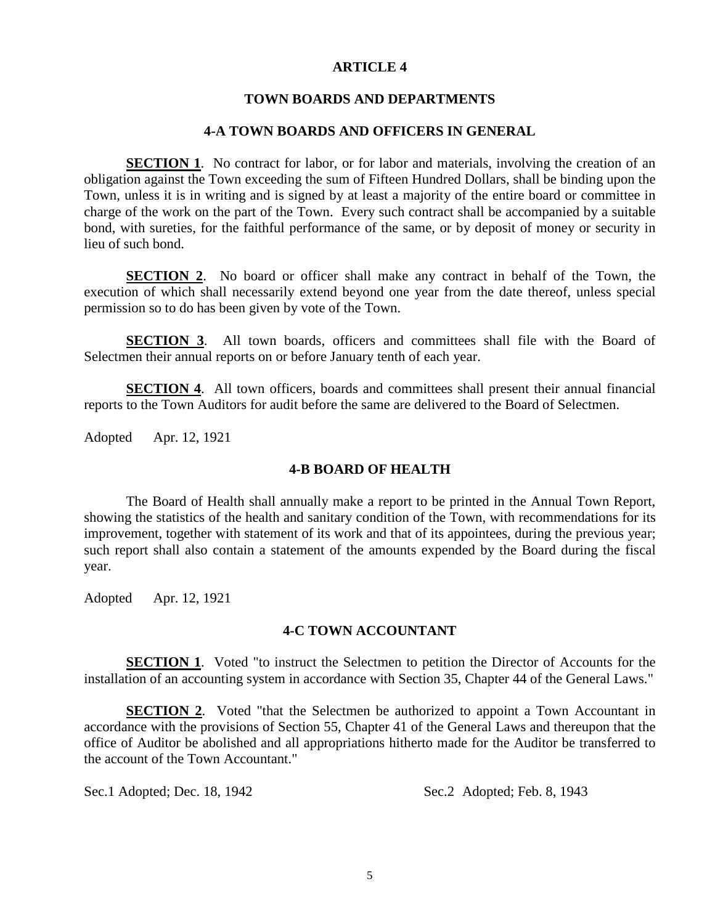### **TOWN BOARDS AND DEPARTMENTS**

### **4-A TOWN BOARDS AND OFFICERS IN GENERAL**

**SECTION 1.** No contract for labor, or for labor and materials, involving the creation of an obligation against the Town exceeding the sum of Fifteen Hundred Dollars, shall be binding upon the Town, unless it is in writing and is signed by at least a majority of the entire board or committee in charge of the work on the part of the Town. Every such contract shall be accompanied by a suitable bond, with sureties, for the faithful performance of the same, or by deposit of money or security in lieu of such bond.

**SECTION 2.** No board or officer shall make any contract in behalf of the Town, the execution of which shall necessarily extend beyond one year from the date thereof, unless special permission so to do has been given by vote of the Town.

**SECTION 3**. All town boards, officers and committees shall file with the Board of Selectmen their annual reports on or before January tenth of each year.

**SECTION 4.** All town officers, boards and committees shall present their annual financial reports to the Town Auditors for audit before the same are delivered to the Board of Selectmen.

Adopted Apr. 12, 1921

### **4-B BOARD OF HEALTH**

The Board of Health shall annually make a report to be printed in the Annual Town Report, showing the statistics of the health and sanitary condition of the Town, with recommendations for its improvement, together with statement of its work and that of its appointees, during the previous year; such report shall also contain a statement of the amounts expended by the Board during the fiscal year.

Adopted Apr. 12, 1921

# **4-C TOWN ACCOUNTANT**

**SECTION 1.** Voted "to instruct the Selectmen to petition the Director of Accounts for the installation of an accounting system in accordance with Section 35, Chapter 44 of the General Laws."

**SECTION 2.** Voted "that the Selectmen be authorized to appoint a Town Accountant in accordance with the provisions of Section 55, Chapter 41 of the General Laws and thereupon that the office of Auditor be abolished and all appropriations hitherto made for the Auditor be transferred to the account of the Town Accountant."

Sec.1 Adopted; Dec. 18, 1942 Sec.2 Adopted; Feb. 8, 1943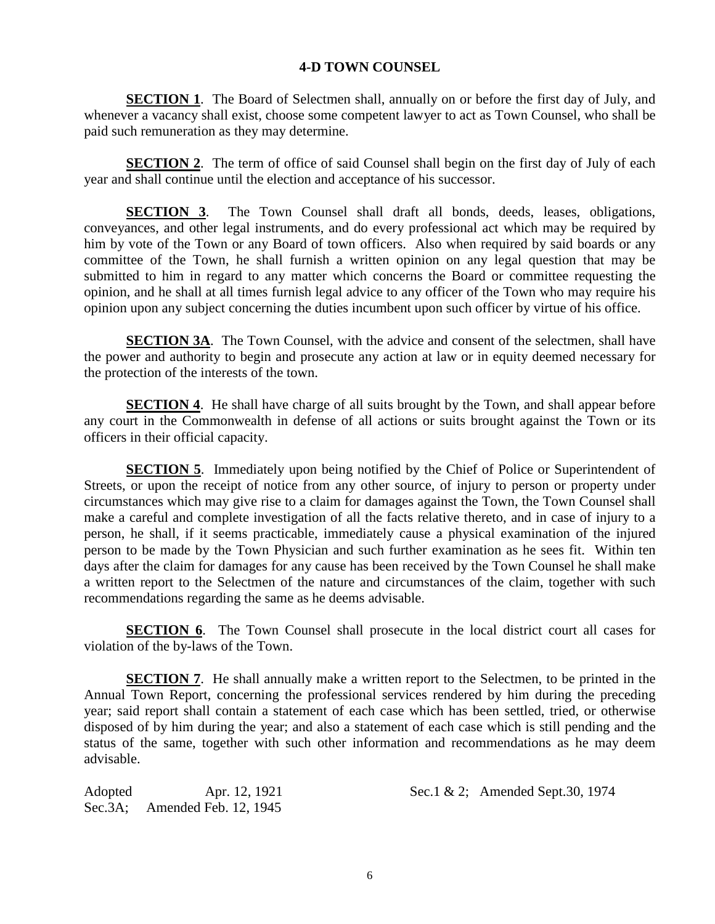# **4-D TOWN COUNSEL**

**SECTION 1**. The Board of Selectmen shall, annually on or before the first day of July, and whenever a vacancy shall exist, choose some competent lawyer to act as Town Counsel, who shall be paid such remuneration as they may determine.

**SECTION 2.** The term of office of said Counsel shall begin on the first day of July of each year and shall continue until the election and acceptance of his successor.

**SECTION 3**. The Town Counsel shall draft all bonds, deeds, leases, obligations, conveyances, and other legal instruments, and do every professional act which may be required by him by vote of the Town or any Board of town officers. Also when required by said boards or any committee of the Town, he shall furnish a written opinion on any legal question that may be submitted to him in regard to any matter which concerns the Board or committee requesting the opinion, and he shall at all times furnish legal advice to any officer of the Town who may require his opinion upon any subject concerning the duties incumbent upon such officer by virtue of his office.

**SECTION 3A**. The Town Counsel, with the advice and consent of the selectmen, shall have the power and authority to begin and prosecute any action at law or in equity deemed necessary for the protection of the interests of the town.

**SECTION 4.** He shall have charge of all suits brought by the Town, and shall appear before any court in the Commonwealth in defense of all actions or suits brought against the Town or its officers in their official capacity.

**SECTION 5.** Immediately upon being notified by the Chief of Police or Superintendent of Streets, or upon the receipt of notice from any other source, of injury to person or property under circumstances which may give rise to a claim for damages against the Town, the Town Counsel shall make a careful and complete investigation of all the facts relative thereto, and in case of injury to a person, he shall, if it seems practicable, immediately cause a physical examination of the injured person to be made by the Town Physician and such further examination as he sees fit. Within ten days after the claim for damages for any cause has been received by the Town Counsel he shall make a written report to the Selectmen of the nature and circumstances of the claim, together with such recommendations regarding the same as he deems advisable.

**SECTION 6.** The Town Counsel shall prosecute in the local district court all cases for violation of the by-laws of the Town.

**SECTION 7.** He shall annually make a written report to the Selectmen, to be printed in the Annual Town Report, concerning the professional services rendered by him during the preceding year; said report shall contain a statement of each case which has been settled, tried, or otherwise disposed of by him during the year; and also a statement of each case which is still pending and the status of the same, together with such other information and recommendations as he may deem advisable.

Sec.3A; Amended Feb. 12, 1945

Adopted Apr. 12, 1921 Sec.1 & 2; Amended Sept.30, 1974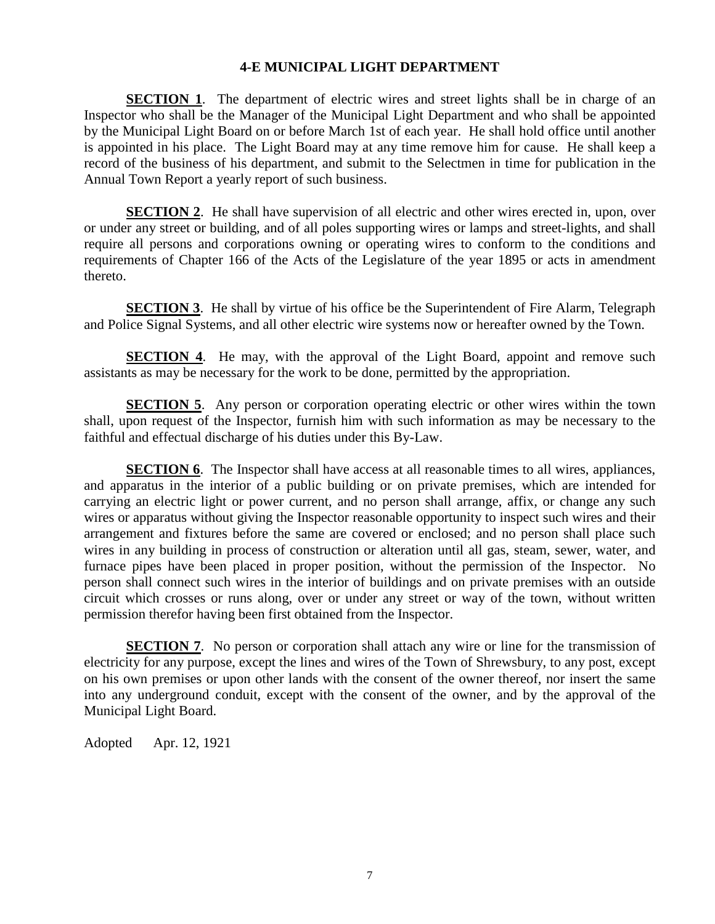# **4-E MUNICIPAL LIGHT DEPARTMENT**

**SECTION 1.** The department of electric wires and street lights shall be in charge of an Inspector who shall be the Manager of the Municipal Light Department and who shall be appointed by the Municipal Light Board on or before March 1st of each year. He shall hold office until another is appointed in his place. The Light Board may at any time remove him for cause. He shall keep a record of the business of his department, and submit to the Selectmen in time for publication in the Annual Town Report a yearly report of such business.

**SECTION 2.** He shall have supervision of all electric and other wires erected in, upon, over or under any street or building, and of all poles supporting wires or lamps and street-lights, and shall require all persons and corporations owning or operating wires to conform to the conditions and requirements of Chapter 166 of the Acts of the Legislature of the year 1895 or acts in amendment thereto.

**SECTION 3.** He shall by virtue of his office be the Superintendent of Fire Alarm, Telegraph and Police Signal Systems, and all other electric wire systems now or hereafter owned by the Town.

**SECTION 4.** He may, with the approval of the Light Board, appoint and remove such assistants as may be necessary for the work to be done, permitted by the appropriation.

**SECTION 5.** Any person or corporation operating electric or other wires within the town shall, upon request of the Inspector, furnish him with such information as may be necessary to the faithful and effectual discharge of his duties under this By-Law.

**SECTION 6**. The Inspector shall have access at all reasonable times to all wires, appliances, and apparatus in the interior of a public building or on private premises, which are intended for carrying an electric light or power current, and no person shall arrange, affix, or change any such wires or apparatus without giving the Inspector reasonable opportunity to inspect such wires and their arrangement and fixtures before the same are covered or enclosed; and no person shall place such wires in any building in process of construction or alteration until all gas, steam, sewer, water, and furnace pipes have been placed in proper position, without the permission of the Inspector. No person shall connect such wires in the interior of buildings and on private premises with an outside circuit which crosses or runs along, over or under any street or way of the town, without written permission therefor having been first obtained from the Inspector.

**SECTION 7.** No person or corporation shall attach any wire or line for the transmission of electricity for any purpose, except the lines and wires of the Town of Shrewsbury, to any post, except on his own premises or upon other lands with the consent of the owner thereof, nor insert the same into any underground conduit, except with the consent of the owner, and by the approval of the Municipal Light Board.

Adopted Apr. 12, 1921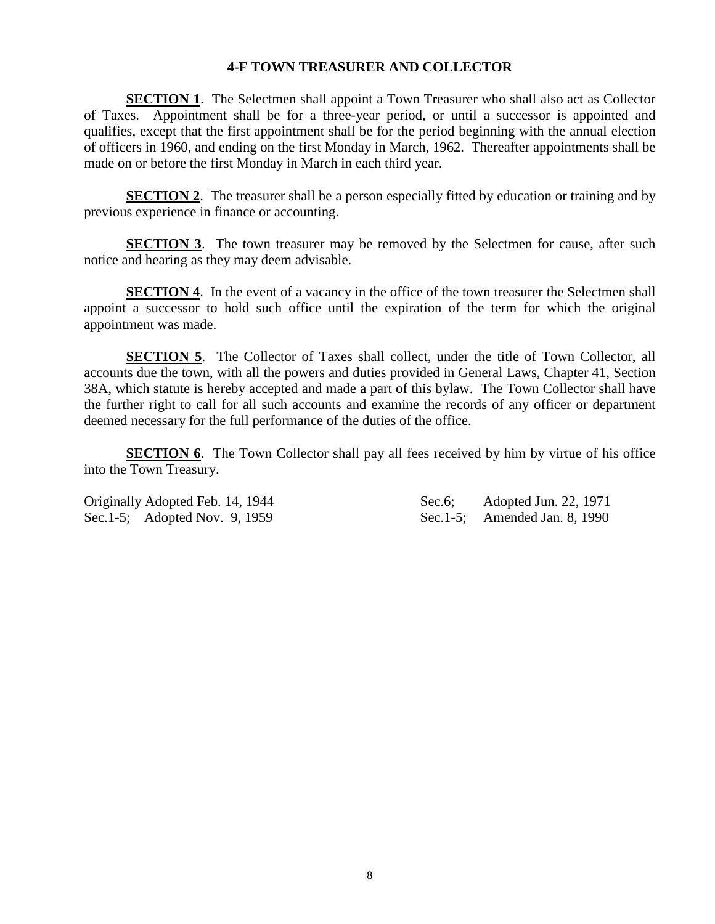# **4-F TOWN TREASURER AND COLLECTOR**

**SECTION 1.** The Selectmen shall appoint a Town Treasurer who shall also act as Collector of Taxes. Appointment shall be for a three-year period, or until a successor is appointed and qualifies, except that the first appointment shall be for the period beginning with the annual election of officers in 1960, and ending on the first Monday in March, 1962. Thereafter appointments shall be made on or before the first Monday in March in each third year.

**SECTION 2.** The treasurer shall be a person especially fitted by education or training and by previous experience in finance or accounting.

**SECTION 3.** The town treasurer may be removed by the Selectmen for cause, after such notice and hearing as they may deem advisable.

**SECTION 4.** In the event of a vacancy in the office of the town treasurer the Selectmen shall appoint a successor to hold such office until the expiration of the term for which the original appointment was made.

**SECTION 5.** The Collector of Taxes shall collect, under the title of Town Collector, all accounts due the town, with all the powers and duties provided in General Laws, Chapter 41, Section 38A, which statute is hereby accepted and made a part of this bylaw. The Town Collector shall have the further right to call for all such accounts and examine the records of any officer or department deemed necessary for the full performance of the duties of the office.

**SECTION 6.** The Town Collector shall pay all fees received by him by virtue of his office into the Town Treasury.

Sec.1-5; Adopted Nov. 9, 1959 Sec.1-5; Amended Jan. 8, 1990

Originally Adopted Feb. 14, 1944 Sec.6; Adopted Jun. 22, 1971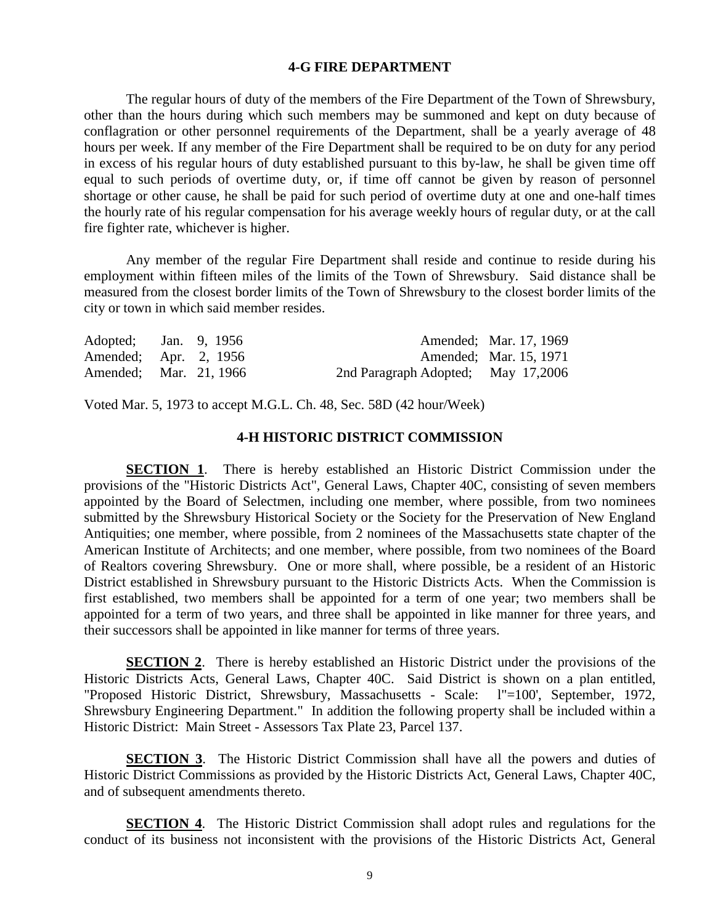#### **4-G FIRE DEPARTMENT**

The regular hours of duty of the members of the Fire Department of the Town of Shrewsbury, other than the hours during which such members may be summoned and kept on duty because of conflagration or other personnel requirements of the Department, shall be a yearly average of 48 hours per week. If any member of the Fire Department shall be required to be on duty for any period in excess of his regular hours of duty established pursuant to this by-law, he shall be given time off equal to such periods of overtime duty, or, if time off cannot be given by reason of personnel shortage or other cause, he shall be paid for such period of overtime duty at one and one-half times the hourly rate of his regular compensation for his average weekly hours of regular duty, or at the call fire fighter rate, whichever is higher.

Any member of the regular Fire Department shall reside and continue to reside during his employment within fifteen miles of the limits of the Town of Shrewsbury. Said distance shall be measured from the closest border limits of the Town of Shrewsbury to the closest border limits of the city or town in which said member resides.

| Adopted; Jan. 9, 1956  |  |                                    | Amended: Mar. 17, 1969 |
|------------------------|--|------------------------------------|------------------------|
| Amended; Apr. 2, 1956  |  |                                    | Amended; Mar. 15, 1971 |
| Amended: Mar. 21, 1966 |  | 2nd Paragraph Adopted; May 17,2006 |                        |

Voted Mar. 5, 1973 to accept M.G.L. Ch. 48, Sec. 58D (42 hour/Week)

# **4-H HISTORIC DISTRICT COMMISSION**

**SECTION 1**. There is hereby established an Historic District Commission under the provisions of the "Historic Districts Act", General Laws, Chapter 40C, consisting of seven members appointed by the Board of Selectmen, including one member, where possible, from two nominees submitted by the Shrewsbury Historical Society or the Society for the Preservation of New England Antiquities; one member, where possible, from 2 nominees of the Massachusetts state chapter of the American Institute of Architects; and one member, where possible, from two nominees of the Board of Realtors covering Shrewsbury. One or more shall, where possible, be a resident of an Historic District established in Shrewsbury pursuant to the Historic Districts Acts. When the Commission is first established, two members shall be appointed for a term of one year; two members shall be appointed for a term of two years, and three shall be appointed in like manner for three years, and their successors shall be appointed in like manner for terms of three years.

**SECTION 2**. There is hereby established an Historic District under the provisions of the Historic Districts Acts, General Laws, Chapter 40C. Said District is shown on a plan entitled, "Proposed Historic District, Shrewsbury, Massachusetts - Scale: l"=100', September, 1972, Shrewsbury Engineering Department." In addition the following property shall be included within a Historic District: Main Street - Assessors Tax Plate 23, Parcel 137.

**SECTION 3**. The Historic District Commission shall have all the powers and duties of Historic District Commissions as provided by the Historic Districts Act, General Laws, Chapter 40C, and of subsequent amendments thereto.

**SECTION 4**. The Historic District Commission shall adopt rules and regulations for the conduct of its business not inconsistent with the provisions of the Historic Districts Act, General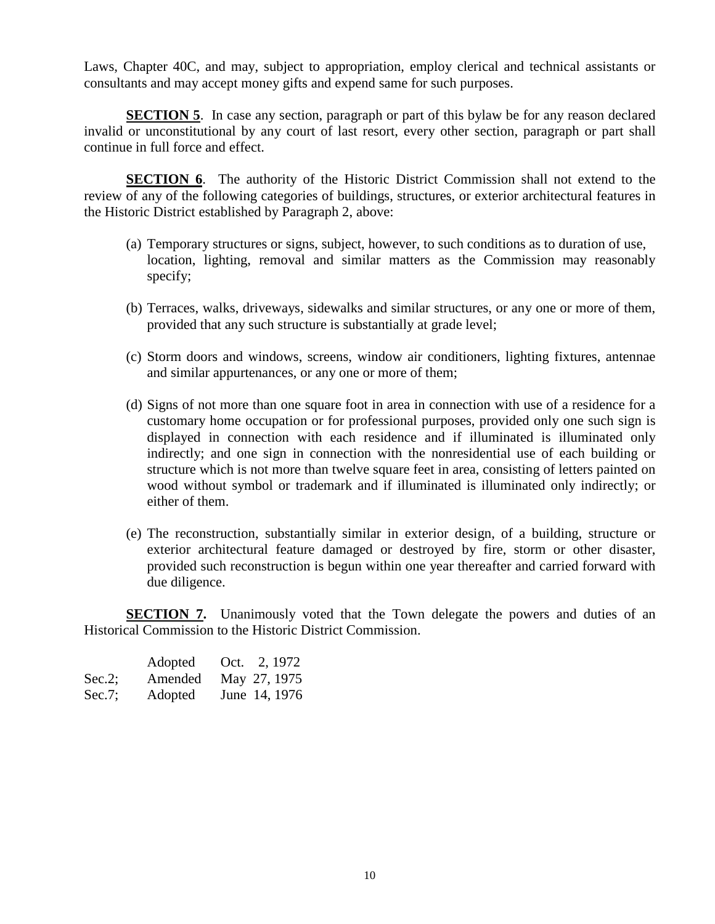Laws, Chapter 40C, and may, subject to appropriation, employ clerical and technical assistants or consultants and may accept money gifts and expend same for such purposes.

**SECTION 5**. In case any section, paragraph or part of this bylaw be for any reason declared invalid or unconstitutional by any court of last resort, every other section, paragraph or part shall continue in full force and effect.

**SECTION 6**. The authority of the Historic District Commission shall not extend to the review of any of the following categories of buildings, structures, or exterior architectural features in the Historic District established by Paragraph 2, above:

- (a) Temporary structures or signs, subject, however, to such conditions as to duration of use, location, lighting, removal and similar matters as the Commission may reasonably specify;
- (b) Terraces, walks, driveways, sidewalks and similar structures, or any one or more of them, provided that any such structure is substantially at grade level;
- (c) Storm doors and windows, screens, window air conditioners, lighting fixtures, antennae and similar appurtenances, or any one or more of them;
- (d) Signs of not more than one square foot in area in connection with use of a residence for a customary home occupation or for professional purposes, provided only one such sign is displayed in connection with each residence and if illuminated is illuminated only indirectly; and one sign in connection with the nonresidential use of each building or structure which is not more than twelve square feet in area, consisting of letters painted on wood without symbol or trademark and if illuminated is illuminated only indirectly; or either of them.
- (e) The reconstruction, substantially similar in exterior design, of a building, structure or exterior architectural feature damaged or destroyed by fire, storm or other disaster, provided such reconstruction is begun within one year thereafter and carried forward with due diligence.

**SECTION 7.** Unanimously voted that the Town delegate the powers and duties of an Historical Commission to the Historic District Commission.

|           | Adopted | Oct. 2, 1972  |
|-----------|---------|---------------|
| $Sec.2$ ; | Amended | May 27, 1975  |
| $Sec.7$ ; | Adopted | June 14, 1976 |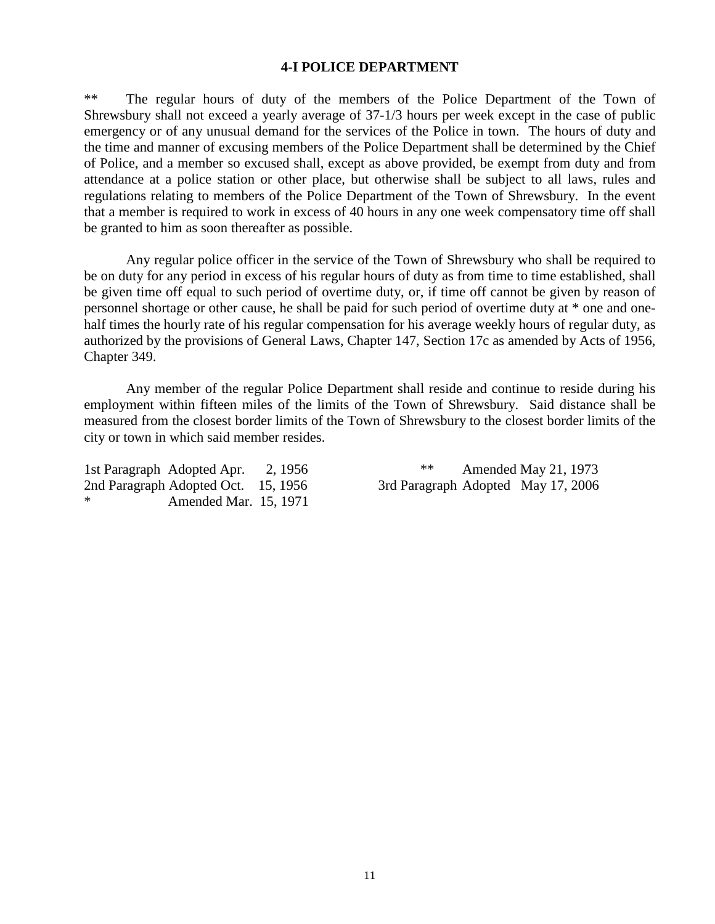#### **4-I POLICE DEPARTMENT**

\*\* The regular hours of duty of the members of the Police Department of the Town of Shrewsbury shall not exceed a yearly average of 37-1/3 hours per week except in the case of public emergency or of any unusual demand for the services of the Police in town. The hours of duty and the time and manner of excusing members of the Police Department shall be determined by the Chief of Police, and a member so excused shall, except as above provided, be exempt from duty and from attendance at a police station or other place, but otherwise shall be subject to all laws, rules and regulations relating to members of the Police Department of the Town of Shrewsbury. In the event that a member is required to work in excess of 40 hours in any one week compensatory time off shall be granted to him as soon thereafter as possible.

Any regular police officer in the service of the Town of Shrewsbury who shall be required to be on duty for any period in excess of his regular hours of duty as from time to time established, shall be given time off equal to such period of overtime duty, or, if time off cannot be given by reason of personnel shortage or other cause, he shall be paid for such period of overtime duty at \* one and onehalf times the hourly rate of his regular compensation for his average weekly hours of regular duty, as authorized by the provisions of General Laws, Chapter 147, Section 17c as amended by Acts of 1956, Chapter 349.

Any member of the regular Police Department shall reside and continue to reside during his employment within fifteen miles of the limits of the Town of Shrewsbury. Said distance shall be measured from the closest border limits of the Town of Shrewsbury to the closest border limits of the city or town in which said member resides.

2nd Paragraph Adopted Oct. 15, 1956 3rd Paragraph Adopted May 17, 2006 Amended Mar. 15, 1971

1st Paragraph Adopted Apr. 2, 1956 \*\* Amended May 21, 1973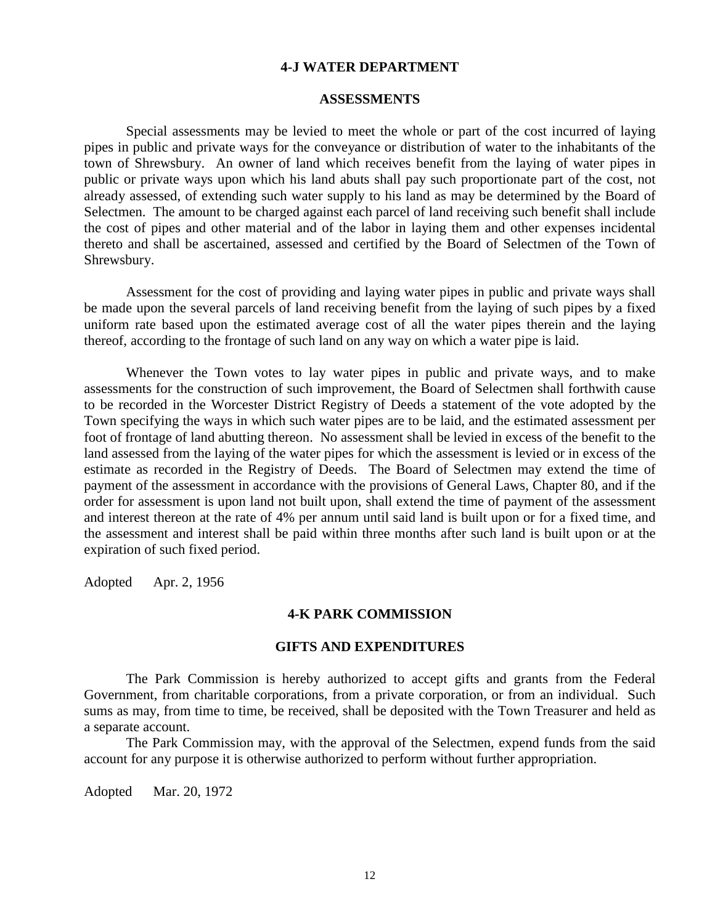#### **4-J WATER DEPARTMENT**

#### **ASSESSMENTS**

Special assessments may be levied to meet the whole or part of the cost incurred of laying pipes in public and private ways for the conveyance or distribution of water to the inhabitants of the town of Shrewsbury. An owner of land which receives benefit from the laying of water pipes in public or private ways upon which his land abuts shall pay such proportionate part of the cost, not already assessed, of extending such water supply to his land as may be determined by the Board of Selectmen. The amount to be charged against each parcel of land receiving such benefit shall include the cost of pipes and other material and of the labor in laying them and other expenses incidental thereto and shall be ascertained, assessed and certified by the Board of Selectmen of the Town of Shrewsbury.

Assessment for the cost of providing and laying water pipes in public and private ways shall be made upon the several parcels of land receiving benefit from the laying of such pipes by a fixed uniform rate based upon the estimated average cost of all the water pipes therein and the laying thereof, according to the frontage of such land on any way on which a water pipe is laid.

Whenever the Town votes to lay water pipes in public and private ways, and to make assessments for the construction of such improvement, the Board of Selectmen shall forthwith cause to be recorded in the Worcester District Registry of Deeds a statement of the vote adopted by the Town specifying the ways in which such water pipes are to be laid, and the estimated assessment per foot of frontage of land abutting thereon. No assessment shall be levied in excess of the benefit to the land assessed from the laying of the water pipes for which the assessment is levied or in excess of the estimate as recorded in the Registry of Deeds. The Board of Selectmen may extend the time of payment of the assessment in accordance with the provisions of General Laws, Chapter 80, and if the order for assessment is upon land not built upon, shall extend the time of payment of the assessment and interest thereon at the rate of 4% per annum until said land is built upon or for a fixed time, and the assessment and interest shall be paid within three months after such land is built upon or at the expiration of such fixed period.

Adopted Apr. 2, 1956

#### **4-K PARK COMMISSION**

#### **GIFTS AND EXPENDITURES**

The Park Commission is hereby authorized to accept gifts and grants from the Federal Government, from charitable corporations, from a private corporation, or from an individual. Such sums as may, from time to time, be received, shall be deposited with the Town Treasurer and held as a separate account.

The Park Commission may, with the approval of the Selectmen, expend funds from the said account for any purpose it is otherwise authorized to perform without further appropriation.

Adopted Mar. 20, 1972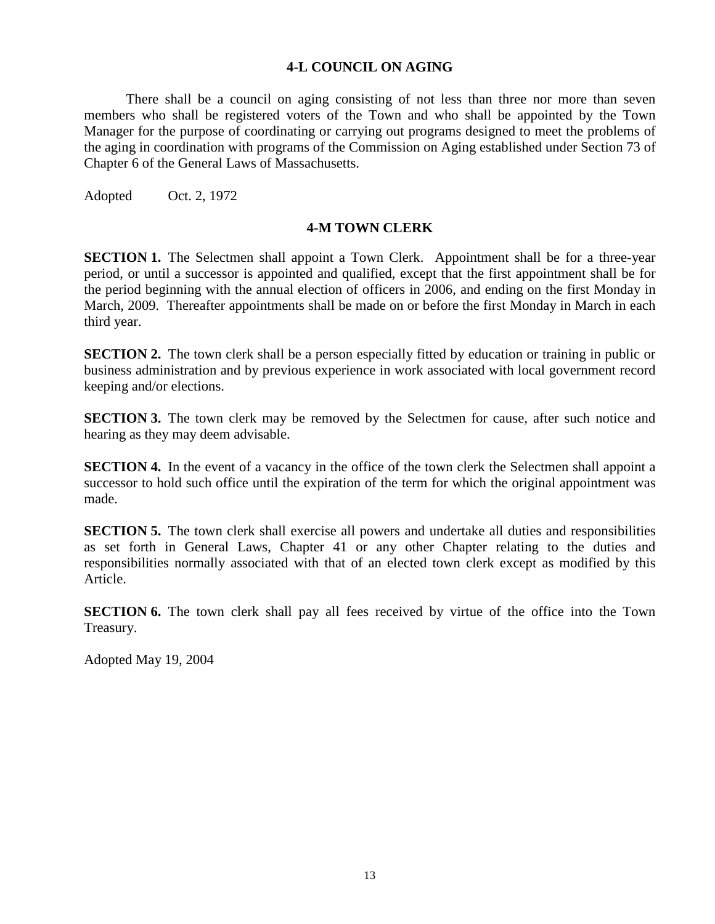# **4-L COUNCIL ON AGING**

There shall be a council on aging consisting of not less than three nor more than seven members who shall be registered voters of the Town and who shall be appointed by the Town Manager for the purpose of coordinating or carrying out programs designed to meet the problems of the aging in coordination with programs of the Commission on Aging established under Section 73 of Chapter 6 of the General Laws of Massachusetts.

Adopted Oct. 2, 1972

#### **4-M TOWN CLERK**

**SECTION 1.** The Selectmen shall appoint a Town Clerk. Appointment shall be for a three-year period, or until a successor is appointed and qualified, except that the first appointment shall be for the period beginning with the annual election of officers in 2006, and ending on the first Monday in March, 2009. Thereafter appointments shall be made on or before the first Monday in March in each third year.

**SECTION 2.** The town clerk shall be a person especially fitted by education or training in public or business administration and by previous experience in work associated with local government record keeping and/or elections.

**SECTION 3.** The town clerk may be removed by the Selectmen for cause, after such notice and hearing as they may deem advisable.

**SECTION 4.** In the event of a vacancy in the office of the town clerk the Selectmen shall appoint a successor to hold such office until the expiration of the term for which the original appointment was made.

**SECTION 5.** The town clerk shall exercise all powers and undertake all duties and responsibilities as set forth in General Laws, Chapter 41 or any other Chapter relating to the duties and responsibilities normally associated with that of an elected town clerk except as modified by this Article.

**SECTION 6.** The town clerk shall pay all fees received by virtue of the office into the Town Treasury.

Adopted May 19, 2004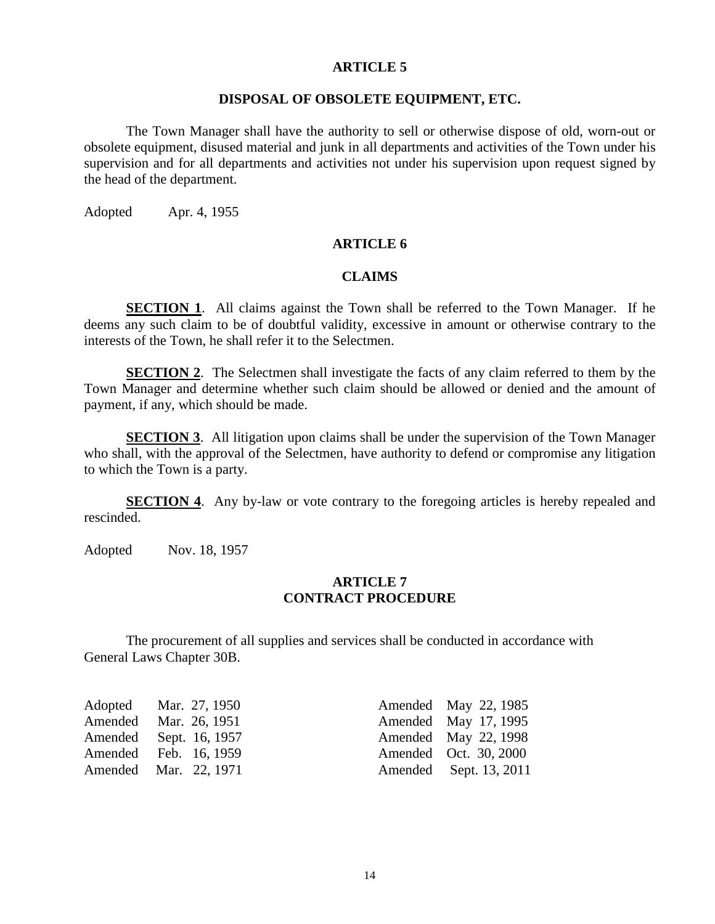### **DISPOSAL OF OBSOLETE EQUIPMENT, ETC.**

The Town Manager shall have the authority to sell or otherwise dispose of old, worn-out or obsolete equipment, disused material and junk in all departments and activities of the Town under his supervision and for all departments and activities not under his supervision upon request signed by the head of the department.

Adopted Apr. 4, 1955

#### **ARTICLE 6**

# **CLAIMS**

**SECTION 1**. All claims against the Town shall be referred to the Town Manager. If he deems any such claim to be of doubtful validity, excessive in amount or otherwise contrary to the interests of the Town, he shall refer it to the Selectmen.

**SECTION 2.** The Selectmen shall investigate the facts of any claim referred to them by the Town Manager and determine whether such claim should be allowed or denied and the amount of payment, if any, which should be made.

**SECTION 3.** All litigation upon claims shall be under the supervision of the Town Manager who shall, with the approval of the Selectmen, have authority to defend or compromise any litigation to which the Town is a party.

**SECTION 4.** Any by-law or vote contrary to the foregoing articles is hereby repealed and rescinded.

Adopted Nov. 18, 1957

# **ARTICLE 7 CONTRACT PROCEDURE**

The procurement of all supplies and services shall be conducted in accordance with General Laws Chapter 30B.

| Adopted Mar. 27, 1950  | Amended May 22, 1985   |
|------------------------|------------------------|
| Amended Mar. 26, 1951  | Amended May 17, 1995   |
| Amended Sept. 16, 1957 | Amended May 22, 1998   |
| Amended Feb. 16, 1959  | Amended Oct. 30, 2000  |
| Amended Mar. 22, 1971  | Amended Sept. 13, 2011 |
|                        |                        |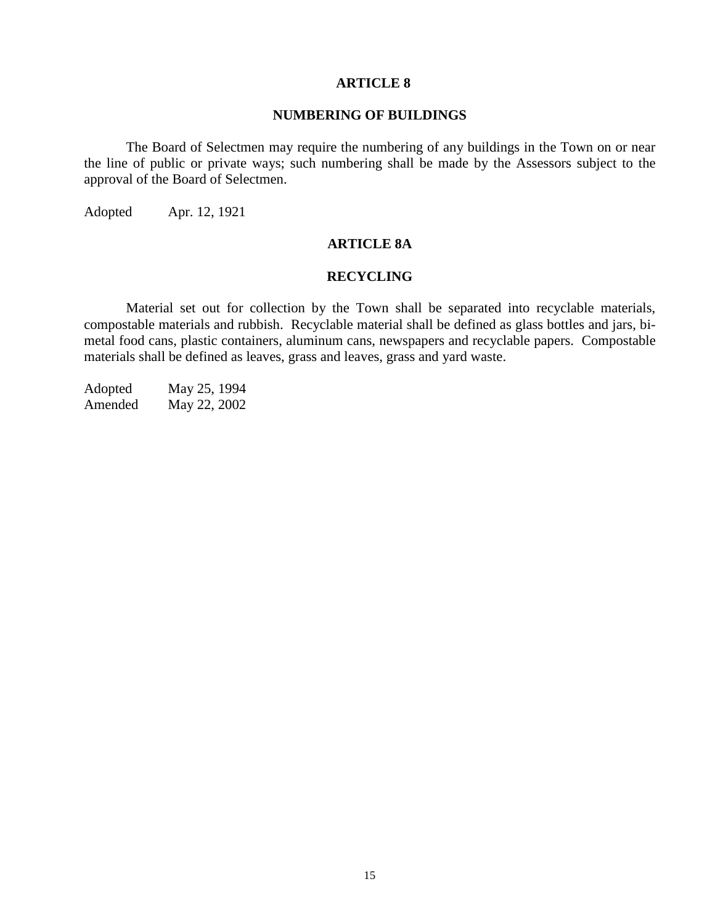# **NUMBERING OF BUILDINGS**

The Board of Selectmen may require the numbering of any buildings in the Town on or near the line of public or private ways; such numbering shall be made by the Assessors subject to the approval of the Board of Selectmen.

Adopted Apr. 12, 1921

# **ARTICLE 8A**

## **RECYCLING**

Material set out for collection by the Town shall be separated into recyclable materials, compostable materials and rubbish. Recyclable material shall be defined as glass bottles and jars, bimetal food cans, plastic containers, aluminum cans, newspapers and recyclable papers. Compostable materials shall be defined as leaves, grass and leaves, grass and yard waste.

Adopted May 25, 1994 Amended May 22, 2002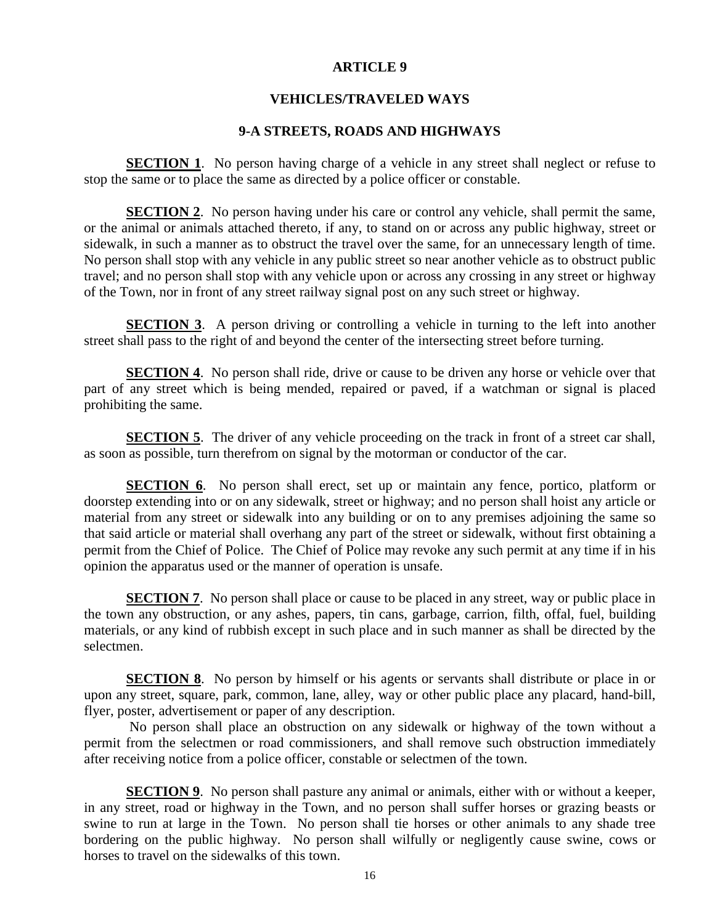### **VEHICLES/TRAVELED WAYS**

# **9-A STREETS, ROADS AND HIGHWAYS**

**SECTION 1.** No person having charge of a vehicle in any street shall neglect or refuse to stop the same or to place the same as directed by a police officer or constable.

**SECTION 2.** No person having under his care or control any vehicle, shall permit the same, or the animal or animals attached thereto, if any, to stand on or across any public highway, street or sidewalk, in such a manner as to obstruct the travel over the same, for an unnecessary length of time. No person shall stop with any vehicle in any public street so near another vehicle as to obstruct public travel; and no person shall stop with any vehicle upon or across any crossing in any street or highway of the Town, nor in front of any street railway signal post on any such street or highway.

**SECTION 3.** A person driving or controlling a vehicle in turning to the left into another street shall pass to the right of and beyond the center of the intersecting street before turning.

**SECTION 4.** No person shall ride, drive or cause to be driven any horse or vehicle over that part of any street which is being mended, repaired or paved, if a watchman or signal is placed prohibiting the same.

**SECTION** 5. The driver of any vehicle proceeding on the track in front of a street car shall, as soon as possible, turn therefrom on signal by the motorman or conductor of the car.

**SECTION 6.** No person shall erect, set up or maintain any fence, portico, platform or doorstep extending into or on any sidewalk, street or highway; and no person shall hoist any article or material from any street or sidewalk into any building or on to any premises adjoining the same so that said article or material shall overhang any part of the street or sidewalk, without first obtaining a permit from the Chief of Police. The Chief of Police may revoke any such permit at any time if in his opinion the apparatus used or the manner of operation is unsafe.

**SECTION 7.** No person shall place or cause to be placed in any street, way or public place in the town any obstruction, or any ashes, papers, tin cans, garbage, carrion, filth, offal, fuel, building materials, or any kind of rubbish except in such place and in such manner as shall be directed by the selectmen.

**SECTION 8**. No person by himself or his agents or servants shall distribute or place in or upon any street, square, park, common, lane, alley, way or other public place any placard, hand-bill, flyer, poster, advertisement or paper of any description.

No person shall place an obstruction on any sidewalk or highway of the town without a permit from the selectmen or road commissioners, and shall remove such obstruction immediately after receiving notice from a police officer, constable or selectmen of the town.

**SECTION 9.** No person shall pasture any animal or animals, either with or without a keeper, in any street, road or highway in the Town, and no person shall suffer horses or grazing beasts or swine to run at large in the Town. No person shall tie horses or other animals to any shade tree bordering on the public highway. No person shall wilfully or negligently cause swine, cows or horses to travel on the sidewalks of this town.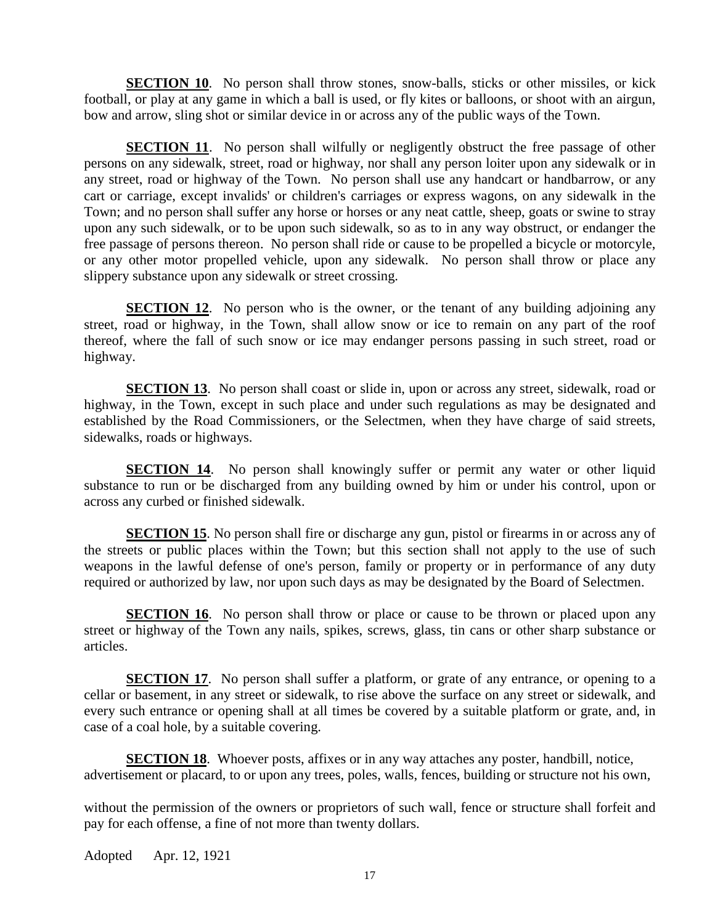**SECTION 10.** No person shall throw stones, snow-balls, sticks or other missiles, or kick football, or play at any game in which a ball is used, or fly kites or balloons, or shoot with an airgun, bow and arrow, sling shot or similar device in or across any of the public ways of the Town.

**SECTION 11.** No person shall wilfully or negligently obstruct the free passage of other persons on any sidewalk, street, road or highway, nor shall any person loiter upon any sidewalk or in any street, road or highway of the Town. No person shall use any handcart or handbarrow, or any cart or carriage, except invalids' or children's carriages or express wagons, on any sidewalk in the Town; and no person shall suffer any horse or horses or any neat cattle, sheep, goats or swine to stray upon any such sidewalk, or to be upon such sidewalk, so as to in any way obstruct, or endanger the free passage of persons thereon. No person shall ride or cause to be propelled a bicycle or motorcyle, or any other motor propelled vehicle, upon any sidewalk. No person shall throw or place any slippery substance upon any sidewalk or street crossing.

**SECTION 12.** No person who is the owner, or the tenant of any building adjoining any street, road or highway, in the Town, shall allow snow or ice to remain on any part of the roof thereof, where the fall of such snow or ice may endanger persons passing in such street, road or highway.

**SECTION 13**. No person shall coast or slide in, upon or across any street, sidewalk, road or highway, in the Town, except in such place and under such regulations as may be designated and established by the Road Commissioners, or the Selectmen, when they have charge of said streets, sidewalks, roads or highways.

**SECTION 14.** No person shall knowingly suffer or permit any water or other liquid substance to run or be discharged from any building owned by him or under his control, upon or across any curbed or finished sidewalk.

**SECTION 15**. No person shall fire or discharge any gun, pistol or firearms in or across any of the streets or public places within the Town; but this section shall not apply to the use of such weapons in the lawful defense of one's person, family or property or in performance of any duty required or authorized by law, nor upon such days as may be designated by the Board of Selectmen.

**SECTION 16.** No person shall throw or place or cause to be thrown or placed upon any street or highway of the Town any nails, spikes, screws, glass, tin cans or other sharp substance or articles.

**SECTION 17.** No person shall suffer a platform, or grate of any entrance, or opening to a cellar or basement, in any street or sidewalk, to rise above the surface on any street or sidewalk, and every such entrance or opening shall at all times be covered by a suitable platform or grate, and, in case of a coal hole, by a suitable covering.

**SECTION 18.** Whoever posts, affixes or in any way attaches any poster, handbill, notice, advertisement or placard, to or upon any trees, poles, walls, fences, building or structure not his own,

without the permission of the owners or proprietors of such wall, fence or structure shall forfeit and pay for each offense, a fine of not more than twenty dollars.

Adopted Apr. 12, 1921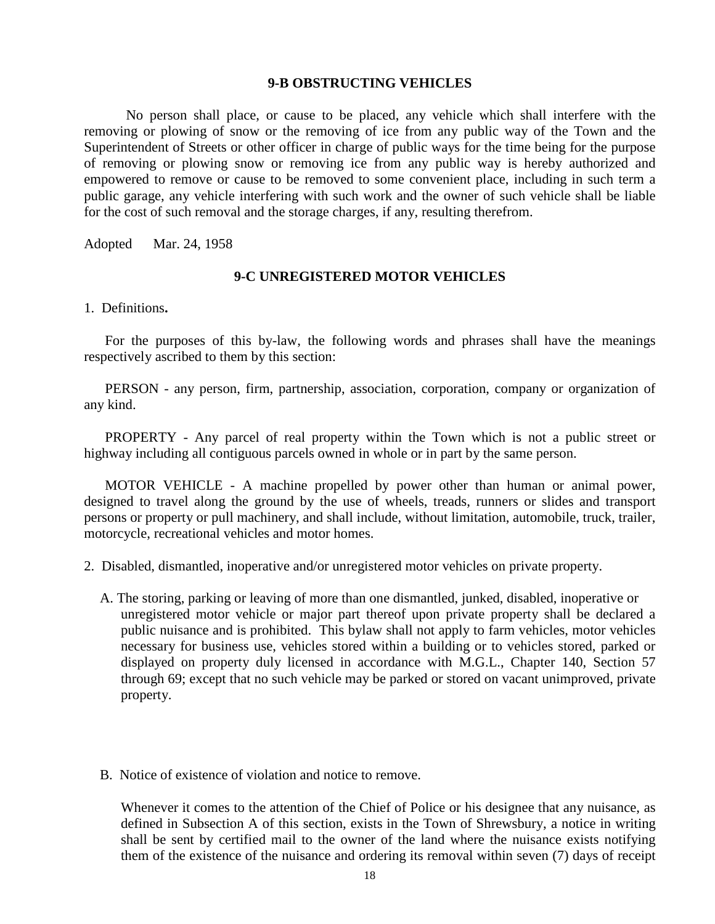#### **9-B OBSTRUCTING VEHICLES**

 No person shall place, or cause to be placed, any vehicle which shall interfere with the removing or plowing of snow or the removing of ice from any public way of the Town and the Superintendent of Streets or other officer in charge of public ways for the time being for the purpose of removing or plowing snow or removing ice from any public way is hereby authorized and empowered to remove or cause to be removed to some convenient place, including in such term a public garage, any vehicle interfering with such work and the owner of such vehicle shall be liable for the cost of such removal and the storage charges, if any, resulting therefrom.

Adopted Mar. 24, 1958

### **9-C UNREGISTERED MOTOR VEHICLES**

1. Definitions**.**

 For the purposes of this by-law, the following words and phrases shall have the meanings respectively ascribed to them by this section:

PERSON - any person, firm, partnership, association, corporation, company or organization of any kind.

PROPERTY - Any parcel of real property within the Town which is not a public street or highway including all contiguous parcels owned in whole or in part by the same person.

MOTOR VEHICLE - A machine propelled by power other than human or animal power, designed to travel along the ground by the use of wheels, treads, runners or slides and transport persons or property or pull machinery, and shall include, without limitation, automobile, truck, trailer, motorcycle, recreational vehicles and motor homes.

2. Disabled, dismantled, inoperative and/or unregistered motor vehicles on private property.

- A. The storing, parking or leaving of more than one dismantled, junked, disabled, inoperative or unregistered motor vehicle or major part thereof upon private property shall be declared a public nuisance and is prohibited. This bylaw shall not apply to farm vehicles, motor vehicles necessary for business use, vehicles stored within a building or to vehicles stored, parked or displayed on property duly licensed in accordance with M.G.L., Chapter 140, Section 57 through 69; except that no such vehicle may be parked or stored on vacant unimproved, private property.
- B. Notice of existence of violation and notice to remove.

Whenever it comes to the attention of the Chief of Police or his designee that any nuisance, as defined in Subsection A of this section, exists in the Town of Shrewsbury, a notice in writing shall be sent by certified mail to the owner of the land where the nuisance exists notifying them of the existence of the nuisance and ordering its removal within seven (7) days of receipt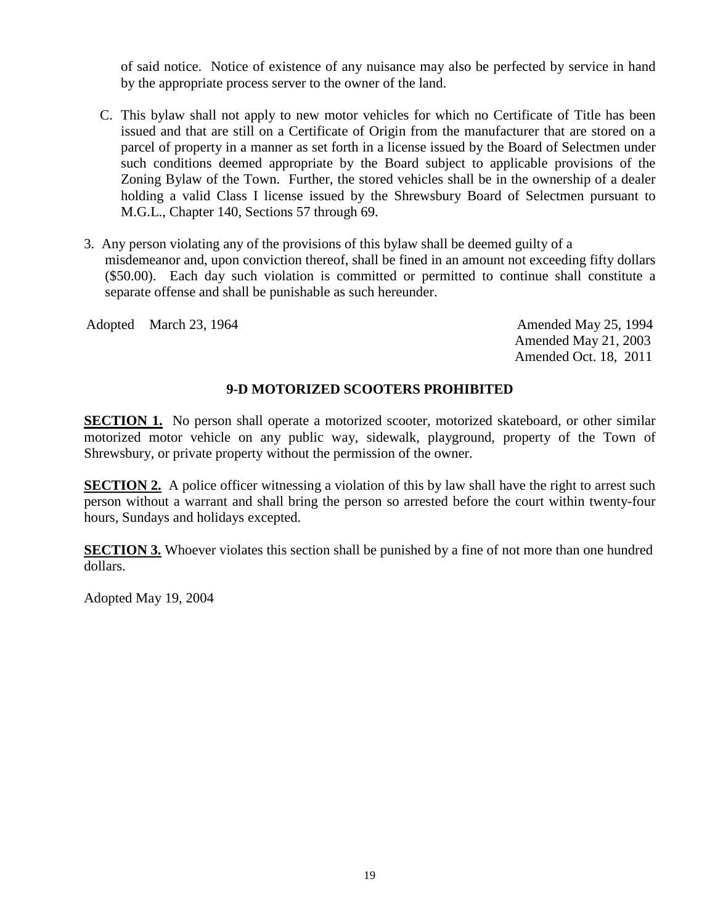of said notice. Notice of existence of any nuisance may also be perfected by service in hand by the appropriate process server to the owner of the land.

- C. This bylaw shall not apply to new motor vehicles for which no Certificate of Title has been issued and that are still on a Certificate of Origin from the manufacturer that are stored on a parcel of property in a manner as set forth in a license issued by the Board of Selectmen under such conditions deemed appropriate by the Board subject to applicable provisions of the Zoning Bylaw of the Town. Further, the stored vehicles shall be in the ownership of a dealer holding a valid Class I license issued by the Shrewsbury Board of Selectmen pursuant to M.G.L., Chapter 140, Sections 57 through 69.
- 3. Any person violating any of the provisions of this bylaw shall be deemed guilty of a misdemeanor and, upon conviction thereof, shall be fined in an amount not exceeding fifty dollars (\$50.00). Each day such violation is committed or permitted to continue shall constitute a separate offense and shall be punishable as such hereunder.

Adopted March 23, 1964 **Amended May 25, 1994** Amended May 25, 1994

Amended May 21, 2003 Amended Oct. 18, 2011

# **9-D MOTORIZED SCOOTERS PROHIBITED**

**SECTION 1.** No person shall operate a motorized scooter, motorized skateboard, or other similar motorized motor vehicle on any public way, sidewalk, playground, property of the Town of Shrewsbury, or private property without the permission of the owner.

**SECTION 2.** A police officer witnessing a violation of this by law shall have the right to arrest such person without a warrant and shall bring the person so arrested before the court within twenty-four hours, Sundays and holidays excepted.

**SECTION 3.** Whoever violates this section shall be punished by a fine of not more than one hundred dollars.

Adopted May 19, 2004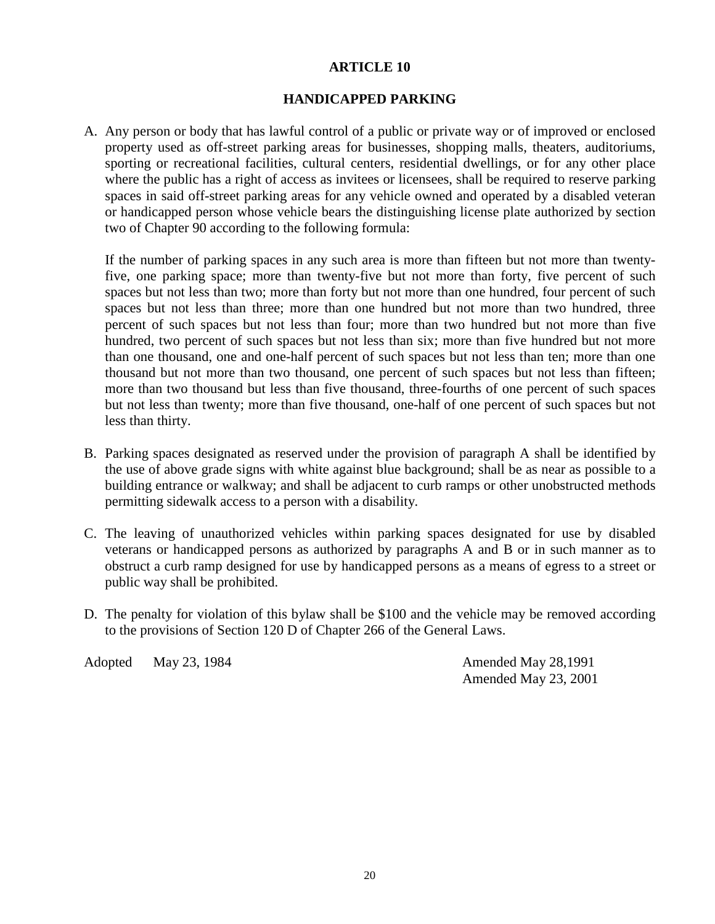# **HANDICAPPED PARKING**

A. Any person or body that has lawful control of a public or private way or of improved or enclosed property used as off-street parking areas for businesses, shopping malls, theaters, auditoriums, sporting or recreational facilities, cultural centers, residential dwellings, or for any other place where the public has a right of access as invitees or licensees, shall be required to reserve parking spaces in said off-street parking areas for any vehicle owned and operated by a disabled veteran or handicapped person whose vehicle bears the distinguishing license plate authorized by section two of Chapter 90 according to the following formula:

If the number of parking spaces in any such area is more than fifteen but not more than twentyfive, one parking space; more than twenty-five but not more than forty, five percent of such spaces but not less than two; more than forty but not more than one hundred, four percent of such spaces but not less than three; more than one hundred but not more than two hundred, three percent of such spaces but not less than four; more than two hundred but not more than five hundred, two percent of such spaces but not less than six; more than five hundred but not more than one thousand, one and one-half percent of such spaces but not less than ten; more than one thousand but not more than two thousand, one percent of such spaces but not less than fifteen; more than two thousand but less than five thousand, three-fourths of one percent of such spaces but not less than twenty; more than five thousand, one-half of one percent of such spaces but not less than thirty.

- B. Parking spaces designated as reserved under the provision of paragraph A shall be identified by the use of above grade signs with white against blue background; shall be as near as possible to a building entrance or walkway; and shall be adjacent to curb ramps or other unobstructed methods permitting sidewalk access to a person with a disability.
- C. The leaving of unauthorized vehicles within parking spaces designated for use by disabled veterans or handicapped persons as authorized by paragraphs A and B or in such manner as to obstruct a curb ramp designed for use by handicapped persons as a means of egress to a street or public way shall be prohibited.
- D. The penalty for violation of this bylaw shall be \$100 and the vehicle may be removed according to the provisions of Section 120 D of Chapter 266 of the General Laws.

Adopted May 23, 1984 **Amended May 28, 1991** 

Amended May 23, 2001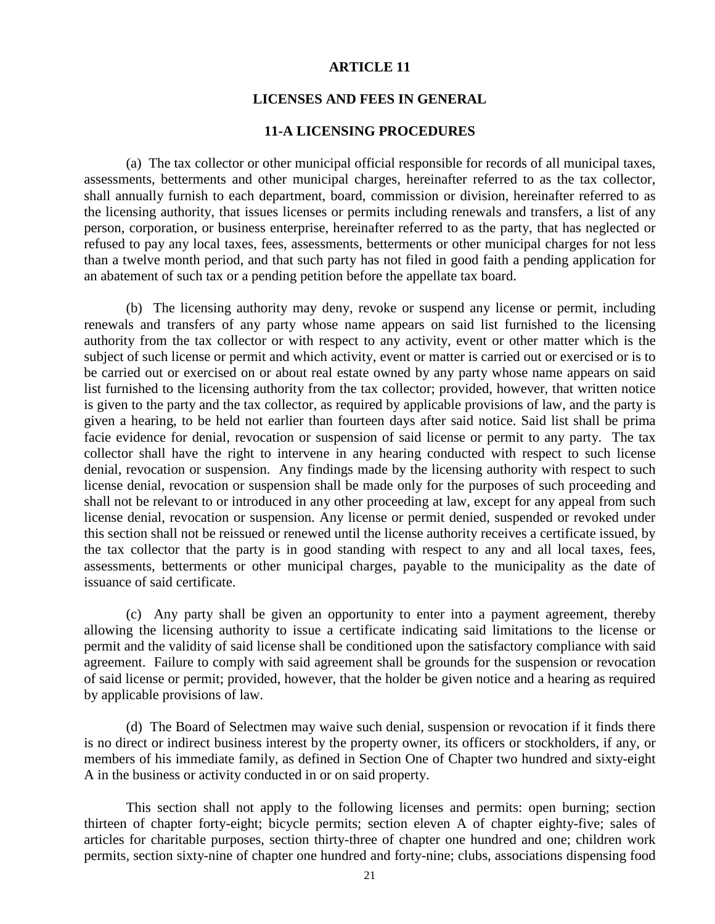#### **LICENSES AND FEES IN GENERAL**

# **11-A LICENSING PROCEDURES**

(a) The tax collector or other municipal official responsible for records of all municipal taxes, assessments, betterments and other municipal charges, hereinafter referred to as the tax collector, shall annually furnish to each department, board, commission or division, hereinafter referred to as the licensing authority, that issues licenses or permits including renewals and transfers, a list of any person, corporation, or business enterprise, hereinafter referred to as the party, that has neglected or refused to pay any local taxes, fees, assessments, betterments or other municipal charges for not less than a twelve month period, and that such party has not filed in good faith a pending application for an abatement of such tax or a pending petition before the appellate tax board.

(b) The licensing authority may deny, revoke or suspend any license or permit, including renewals and transfers of any party whose name appears on said list furnished to the licensing authority from the tax collector or with respect to any activity, event or other matter which is the subject of such license or permit and which activity, event or matter is carried out or exercised or is to be carried out or exercised on or about real estate owned by any party whose name appears on said list furnished to the licensing authority from the tax collector; provided, however, that written notice is given to the party and the tax collector, as required by applicable provisions of law, and the party is given a hearing, to be held not earlier than fourteen days after said notice. Said list shall be prima facie evidence for denial, revocation or suspension of said license or permit to any party. The tax collector shall have the right to intervene in any hearing conducted with respect to such license denial, revocation or suspension. Any findings made by the licensing authority with respect to such license denial, revocation or suspension shall be made only for the purposes of such proceeding and shall not be relevant to or introduced in any other proceeding at law, except for any appeal from such license denial, revocation or suspension. Any license or permit denied, suspended or revoked under this section shall not be reissued or renewed until the license authority receives a certificate issued, by the tax collector that the party is in good standing with respect to any and all local taxes, fees, assessments, betterments or other municipal charges, payable to the municipality as the date of issuance of said certificate.

(c) Any party shall be given an opportunity to enter into a payment agreement, thereby allowing the licensing authority to issue a certificate indicating said limitations to the license or permit and the validity of said license shall be conditioned upon the satisfactory compliance with said agreement. Failure to comply with said agreement shall be grounds for the suspension or revocation of said license or permit; provided, however, that the holder be given notice and a hearing as required by applicable provisions of law.

(d) The Board of Selectmen may waive such denial, suspension or revocation if it finds there is no direct or indirect business interest by the property owner, its officers or stockholders, if any, or members of his immediate family, as defined in Section One of Chapter two hundred and sixty-eight A in the business or activity conducted in or on said property.

 This section shall not apply to the following licenses and permits: open burning; section thirteen of chapter forty-eight; bicycle permits; section eleven A of chapter eighty-five; sales of articles for charitable purposes, section thirty-three of chapter one hundred and one; children work permits, section sixty-nine of chapter one hundred and forty-nine; clubs, associations dispensing food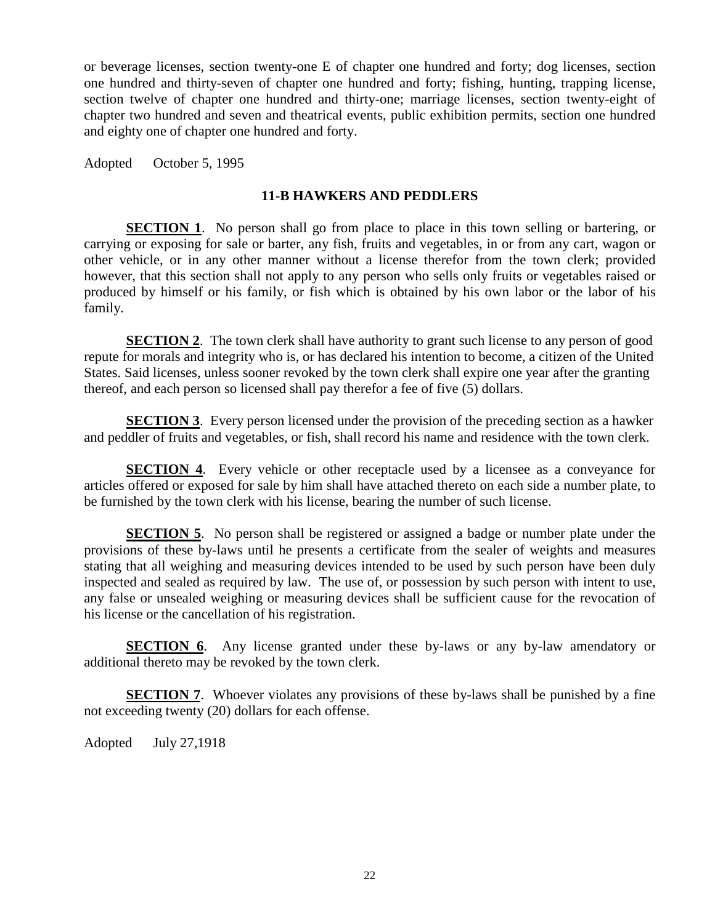or beverage licenses, section twenty-one E of chapter one hundred and forty; dog licenses, section one hundred and thirty-seven of chapter one hundred and forty; fishing, hunting, trapping license, section twelve of chapter one hundred and thirty-one; marriage licenses, section twenty-eight of chapter two hundred and seven and theatrical events, public exhibition permits, section one hundred and eighty one of chapter one hundred and forty.

Adopted October 5, 1995

# **11-B HAWKERS AND PEDDLERS**

**SECTION 1.** No person shall go from place to place in this town selling or bartering, or carrying or exposing for sale or barter, any fish, fruits and vegetables, in or from any cart, wagon or other vehicle, or in any other manner without a license therefor from the town clerk; provided however, that this section shall not apply to any person who sells only fruits or vegetables raised or produced by himself or his family, or fish which is obtained by his own labor or the labor of his family.

**SECTION 2.** The town clerk shall have authority to grant such license to any person of good repute for morals and integrity who is, or has declared his intention to become, a citizen of the United States. Said licenses, unless sooner revoked by the town clerk shall expire one year after the granting thereof, and each person so licensed shall pay therefor a fee of five (5) dollars.

**SECTION 3**. Every person licensed under the provision of the preceding section as a hawker and peddler of fruits and vegetables, or fish, shall record his name and residence with the town clerk.

**SECTION 4.** Every vehicle or other receptacle used by a licensee as a conveyance for articles offered or exposed for sale by him shall have attached thereto on each side a number plate, to be furnished by the town clerk with his license, bearing the number of such license.

**SECTION 5.** No person shall be registered or assigned a badge or number plate under the provisions of these by-laws until he presents a certificate from the sealer of weights and measures stating that all weighing and measuring devices intended to be used by such person have been duly inspected and sealed as required by law. The use of, or possession by such person with intent to use, any false or unsealed weighing or measuring devices shall be sufficient cause for the revocation of his license or the cancellation of his registration.

**SECTION 6.** Any license granted under these by-laws or any by-law amendatory or additional thereto may be revoked by the town clerk.

**SECTION 7.** Whoever violates any provisions of these by-laws shall be punished by a fine not exceeding twenty (20) dollars for each offense.

Adopted July 27,1918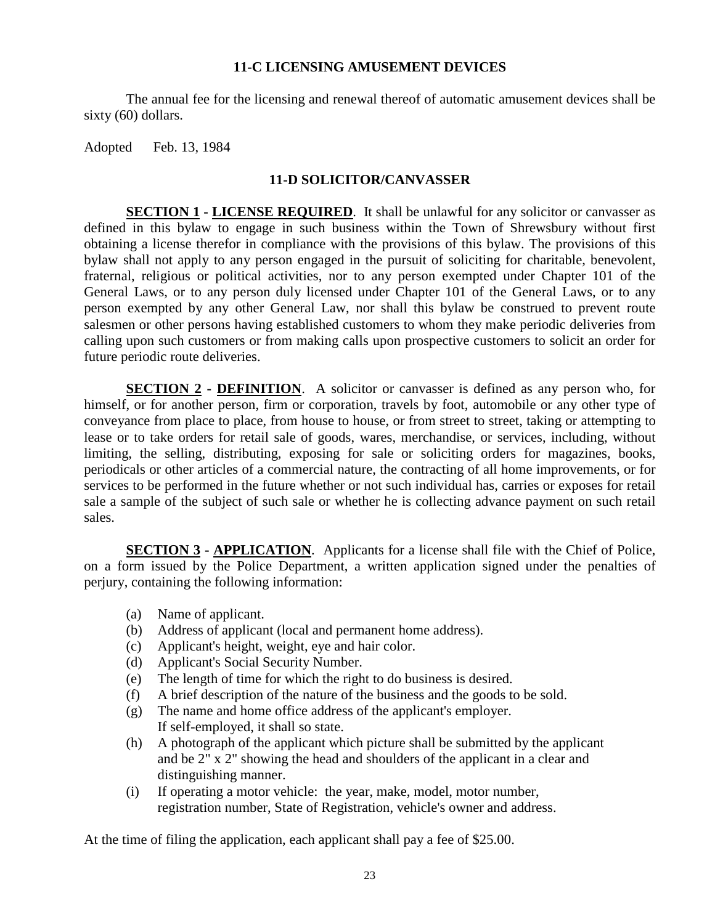# **11-C LICENSING AMUSEMENT DEVICES**

The annual fee for the licensing and renewal thereof of automatic amusement devices shall be sixty (60) dollars.

Adopted Feb. 13, 1984

# **11-D SOLICITOR/CANVASSER**

**SECTION 1 - LICENSE REQUIRED**. It shall be unlawful for any solicitor or canvasser as defined in this bylaw to engage in such business within the Town of Shrewsbury without first obtaining a license therefor in compliance with the provisions of this bylaw. The provisions of this bylaw shall not apply to any person engaged in the pursuit of soliciting for charitable, benevolent, fraternal, religious or political activities, nor to any person exempted under Chapter 101 of the General Laws, or to any person duly licensed under Chapter 101 of the General Laws, or to any person exempted by any other General Law, nor shall this bylaw be construed to prevent route salesmen or other persons having established customers to whom they make periodic deliveries from calling upon such customers or from making calls upon prospective customers to solicit an order for future periodic route deliveries.

**SECTION 2 - DEFINITION**. A solicitor or canvasser is defined as any person who, for himself, or for another person, firm or corporation, travels by foot, automobile or any other type of conveyance from place to place, from house to house, or from street to street, taking or attempting to lease or to take orders for retail sale of goods, wares, merchandise, or services, including, without limiting, the selling, distributing, exposing for sale or soliciting orders for magazines, books, periodicals or other articles of a commercial nature, the contracting of all home improvements, or for services to be performed in the future whether or not such individual has, carries or exposes for retail sale a sample of the subject of such sale or whether he is collecting advance payment on such retail sales.

**SECTION 3 - APPLICATION.** Applicants for a license shall file with the Chief of Police, on a form issued by the Police Department, a written application signed under the penalties of perjury, containing the following information:

- (a) Name of applicant.
- (b) Address of applicant (local and permanent home address).
- (c) Applicant's height, weight, eye and hair color.
- (d) Applicant's Social Security Number.
- (e) The length of time for which the right to do business is desired.
- (f) A brief description of the nature of the business and the goods to be sold.
- (g) The name and home office address of the applicant's employer. If self-employed, it shall so state.
- (h) A photograph of the applicant which picture shall be submitted by the applicant and be 2" x 2" showing the head and shoulders of the applicant in a clear and distinguishing manner.
- (i) If operating a motor vehicle: the year, make, model, motor number, registration number, State of Registration, vehicle's owner and address.

At the time of filing the application, each applicant shall pay a fee of \$25.00.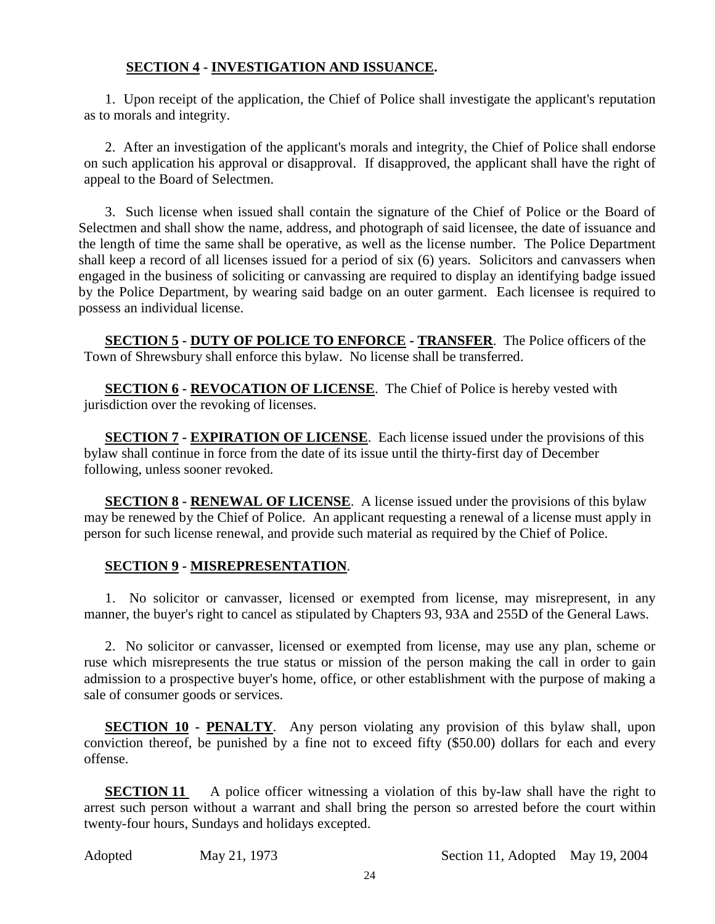# **SECTION 4 - INVESTIGATION AND ISSUANCE.**

1. Upon receipt of the application, the Chief of Police shall investigate the applicant's reputation as to morals and integrity.

2. After an investigation of the applicant's morals and integrity, the Chief of Police shall endorse on such application his approval or disapproval. If disapproved, the applicant shall have the right of appeal to the Board of Selectmen.

3. Such license when issued shall contain the signature of the Chief of Police or the Board of Selectmen and shall show the name, address, and photograph of said licensee, the date of issuance and the length of time the same shall be operative, as well as the license number. The Police Department shall keep a record of all licenses issued for a period of six (6) years. Solicitors and canvassers when engaged in the business of soliciting or canvassing are required to display an identifying badge issued by the Police Department, by wearing said badge on an outer garment. Each licensee is required to possess an individual license.

**SECTION 5 - DUTY OF POLICE TO ENFORCE - TRANSFER**. The Police officers of the Town of Shrewsbury shall enforce this bylaw. No license shall be transferred.

**SECTION 6 - REVOCATION OF LICENSE**. The Chief of Police is hereby vested with jurisdiction over the revoking of licenses.

**SECTION 7 - EXPIRATION OF LICENSE**. Each license issued under the provisions of this bylaw shall continue in force from the date of its issue until the thirty-first day of December following, unless sooner revoked.

**SECTION 8 - RENEWAL OF LICENSE**. A license issued under the provisions of this bylaw may be renewed by the Chief of Police. An applicant requesting a renewal of a license must apply in person for such license renewal, and provide such material as required by the Chief of Police.

# **SECTION 9 - MISREPRESENTATION**.

1. No solicitor or canvasser, licensed or exempted from license, may misrepresent, in any manner, the buyer's right to cancel as stipulated by Chapters 93, 93A and 255D of the General Laws.

2. No solicitor or canvasser, licensed or exempted from license, may use any plan, scheme or ruse which misrepresents the true status or mission of the person making the call in order to gain admission to a prospective buyer's home, office, or other establishment with the purpose of making a sale of consumer goods or services.

**SECTION 10 - PENALTY**. Any person violating any provision of this bylaw shall, upon conviction thereof, be punished by a fine not to exceed fifty (\$50.00) dollars for each and every offense.

**SECTION 11** A police officer witnessing a violation of this by-law shall have the right to arrest such person without a warrant and shall bring the person so arrested before the court within twenty-four hours, Sundays and holidays excepted.

Adopted May 21, 1973 Section 11, Adopted May 19, 2004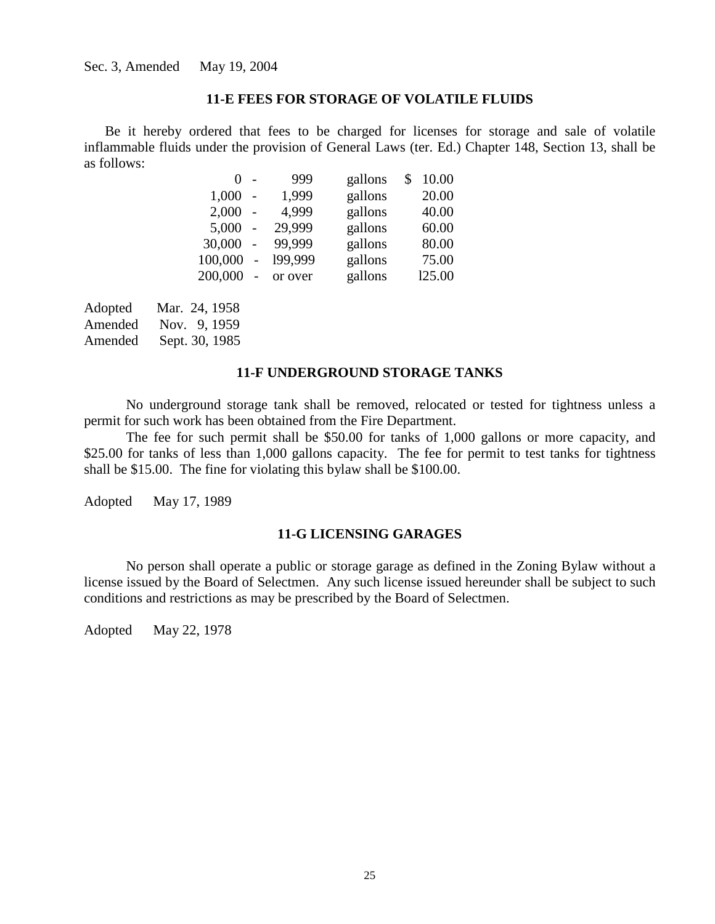#### **11-E FEES FOR STORAGE OF VOLATILE FLUIDS**

Be it hereby ordered that fees to be charged for licenses for storage and sale of volatile inflammable fluids under the provision of General Laws (ter. Ed.) Chapter 148, Section 13, shall be as follows:

| $0 -$   |                          | 999     | gallons | \$<br>10.00 |
|---------|--------------------------|---------|---------|-------------|
| 1,000   |                          | 1,999   | gallons | 20.00       |
| 2,000   |                          | 4,999   | gallons | 40.00       |
| 5,000   | $\overline{\phantom{a}}$ | 29,999  | gallons | 60.00       |
| 30,000  | $\mathcal{L}$            | 99.999  | gallons | 80.00       |
| 100,000 | $\bar{\phantom{a}}$      | 199,999 | gallons | 75.00       |
| 200,000 | $\overline{a}$           | or over | gallons | 125.00      |

| Adopted | Mar. 24, 1958  |
|---------|----------------|
| Amended | Nov. 9, 1959   |
| Amended | Sept. 30, 1985 |

# **11-F UNDERGROUND STORAGE TANKS**

No underground storage tank shall be removed, relocated or tested for tightness unless a permit for such work has been obtained from the Fire Department.

The fee for such permit shall be \$50.00 for tanks of 1,000 gallons or more capacity, and \$25.00 for tanks of less than 1,000 gallons capacity. The fee for permit to test tanks for tightness shall be \$15.00. The fine for violating this bylaw shall be \$100.00.

Adopted May 17, 1989

# **11-G LICENSING GARAGES**

No person shall operate a public or storage garage as defined in the Zoning Bylaw without a license issued by the Board of Selectmen. Any such license issued hereunder shall be subject to such conditions and restrictions as may be prescribed by the Board of Selectmen.

Adopted May 22, 1978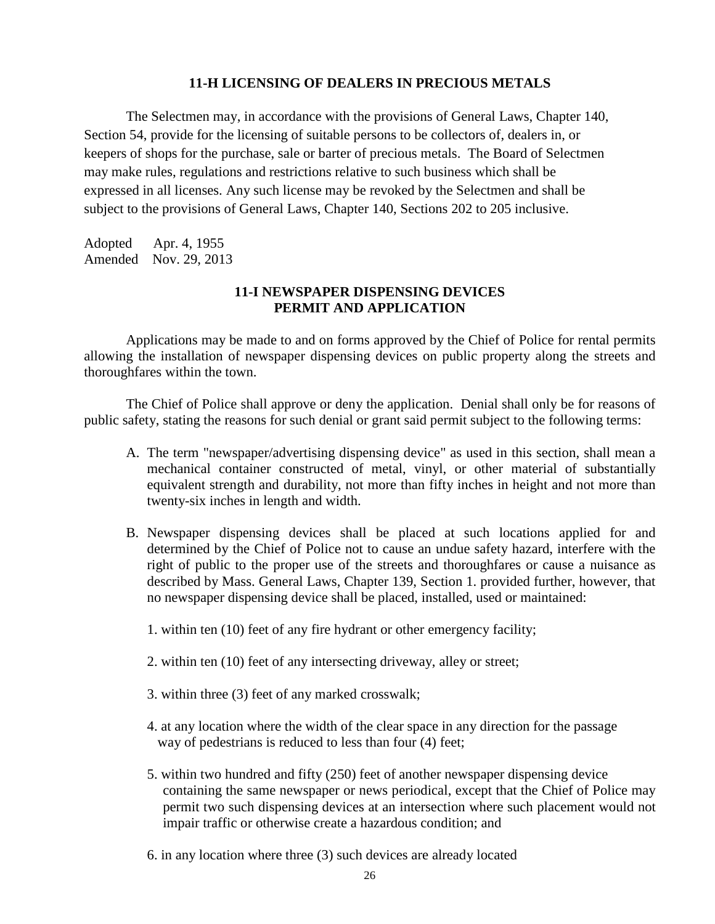## **11-H LICENSING OF DEALERS IN PRECIOUS METALS**

The Selectmen may, in accordance with the provisions of General Laws, Chapter 140, Section 54, provide for the licensing of suitable persons to be collectors of, dealers in, or keepers of shops for the purchase, sale or barter of precious metals. The Board of Selectmen may make rules, regulations and restrictions relative to such business which shall be expressed in all licenses. Any such license may be revoked by the Selectmen and shall be subject to the provisions of General Laws, Chapter 140, Sections 202 to 205 inclusive.

Adopted Apr. 4, 1955 Amended Nov. 29, 2013

# **11-I NEWSPAPER DISPENSING DEVICES PERMIT AND APPLICATION**

Applications may be made to and on forms approved by the Chief of Police for rental permits allowing the installation of newspaper dispensing devices on public property along the streets and thoroughfares within the town.

The Chief of Police shall approve or deny the application. Denial shall only be for reasons of public safety, stating the reasons for such denial or grant said permit subject to the following terms:

- A. The term "newspaper/advertising dispensing device" as used in this section, shall mean a mechanical container constructed of metal, vinyl, or other material of substantially equivalent strength and durability, not more than fifty inches in height and not more than twenty-six inches in length and width.
- B. Newspaper dispensing devices shall be placed at such locations applied for and determined by the Chief of Police not to cause an undue safety hazard, interfere with the right of public to the proper use of the streets and thoroughfares or cause a nuisance as described by Mass. General Laws, Chapter 139, Section 1. provided further, however, that no newspaper dispensing device shall be placed, installed, used or maintained:
	- 1. within ten (10) feet of any fire hydrant or other emergency facility;
	- 2. within ten (10) feet of any intersecting driveway, alley or street;
	- 3. within three (3) feet of any marked crosswalk;
	- 4. at any location where the width of the clear space in any direction for the passage way of pedestrians is reduced to less than four (4) feet;
	- 5. within two hundred and fifty (250) feet of another newspaper dispensing device containing the same newspaper or news periodical, except that the Chief of Police may permit two such dispensing devices at an intersection where such placement would not impair traffic or otherwise create a hazardous condition; and
	- 6. in any location where three (3) such devices are already located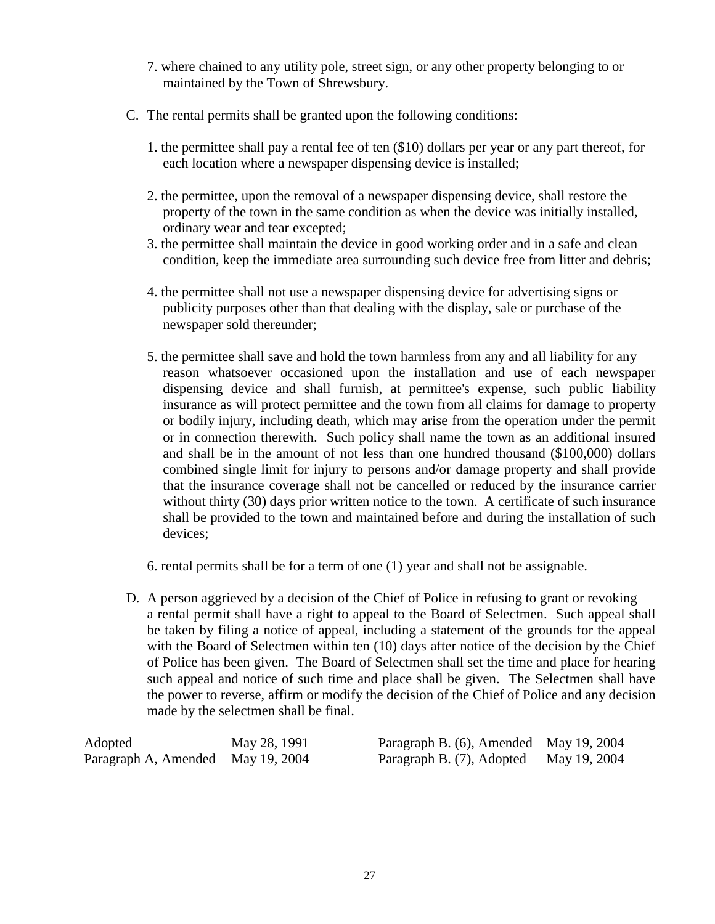- 7. where chained to any utility pole, street sign, or any other property belonging to or maintained by the Town of Shrewsbury.
- C. The rental permits shall be granted upon the following conditions:
	- 1. the permittee shall pay a rental fee of ten (\$10) dollars per year or any part thereof, for each location where a newspaper dispensing device is installed;
	- 2. the permittee, upon the removal of a newspaper dispensing device, shall restore the property of the town in the same condition as when the device was initially installed, ordinary wear and tear excepted;
	- 3. the permittee shall maintain the device in good working order and in a safe and clean condition, keep the immediate area surrounding such device free from litter and debris;
	- 4. the permittee shall not use a newspaper dispensing device for advertising signs or publicity purposes other than that dealing with the display, sale or purchase of the newspaper sold thereunder;
	- 5. the permittee shall save and hold the town harmless from any and all liability for any reason whatsoever occasioned upon the installation and use of each newspaper dispensing device and shall furnish, at permittee's expense, such public liability insurance as will protect permittee and the town from all claims for damage to property or bodily injury, including death, which may arise from the operation under the permit or in connection therewith. Such policy shall name the town as an additional insured and shall be in the amount of not less than one hundred thousand (\$100,000) dollars combined single limit for injury to persons and/or damage property and shall provide that the insurance coverage shall not be cancelled or reduced by the insurance carrier without thirty (30) days prior written notice to the town. A certificate of such insurance shall be provided to the town and maintained before and during the installation of such devices;
	- 6. rental permits shall be for a term of one (1) year and shall not be assignable.
- D. A person aggrieved by a decision of the Chief of Police in refusing to grant or revoking a rental permit shall have a right to appeal to the Board of Selectmen. Such appeal shall be taken by filing a notice of appeal, including a statement of the grounds for the appeal with the Board of Selectmen within ten (10) days after notice of the decision by the Chief of Police has been given. The Board of Selectmen shall set the time and place for hearing such appeal and notice of such time and place shall be given. The Selectmen shall have the power to reverse, affirm or modify the decision of the Chief of Police and any decision made by the selectmen shall be final.

| Adopted                           | May 28, 1991 | Paragraph B. (6), Amended May 19, 2004 |  |
|-----------------------------------|--------------|----------------------------------------|--|
| Paragraph A, Amended May 19, 2004 |              | Paragraph B. (7), Adopted May 19, 2004 |  |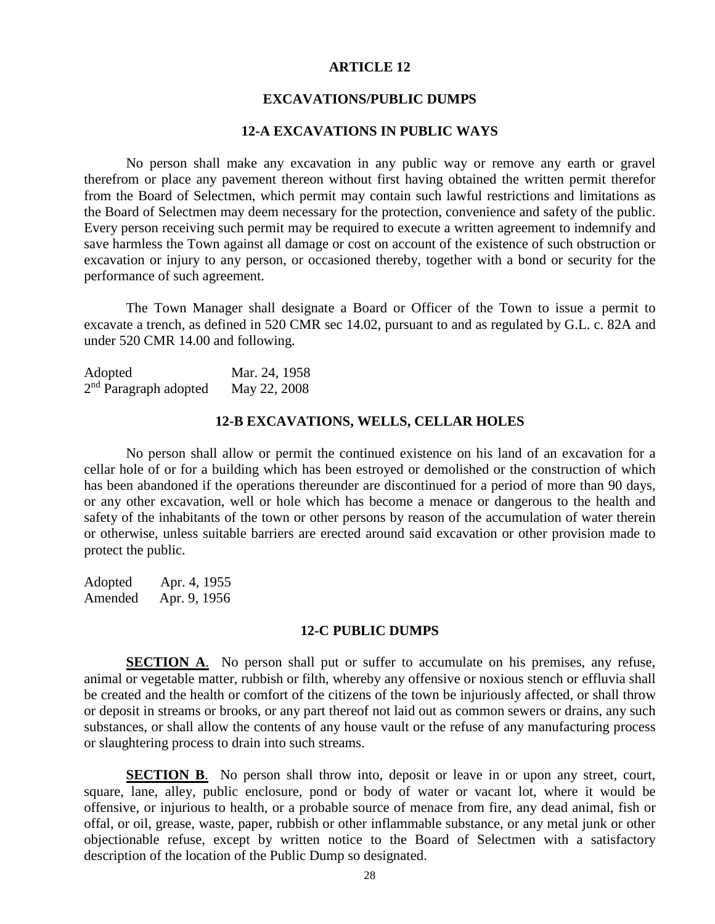#### **EXCAVATIONS/PUBLIC DUMPS**

# **12-A EXCAVATIONS IN PUBLIC WAYS**

No person shall make any excavation in any public way or remove any earth or gravel therefrom or place any pavement thereon without first having obtained the written permit therefor from the Board of Selectmen, which permit may contain such lawful restrictions and limitations as the Board of Selectmen may deem necessary for the protection, convenience and safety of the public. Every person receiving such permit may be required to execute a written agreement to indemnify and save harmless the Town against all damage or cost on account of the existence of such obstruction or excavation or injury to any person, or occasioned thereby, together with a bond or security for the performance of such agreement.

The Town Manager shall designate a Board or Officer of the Town to issue a permit to excavate a trench, as defined in 520 CMR sec 14.02, pursuant to and as regulated by G.L. c. 82A and under 520 CMR 14.00 and following.

| Adopted                 | Mar. 24, 1958 |
|-------------------------|---------------|
| $2nd$ Paragraph adopted | May 22, 2008  |

#### **12-B EXCAVATIONS, WELLS, CELLAR HOLES**

No person shall allow or permit the continued existence on his land of an excavation for a cellar hole of or for a building which has been estroyed or demolished or the construction of which has been abandoned if the operations thereunder are discontinued for a period of more than 90 days, or any other excavation, well or hole which has become a menace or dangerous to the health and safety of the inhabitants of the town or other persons by reason of the accumulation of water therein or otherwise, unless suitable barriers are erected around said excavation or other provision made to protect the public.

Adopted Apr. 4, 1955 Amended Apr. 9, 1956

#### **12-C PUBLIC DUMPS**

**SECTION A**. No person shall put or suffer to accumulate on his premises, any refuse, animal or vegetable matter, rubbish or filth, whereby any offensive or noxious stench or effluvia shall be created and the health or comfort of the citizens of the town be injuriously affected, or shall throw or deposit in streams or brooks, or any part thereof not laid out as common sewers or drains, any such substances, or shall allow the contents of any house vault or the refuse of any manufacturing process or slaughtering process to drain into such streams.

**SECTION B.** No person shall throw into, deposit or leave in or upon any street, court, square, lane, alley, public enclosure, pond or body of water or vacant lot, where it would be offensive, or injurious to health, or a probable source of menace from fire, any dead animal, fish or offal, or oil, grease, waste, paper, rubbish or other inflammable substance, or any metal junk or other objectionable refuse, except by written notice to the Board of Selectmen with a satisfactory description of the location of the Public Dump so designated.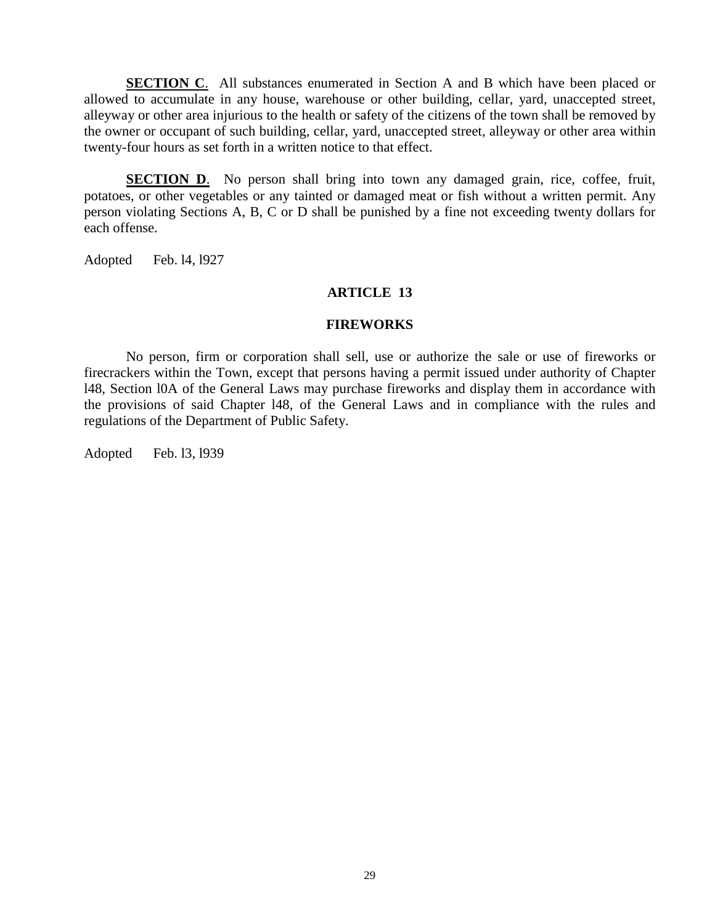**SECTION C.** All substances enumerated in Section A and B which have been placed or allowed to accumulate in any house, warehouse or other building, cellar, yard, unaccepted street, alleyway or other area injurious to the health or safety of the citizens of the town shall be removed by the owner or occupant of such building, cellar, yard, unaccepted street, alleyway or other area within twenty-four hours as set forth in a written notice to that effect.

**SECTION D.** No person shall bring into town any damaged grain, rice, coffee, fruit, potatoes, or other vegetables or any tainted or damaged meat or fish without a written permit. Any person violating Sections A, B, C or D shall be punished by a fine not exceeding twenty dollars for each offense.

Adopted Feb. l4, l927

# **ARTICLE 13**

### **FIREWORKS**

No person, firm or corporation shall sell, use or authorize the sale or use of fireworks or firecrackers within the Town, except that persons having a permit issued under authority of Chapter l48, Section l0A of the General Laws may purchase fireworks and display them in accordance with the provisions of said Chapter l48, of the General Laws and in compliance with the rules and regulations of the Department of Public Safety.

Adopted Feb. l3, l939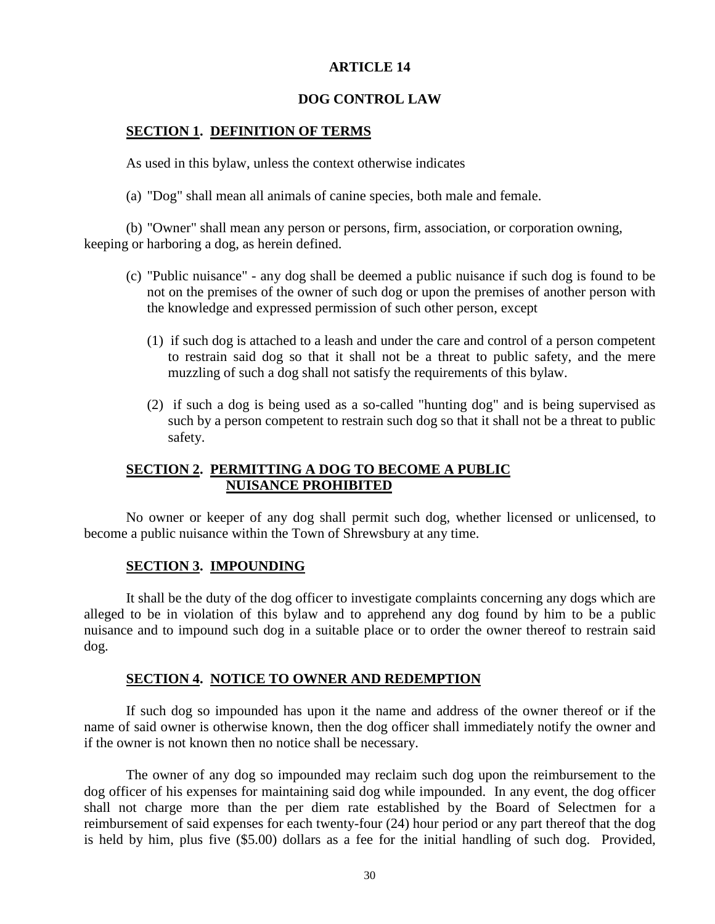## **DOG CONTROL LAW**

## **SECTION 1. DEFINITION OF TERMS**

As used in this bylaw, unless the context otherwise indicates

(a) "Dog" shall mean all animals of canine species, both male and female.

(b) "Owner" shall mean any person or persons, firm, association, or corporation owning, keeping or harboring a dog, as herein defined.

- (c) "Public nuisance" any dog shall be deemed a public nuisance if such dog is found to be not on the premises of the owner of such dog or upon the premises of another person with the knowledge and expressed permission of such other person, except
	- (1) if such dog is attached to a leash and under the care and control of a person competent to restrain said dog so that it shall not be a threat to public safety, and the mere muzzling of such a dog shall not satisfy the requirements of this bylaw.
	- (2) if such a dog is being used as a so-called "hunting dog" and is being supervised as such by a person competent to restrain such dog so that it shall not be a threat to public safety.

# **SECTION 2. PERMITTING A DOG TO BECOME A PUBLIC NUISANCE PROHIBITED**

No owner or keeper of any dog shall permit such dog, whether licensed or unlicensed, to become a public nuisance within the Town of Shrewsbury at any time.

## **SECTION 3. IMPOUNDING**

It shall be the duty of the dog officer to investigate complaints concerning any dogs which are alleged to be in violation of this bylaw and to apprehend any dog found by him to be a public nuisance and to impound such dog in a suitable place or to order the owner thereof to restrain said dog.

### **SECTION 4. NOTICE TO OWNER AND REDEMPTION**

If such dog so impounded has upon it the name and address of the owner thereof or if the name of said owner is otherwise known, then the dog officer shall immediately notify the owner and if the owner is not known then no notice shall be necessary.

The owner of any dog so impounded may reclaim such dog upon the reimbursement to the dog officer of his expenses for maintaining said dog while impounded. In any event, the dog officer shall not charge more than the per diem rate established by the Board of Selectmen for a reimbursement of said expenses for each twenty-four (24) hour period or any part thereof that the dog is held by him, plus five (\$5.00) dollars as a fee for the initial handling of such dog. Provided,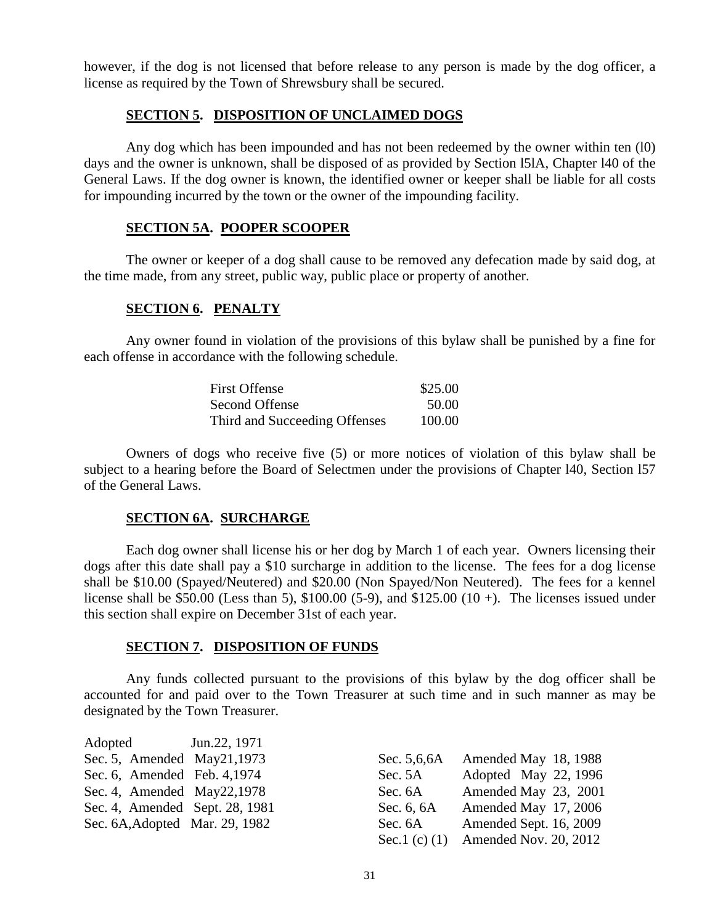however, if the dog is not licensed that before release to any person is made by the dog officer, a license as required by the Town of Shrewsbury shall be secured.

# **SECTION 5. DISPOSITION OF UNCLAIMED DOGS**

Any dog which has been impounded and has not been redeemed by the owner within ten (l0) days and the owner is unknown, shall be disposed of as provided by Section l5lA, Chapter l40 of the General Laws. If the dog owner is known, the identified owner or keeper shall be liable for all costs for impounding incurred by the town or the owner of the impounding facility.

#### **SECTION 5A. POOPER SCOOPER**

The owner or keeper of a dog shall cause to be removed any defecation made by said dog, at the time made, from any street, public way, public place or property of another.

### **SECTION 6. PENALTY**

Any owner found in violation of the provisions of this bylaw shall be punished by a fine for each offense in accordance with the following schedule.

| First Offense                 | \$25.00 |
|-------------------------------|---------|
| Second Offense                | 50.00   |
| Third and Succeeding Offenses | 100.00  |

Owners of dogs who receive five (5) or more notices of violation of this bylaw shall be subject to a hearing before the Board of Selectmen under the provisions of Chapter l40, Section l57 of the General Laws.

# **SECTION 6A. SURCHARGE**

Each dog owner shall license his or her dog by March 1 of each year. Owners licensing their dogs after this date shall pay a \$10 surcharge in addition to the license. The fees for a dog license shall be \$10.00 (Spayed/Neutered) and \$20.00 (Non Spayed/Non Neutered). The fees for a kennel license shall be \$50.00 (Less than 5), \$100.00 (5-9), and \$125.00 (10 +). The licenses issued under this section shall expire on December 31st of each year.

### **SECTION 7. DISPOSITION OF FUNDS**

Any funds collected pursuant to the provisions of this bylaw by the dog officer shall be accounted for and paid over to the Town Treasurer at such time and in such manner as may be designated by the Town Treasurer.

Adopted Jun.22, 1971 Sec. 5, Amended May  $21, 1973$ Sec. 6, Amended Feb.  $4,1974$ Sec. 4, Amended May  $22, 1978$ Sec. 4, Amended Sept. 28, 1981 Sec. 6A, Adopted Mar. 29, 1982

| Sec. 5,6,6A     | Amended May 18, 1988   |
|-----------------|------------------------|
| Sec. 5A         | Adopted May 22, 1996   |
| Sec. 6A         | Amended May 23, 2001   |
| Sec. 6, 6A      | Amended May 17, 2006   |
| Sec. 6A         | Amended Sept. 16, 2009 |
| Sec.1 (c) $(1)$ | Amended Nov. 20, 2012  |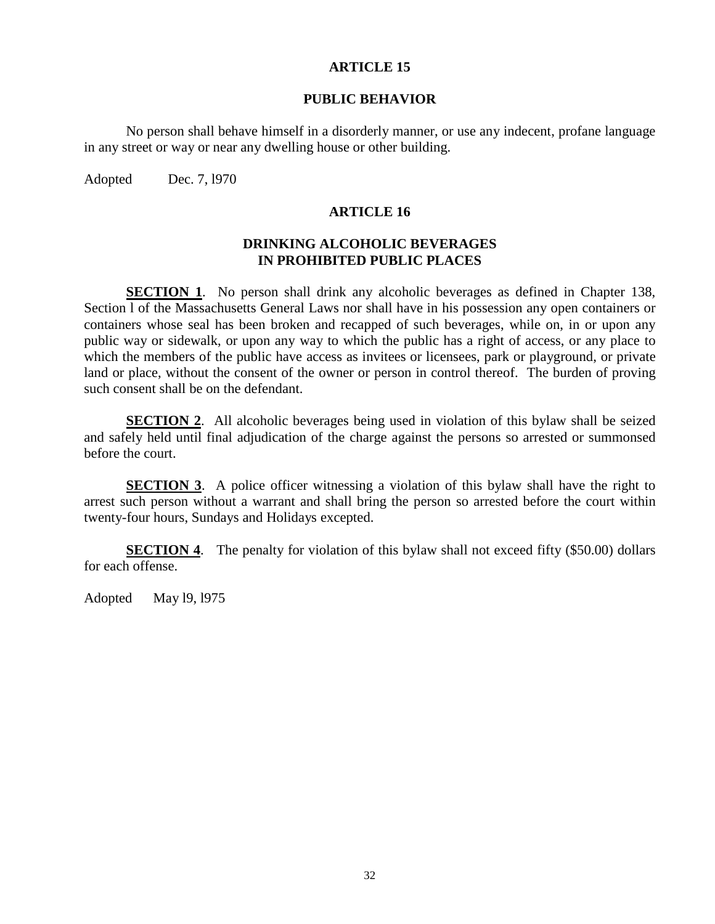#### **PUBLIC BEHAVIOR**

No person shall behave himself in a disorderly manner, or use any indecent, profane language in any street or way or near any dwelling house or other building.

Adopted Dec. 7, 1970

### **ARTICLE 16**

# **DRINKING ALCOHOLIC BEVERAGES IN PROHIBITED PUBLIC PLACES**

**SECTION 1.** No person shall drink any alcoholic beverages as defined in Chapter 138, Section l of the Massachusetts General Laws nor shall have in his possession any open containers or containers whose seal has been broken and recapped of such beverages, while on, in or upon any public way or sidewalk, or upon any way to which the public has a right of access, or any place to which the members of the public have access as invitees or licensees, park or playground, or private land or place, without the consent of the owner or person in control thereof. The burden of proving such consent shall be on the defendant.

**SECTION 2**. All alcoholic beverages being used in violation of this bylaw shall be seized and safely held until final adjudication of the charge against the persons so arrested or summonsed before the court.

**SECTION 3.** A police officer witnessing a violation of this bylaw shall have the right to arrest such person without a warrant and shall bring the person so arrested before the court within twenty-four hours, Sundays and Holidays excepted.

**SECTION 4.** The penalty for violation of this bylaw shall not exceed fifty (\$50.00) dollars for each offense.

Adopted May l9, l975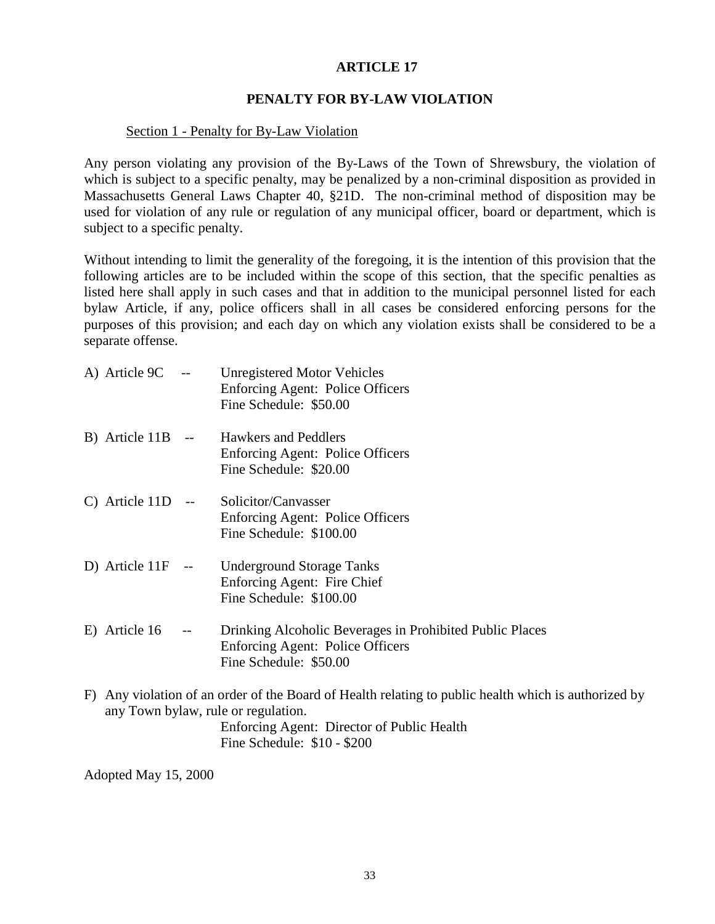# **ARTICLE 17**

## **PENALTY FOR BY-LAW VIOLATION**

### Section 1 - Penalty for By-Law Violation

Any person violating any provision of the By-Laws of the Town of Shrewsbury, the violation of which is subject to a specific penalty, may be penalized by a non-criminal disposition as provided in Massachusetts General Laws Chapter 40, §21D. The non-criminal method of disposition may be used for violation of any rule or regulation of any municipal officer, board or department, which is subject to a specific penalty.

Without intending to limit the generality of the foregoing, it is the intention of this provision that the following articles are to be included within the scope of this section, that the specific penalties as listed here shall apply in such cases and that in addition to the municipal personnel listed for each bylaw Article, if any, police officers shall in all cases be considered enforcing persons for the purposes of this provision; and each day on which any violation exists shall be considered to be a separate offense.

| A) Article 9C | $---$ | <b>Unregistered Motor Vehicles</b>      |  |
|---------------|-------|-----------------------------------------|--|
|               |       | <b>Enforcing Agent: Police Officers</b> |  |
|               |       | Fine Schedule: \$50.00                  |  |
|               |       |                                         |  |

B) Article 11B -- Hawkers and Peddlers Enforcing Agent: Police Officers Fine Schedule: \$20.00

- C) Article 11D -- Solicitor/Canvasser Enforcing Agent: Police Officers Fine Schedule: \$100.00
- D) Article 11F -- Underground Storage Tanks Enforcing Agent: Fire Chief Fine Schedule: \$100.00
- E) Article 16 -- Drinking Alcoholic Beverages in Prohibited Public Places Enforcing Agent: Police Officers Fine Schedule: \$50.00
- F) Any violation of an order of the Board of Health relating to public health which is authorized by any Town bylaw, rule or regulation. Enforcing Agent: Director of Public Health Fine Schedule: \$10 - \$200

Adopted May 15, 2000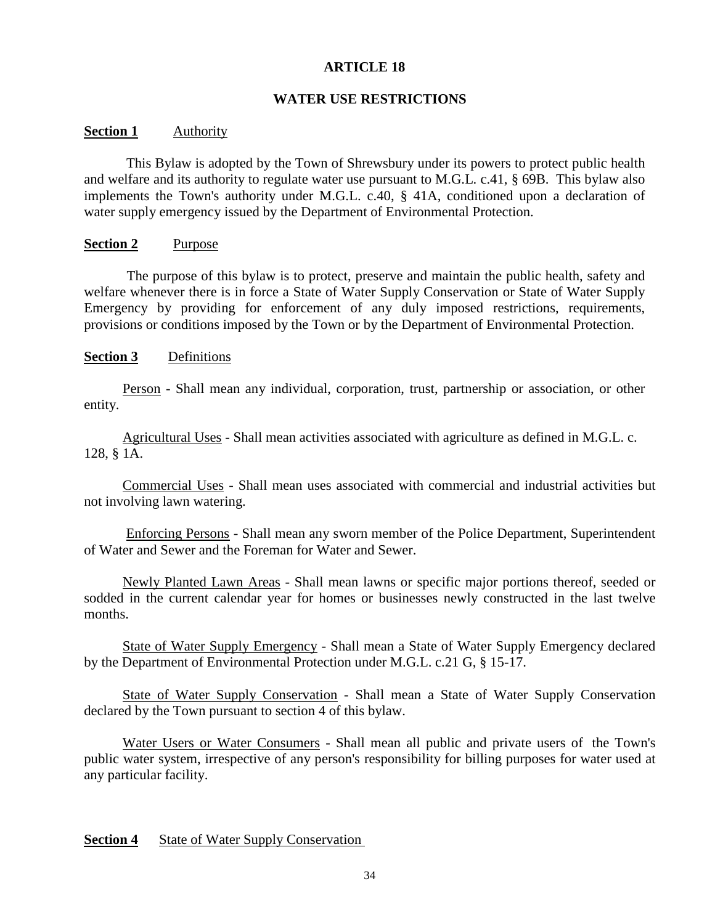# **ARTICLE 18**

### **WATER USE RESTRICTIONS**

### **Section 1** Authority

 This Bylaw is adopted by the Town of Shrewsbury under its powers to protect public health and welfare and its authority to regulate water use pursuant to M.G.L. c.41, § 69B. This bylaw also implements the Town's authority under M.G.L. c.40, § 41A, conditioned upon a declaration of water supply emergency issued by the Department of Environmental Protection.

#### **Section 2** Purpose

 The purpose of this bylaw is to protect, preserve and maintain the public health, safety and welfare whenever there is in force a State of Water Supply Conservation or State of Water Supply Emergency by providing for enforcement of any duly imposed restrictions, requirements, provisions or conditions imposed by the Town or by the Department of Environmental Protection.

### **Section 3** Definitions

 Person - Shall mean any individual, corporation, trust, partnership or association, or other entity.

 Agricultural Uses - Shall mean activities associated with agriculture as defined in M.G.L. c. 128, § 1A.

 Commercial Uses - Shall mean uses associated with commercial and industrial activities but not involving lawn watering.

Enforcing Persons - Shall mean any sworn member of the Police Department, Superintendent of Water and Sewer and the Foreman for Water and Sewer.

 Newly Planted Lawn Areas - Shall mean lawns or specific major portions thereof, seeded or sodded in the current calendar year for homes or businesses newly constructed in the last twelve months.

 State of Water Supply Emergency - Shall mean a State of Water Supply Emergency declared by the Department of Environmental Protection under M.G.L. c.21 G, § 15-17.

 State of Water Supply Conservation - Shall mean a State of Water Supply Conservation declared by the Town pursuant to section 4 of this bylaw.

Water Users or Water Consumers - Shall mean all public and private users of the Town's public water system, irrespective of any person's responsibility for billing purposes for water used at any particular facility.

**Section 4** State of Water Supply Conservation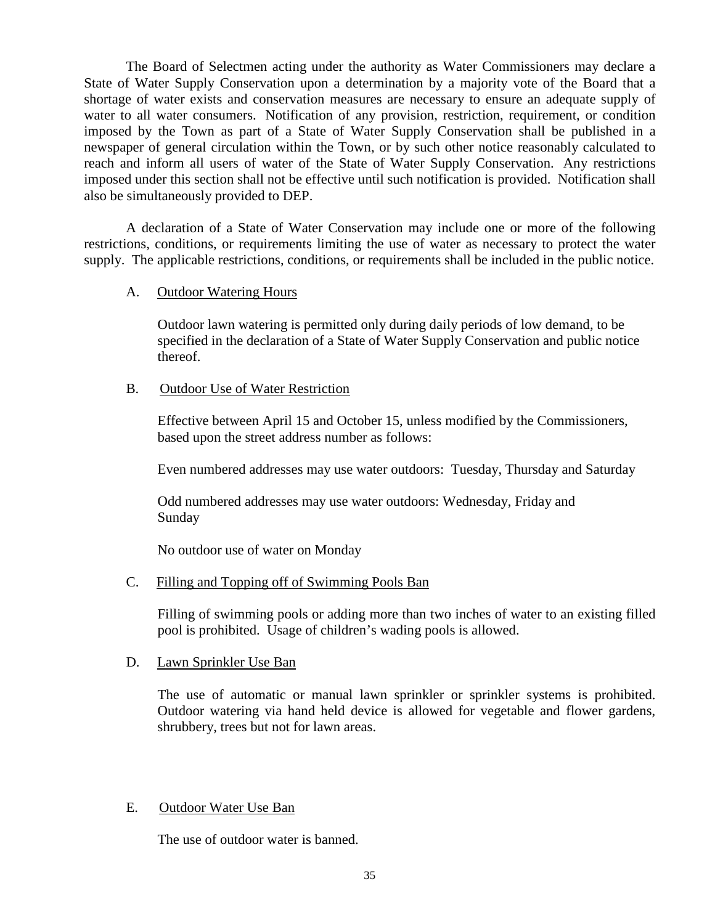The Board of Selectmen acting under the authority as Water Commissioners may declare a State of Water Supply Conservation upon a determination by a majority vote of the Board that a shortage of water exists and conservation measures are necessary to ensure an adequate supply of water to all water consumers. Notification of any provision, restriction, requirement, or condition imposed by the Town as part of a State of Water Supply Conservation shall be published in a newspaper of general circulation within the Town, or by such other notice reasonably calculated to reach and inform all users of water of the State of Water Supply Conservation. Any restrictions imposed under this section shall not be effective until such notification is provided. Notification shall also be simultaneously provided to DEP.

A declaration of a State of Water Conservation may include one or more of the following restrictions, conditions, or requirements limiting the use of water as necessary to protect the water supply. The applicable restrictions, conditions, or requirements shall be included in the public notice.

## A. Outdoor Watering Hours

Outdoor lawn watering is permitted only during daily periods of low demand, to be specified in the declaration of a State of Water Supply Conservation and public notice thereof.

### B. Outdoor Use of Water Restriction

Effective between April 15 and October 15, unless modified by the Commissioners, based upon the street address number as follows:

Even numbered addresses may use water outdoors: Tuesday, Thursday and Saturday

Odd numbered addresses may use water outdoors: Wednesday, Friday and Sunday

No outdoor use of water on Monday

## C. Filling and Topping off of Swimming Pools Ban

Filling of swimming pools or adding more than two inches of water to an existing filled pool is prohibited. Usage of children's wading pools is allowed.

## D. Lawn Sprinkler Use Ban

The use of automatic or manual lawn sprinkler or sprinkler systems is prohibited. Outdoor watering via hand held device is allowed for vegetable and flower gardens, shrubbery, trees but not for lawn areas.

## E. Outdoor Water Use Ban

The use of outdoor water is banned.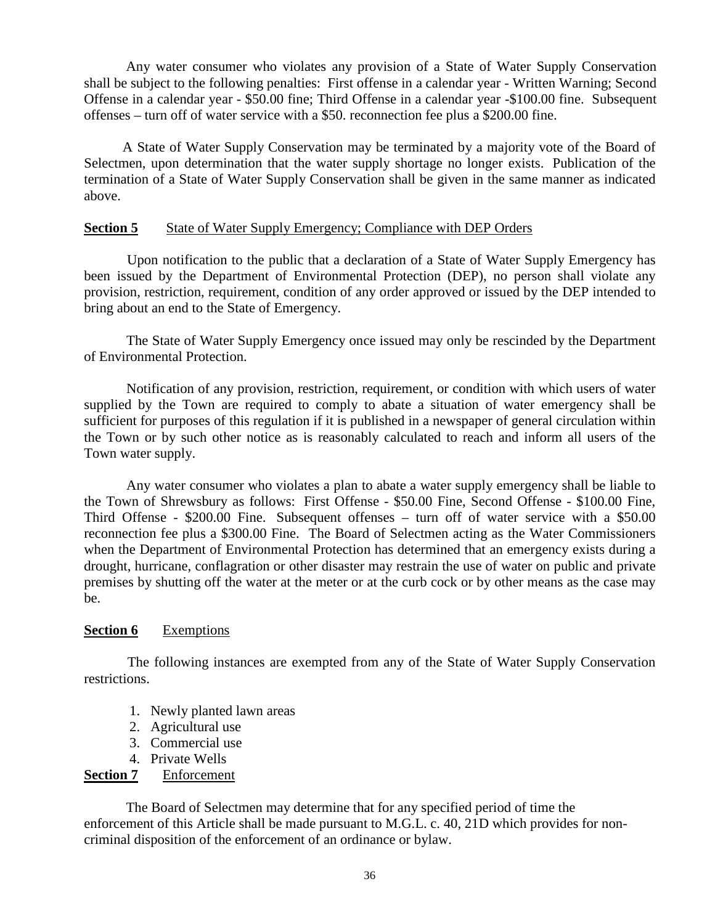Any water consumer who violates any provision of a State of Water Supply Conservation shall be subject to the following penalties: First offense in a calendar year - Written Warning; Second Offense in a calendar year - \$50.00 fine; Third Offense in a calendar year -\$100.00 fine.Subsequent offenses – turn off of water service with a \$50. reconnection fee plus a \$200.00 fine.

 A State of Water Supply Conservation may be terminated by a majority vote of the Board of Selectmen, upon determination that the water supply shortage no longer exists. Publication of the termination of a State of Water Supply Conservation shall be given in the same manner as indicated above.

### **Section 5** State of Water Supply Emergency; Compliance with DEP Orders

 Upon notification to the public that a declaration of a State of Water Supply Emergency has been issued by the Department of Environmental Protection (DEP), no person shall violate any provision, restriction, requirement, condition of any order approved or issued by the DEP intended to bring about an end to the State of Emergency.

 The State of Water Supply Emergency once issued may only be rescinded by the Department of Environmental Protection.

 Notification of any provision, restriction, requirement, or condition with which users of water supplied by the Town are required to comply to abate a situation of water emergency shall be sufficient for purposes of this regulation if it is published in a newspaper of general circulation within the Town or by such other notice as is reasonably calculated to reach and inform all users of the Town water supply.

 Any water consumer who violates a plan to abate a water supply emergency shall be liable to the Town of Shrewsbury as follows: First Offense - \$50.00 Fine, Second Offense - \$100.00 Fine, Third Offense - \$200.00 Fine. Subsequent offenses – turn off of water service with a \$50.00 reconnection fee plus a \$300.00 Fine. The Board of Selectmen acting as the Water Commissioners when the Department of Environmental Protection has determined that an emergency exists during a drought, hurricane, conflagration or other disaster may restrain the use of water on public and private premises by shutting off the water at the meter or at the curb cock or by other means as the case may be.

#### **Section 6** Exemptions

 The following instances are exempted from any of the State of Water Supply Conservation restrictions.

- 1. Newly planted lawn areas
- 2. Agricultural use
- 3. Commercial use
- 4. Private Wells

## **Section 7** Enforcement

The Board of Selectmen may determine that for any specified period of time the enforcement of this Article shall be made pursuant to M.G.L. c. 40, 21D which provides for noncriminal disposition of the enforcement of an ordinance or bylaw.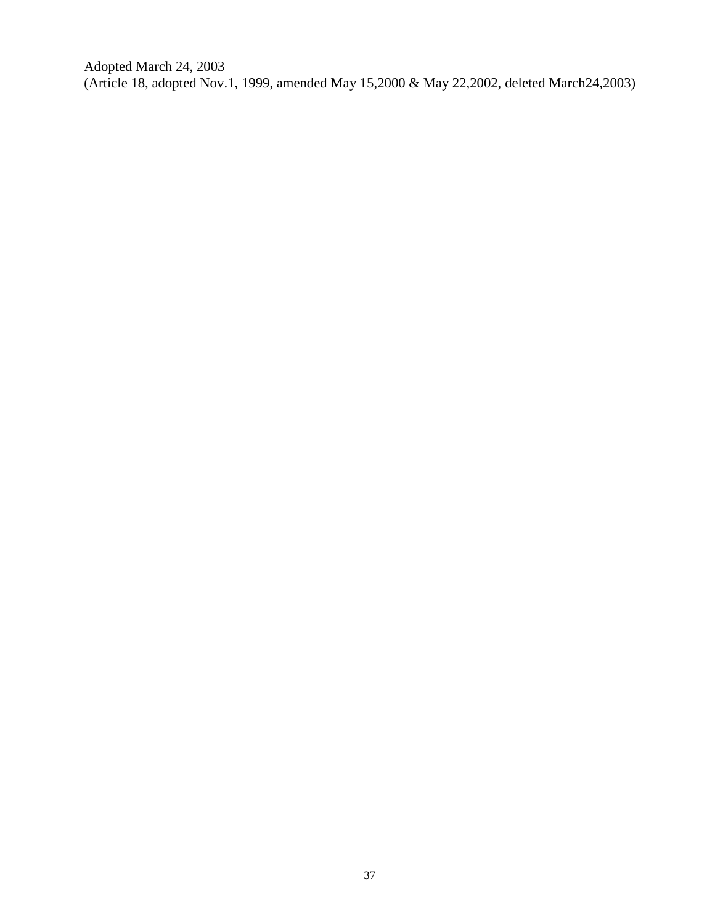Adopted March 24, 2003 (Article 18, adopted Nov.1, 1999, amended May 15,2000 & May 22,2002, deleted March24,2003)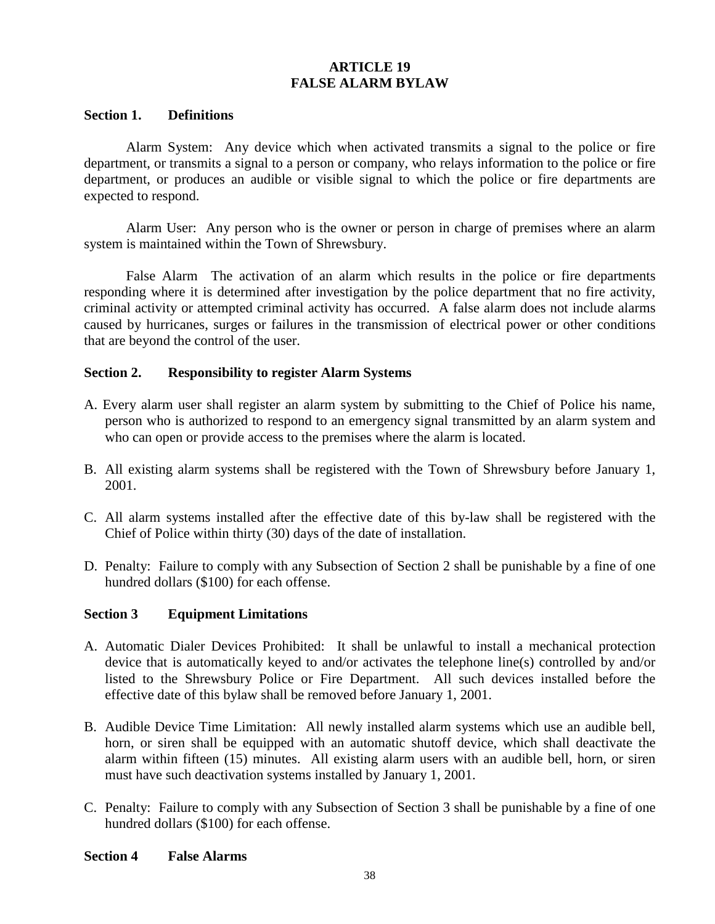# **ARTICLE 19 FALSE ALARM BYLAW**

### **Section 1. Definitions**

Alarm System: Any device which when activated transmits a signal to the police or fire department, or transmits a signal to a person or company, who relays information to the police or fire department, or produces an audible or visible signal to which the police or fire departments are expected to respond.

Alarm User: Any person who is the owner or person in charge of premises where an alarm system is maintained within the Town of Shrewsbury.

False Alarm The activation of an alarm which results in the police or fire departments responding where it is determined after investigation by the police department that no fire activity, criminal activity or attempted criminal activity has occurred. A false alarm does not include alarms caused by hurricanes, surges or failures in the transmission of electrical power or other conditions that are beyond the control of the user.

### **Section 2. Responsibility to register Alarm Systems**

- A. Every alarm user shall register an alarm system by submitting to the Chief of Police his name, person who is authorized to respond to an emergency signal transmitted by an alarm system and who can open or provide access to the premises where the alarm is located.
- B. All existing alarm systems shall be registered with the Town of Shrewsbury before January 1, 2001.
- C. All alarm systems installed after the effective date of this by-law shall be registered with the Chief of Police within thirty (30) days of the date of installation.
- D. Penalty: Failure to comply with any Subsection of Section 2 shall be punishable by a fine of one hundred dollars (\$100) for each offense.

#### **Section 3 Equipment Limitations**

- A. Automatic Dialer Devices Prohibited: It shall be unlawful to install a mechanical protection device that is automatically keyed to and/or activates the telephone line(s) controlled by and/or listed to the Shrewsbury Police or Fire Department. All such devices installed before the effective date of this bylaw shall be removed before January 1, 2001.
- B. Audible Device Time Limitation: All newly installed alarm systems which use an audible bell, horn, or siren shall be equipped with an automatic shutoff device, which shall deactivate the alarm within fifteen (15) minutes. All existing alarm users with an audible bell, horn, or siren must have such deactivation systems installed by January 1, 2001.
- C. Penalty: Failure to comply with any Subsection of Section 3 shall be punishable by a fine of one hundred dollars (\$100) for each offense.

#### **Section 4 False Alarms**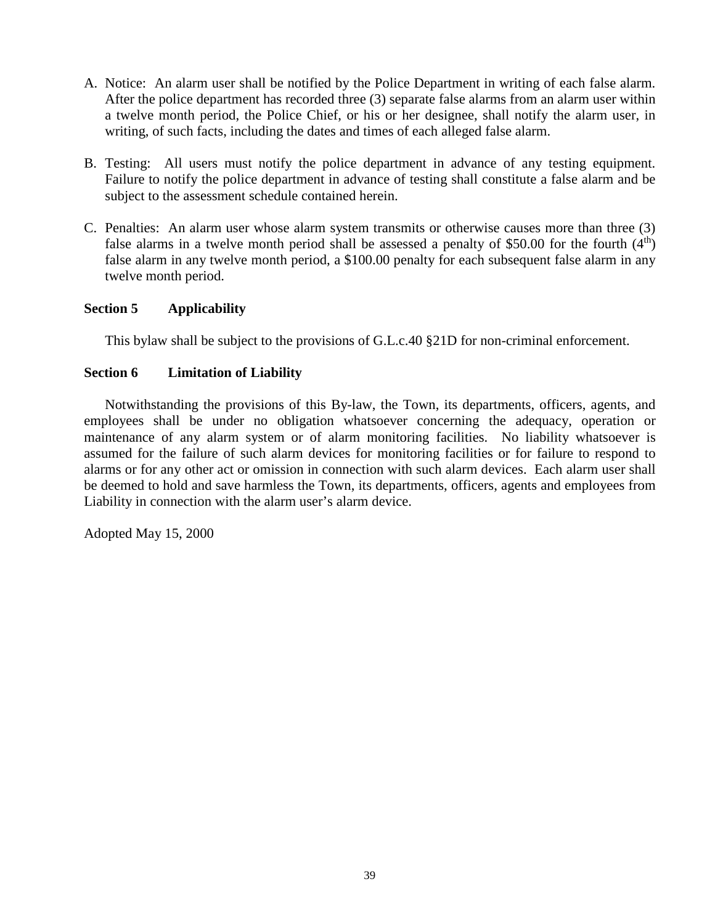- A. Notice: An alarm user shall be notified by the Police Department in writing of each false alarm. After the police department has recorded three (3) separate false alarms from an alarm user within a twelve month period, the Police Chief, or his or her designee, shall notify the alarm user, in writing, of such facts, including the dates and times of each alleged false alarm.
- B. Testing: All users must notify the police department in advance of any testing equipment. Failure to notify the police department in advance of testing shall constitute a false alarm and be subject to the assessment schedule contained herein.
- C. Penalties: An alarm user whose alarm system transmits or otherwise causes more than three (3) false alarms in a twelve month period shall be assessed a penalty of \$50.00 for the fourth  $(4<sup>th</sup>)$ false alarm in any twelve month period, a \$100.00 penalty for each subsequent false alarm in any twelve month period.

# **Section 5 Applicability**

This bylaw shall be subject to the provisions of G.L.c.40 §21D for non-criminal enforcement.

# **Section 6 Limitation of Liability**

Notwithstanding the provisions of this By-law, the Town, its departments, officers, agents, and employees shall be under no obligation whatsoever concerning the adequacy, operation or maintenance of any alarm system or of alarm monitoring facilities. No liability whatsoever is assumed for the failure of such alarm devices for monitoring facilities or for failure to respond to alarms or for any other act or omission in connection with such alarm devices. Each alarm user shall be deemed to hold and save harmless the Town, its departments, officers, agents and employees from Liability in connection with the alarm user's alarm device.

Adopted May 15, 2000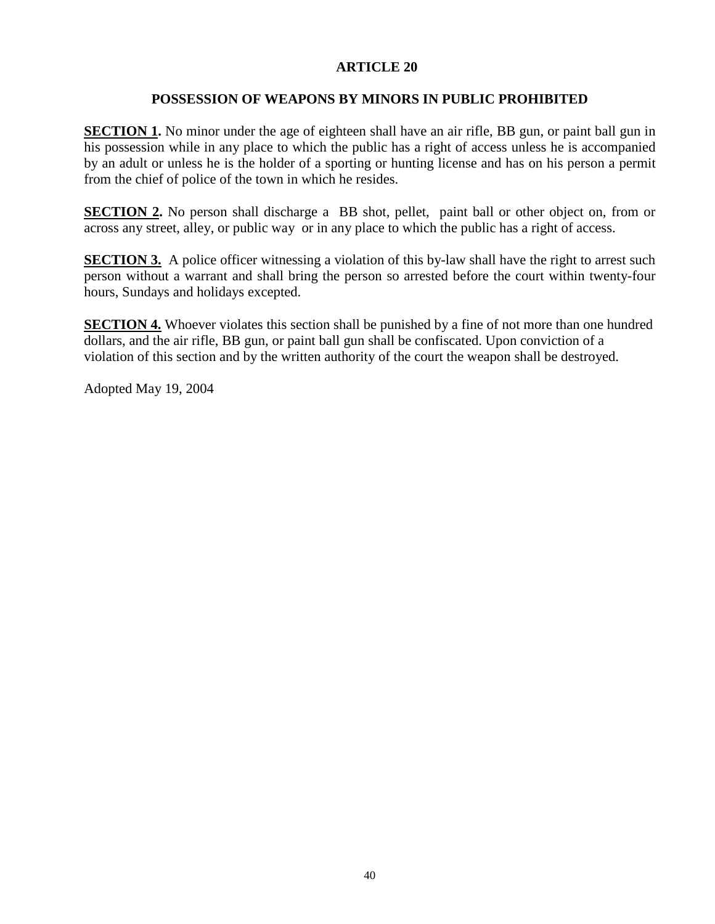# **ARTICLE 20**

# **POSSESSION OF WEAPONS BY MINORS IN PUBLIC PROHIBITED**

**SECTION 1.** No minor under the age of eighteen shall have an air rifle, BB gun, or paint ball gun in his possession while in any place to which the public has a right of access unless he is accompanied by an adult or unless he is the holder of a sporting or hunting license and has on his person a permit from the chief of police of the town in which he resides.

**SECTION 2.** No person shall discharge a BB shot, pellet, paint ball or other object on, from or across any street, alley, or public way or in any place to which the public has a right of access.

**SECTION 3.** A police officer witnessing a violation of this by-law shall have the right to arrest such person without a warrant and shall bring the person so arrested before the court within twenty-four hours, Sundays and holidays excepted.

**SECTION 4.** Whoever violates this section shall be punished by a fine of not more than one hundred dollars, and the air rifle, BB gun, or paint ball gun shall be confiscated. Upon conviction of a violation of this section and by the written authority of the court the weapon shall be destroyed.

Adopted May 19, 2004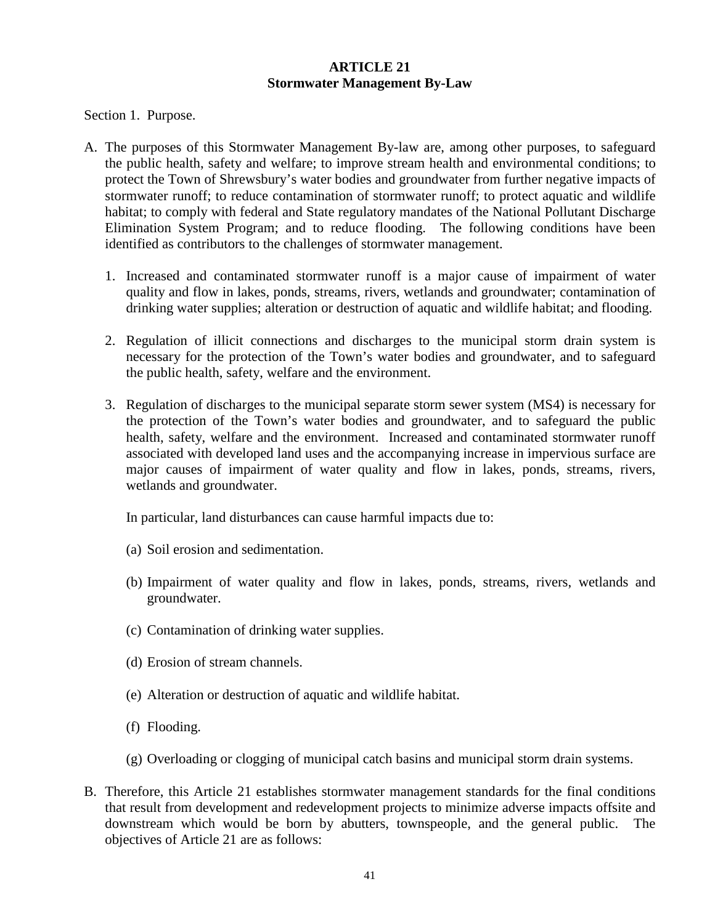## **ARTICLE 21 Stormwater Management By-Law**

Section 1. Purpose.

- A. The purposes of this Stormwater Management By-law are, among other purposes, to safeguard the public health, safety and welfare; to improve stream health and environmental conditions; to protect the Town of Shrewsbury's water bodies and groundwater from further negative impacts of stormwater runoff; to reduce contamination of stormwater runoff; to protect aquatic and wildlife habitat; to comply with federal and State regulatory mandates of the National Pollutant Discharge Elimination System Program; and to reduce flooding. The following conditions have been identified as contributors to the challenges of stormwater management.
	- 1. Increased and contaminated stormwater runoff is a major cause of impairment of water quality and flow in lakes, ponds, streams, rivers, wetlands and groundwater; contamination of drinking water supplies; alteration or destruction of aquatic and wildlife habitat; and flooding.
	- 2. Regulation of illicit connections and discharges to the municipal storm drain system is necessary for the protection of the Town's water bodies and groundwater, and to safeguard the public health, safety, welfare and the environment.
	- 3. Regulation of discharges to the municipal separate storm sewer system (MS4) is necessary for the protection of the Town's water bodies and groundwater, and to safeguard the public health, safety, welfare and the environment. Increased and contaminated stormwater runoff associated with developed land uses and the accompanying increase in impervious surface are major causes of impairment of water quality and flow in lakes, ponds, streams, rivers, wetlands and groundwater.

In particular, land disturbances can cause harmful impacts due to:

- (a) Soil erosion and sedimentation.
- (b) Impairment of water quality and flow in lakes, ponds, streams, rivers, wetlands and groundwater.
- (c) Contamination of drinking water supplies.
- (d) Erosion of stream channels.
- (e) Alteration or destruction of aquatic and wildlife habitat.
- (f) Flooding.
- (g) Overloading or clogging of municipal catch basins and municipal storm drain systems.
- B. Therefore, this Article 21 establishes stormwater management standards for the final conditions that result from development and redevelopment projects to minimize adverse impacts offsite and downstream which would be born by abutters, townspeople, and the general public. The objectives of Article 21 are as follows: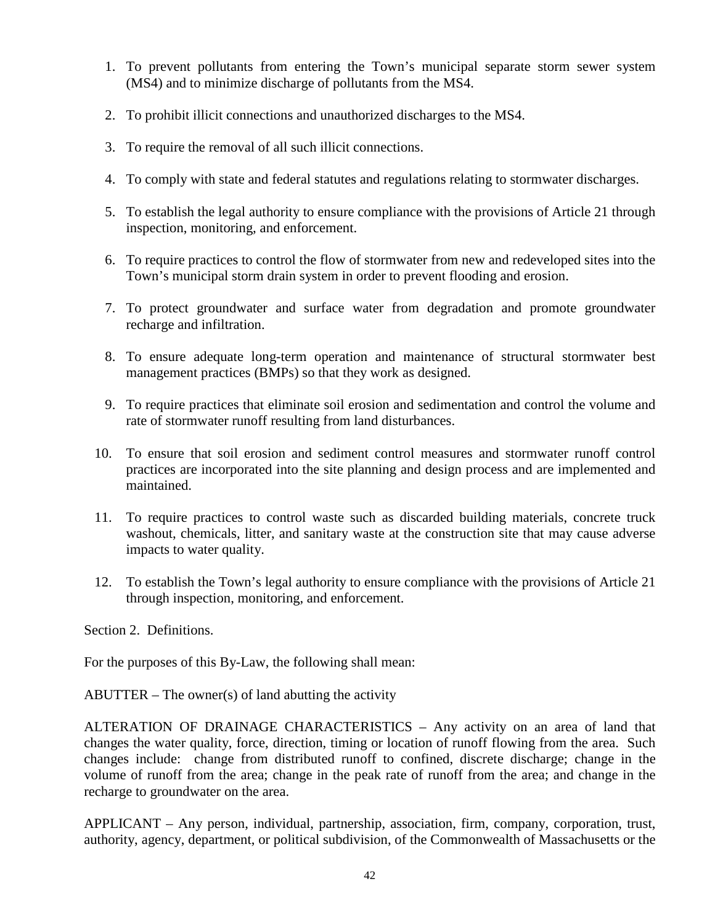- 1. To prevent pollutants from entering the Town's municipal separate storm sewer system (MS4) and to minimize discharge of pollutants from the MS4.
- 2. To prohibit illicit connections and unauthorized discharges to the MS4.
- 3. To require the removal of all such illicit connections.
- 4. To comply with state and federal statutes and regulations relating to stormwater discharges.
- 5. To establish the legal authority to ensure compliance with the provisions of Article 21 through inspection, monitoring, and enforcement.
- 6. To require practices to control the flow of stormwater from new and redeveloped sites into the Town's municipal storm drain system in order to prevent flooding and erosion.
- 7. To protect groundwater and surface water from degradation and promote groundwater recharge and infiltration.
- 8. To ensure adequate long-term operation and maintenance of structural stormwater best management practices (BMPs) so that they work as designed.
- 9. To require practices that eliminate soil erosion and sedimentation and control the volume and rate of stormwater runoff resulting from land disturbances.
- 10. To ensure that soil erosion and sediment control measures and stormwater runoff control practices are incorporated into the site planning and design process and are implemented and maintained.
- 11. To require practices to control waste such as discarded building materials, concrete truck washout, chemicals, litter, and sanitary waste at the construction site that may cause adverse impacts to water quality.
- 12. To establish the Town's legal authority to ensure compliance with the provisions of Article 21 through inspection, monitoring, and enforcement.

Section 2. Definitions.

For the purposes of this By-Law, the following shall mean:

 $ABUTTER$  – The owner(s) of land abutting the activity

ALTERATION OF DRAINAGE CHARACTERISTICS – Any activity on an area of land that changes the water quality, force, direction, timing or location of runoff flowing from the area. Such changes include: change from distributed runoff to confined, discrete discharge; change in the volume of runoff from the area; change in the peak rate of runoff from the area; and change in the recharge to groundwater on the area.

APPLICANT – Any person, individual, partnership, association, firm, company, corporation, trust, authority, agency, department, or political subdivision, of the Commonwealth of Massachusetts or the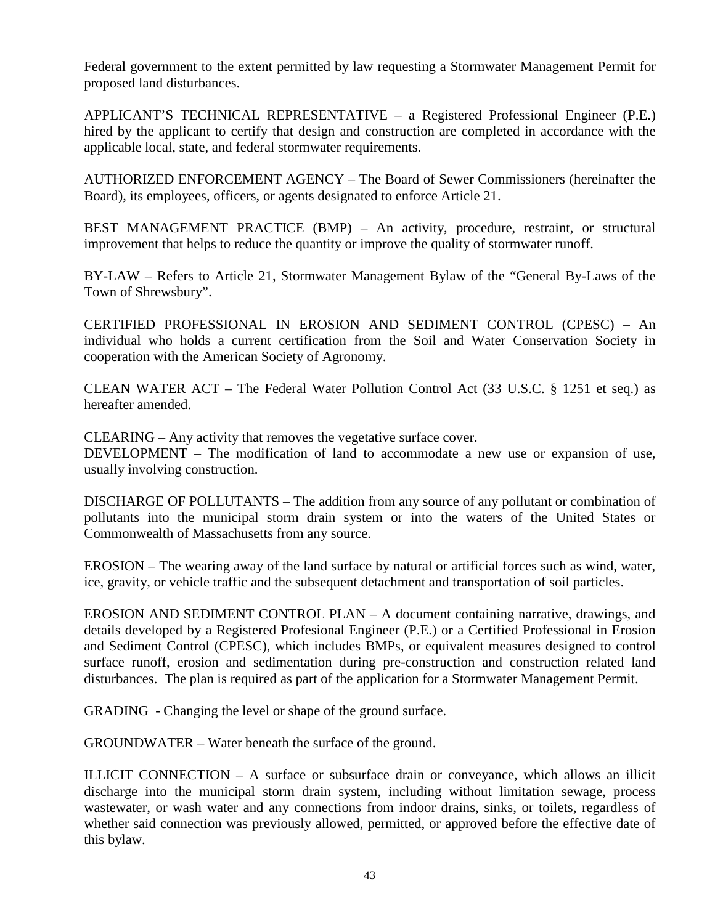Federal government to the extent permitted by law requesting a Stormwater Management Permit for proposed land disturbances.

APPLICANT'S TECHNICAL REPRESENTATIVE – a Registered Professional Engineer (P.E.) hired by the applicant to certify that design and construction are completed in accordance with the applicable local, state, and federal stormwater requirements.

AUTHORIZED ENFORCEMENT AGENCY – The Board of Sewer Commissioners (hereinafter the Board), its employees, officers, or agents designated to enforce Article 21.

BEST MANAGEMENT PRACTICE (BMP) – An activity, procedure, restraint, or structural improvement that helps to reduce the quantity or improve the quality of stormwater runoff.

BY-LAW – Refers to Article 21, Stormwater Management Bylaw of the "General By-Laws of the Town of Shrewsbury".

CERTIFIED PROFESSIONAL IN EROSION AND SEDIMENT CONTROL (CPESC) – An individual who holds a current certification from the Soil and Water Conservation Society in cooperation with the American Society of Agronomy.

CLEAN WATER ACT – The Federal Water Pollution Control Act (33 U.S.C. § 1251 et seq.) as hereafter amended.

CLEARING – Any activity that removes the vegetative surface cover.

DEVELOPMENT – The modification of land to accommodate a new use or expansion of use, usually involving construction.

DISCHARGE OF POLLUTANTS – The addition from any source of any pollutant or combination of pollutants into the municipal storm drain system or into the waters of the United States or Commonwealth of Massachusetts from any source.

EROSION – The wearing away of the land surface by natural or artificial forces such as wind, water, ice, gravity, or vehicle traffic and the subsequent detachment and transportation of soil particles.

EROSION AND SEDIMENT CONTROL PLAN – A document containing narrative, drawings, and details developed by a Registered Profesional Engineer (P.E.) or a Certified Professional in Erosion and Sediment Control (CPESC), which includes BMPs, or equivalent measures designed to control surface runoff, erosion and sedimentation during pre-construction and construction related land disturbances. The plan is required as part of the application for a Stormwater Management Permit.

GRADING - Changing the level or shape of the ground surface.

GROUNDWATER – Water beneath the surface of the ground.

ILLICIT CONNECTION – A surface or subsurface drain or conveyance, which allows an illicit discharge into the municipal storm drain system, including without limitation sewage, process wastewater, or wash water and any connections from indoor drains, sinks, or toilets, regardless of whether said connection was previously allowed, permitted, or approved before the effective date of this bylaw.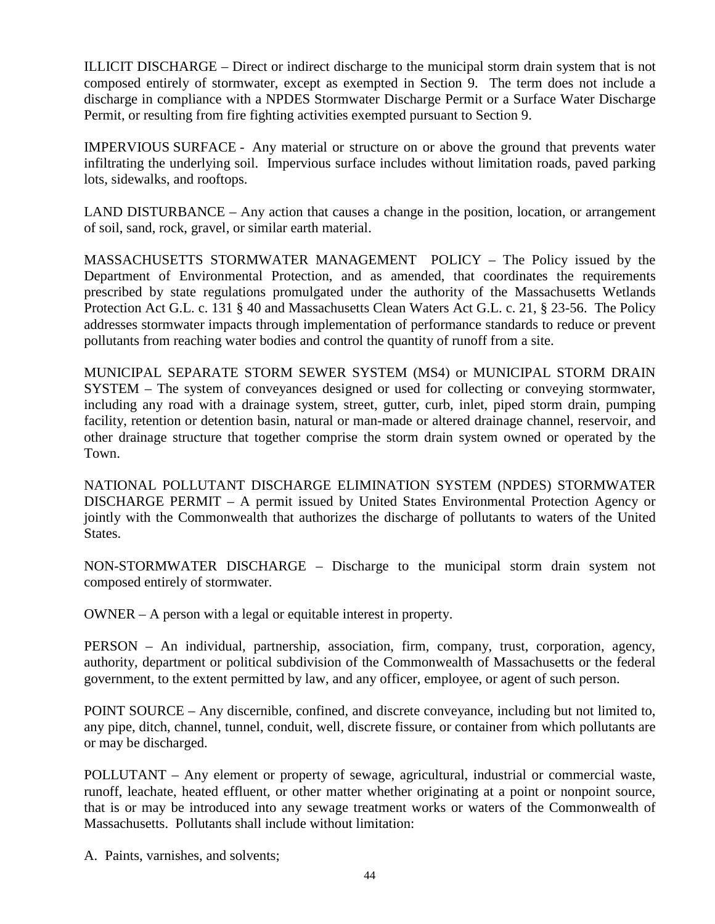ILLICIT DISCHARGE – Direct or indirect discharge to the municipal storm drain system that is not composed entirely of stormwater, except as exempted in Section 9. The term does not include a discharge in compliance with a NPDES Stormwater Discharge Permit or a Surface Water Discharge Permit, or resulting from fire fighting activities exempted pursuant to Section 9.

IMPERVIOUS SURFACE - Any material or structure on or above the ground that prevents water infiltrating the underlying soil. Impervious surface includes without limitation roads, paved parking lots, sidewalks, and rooftops.

LAND DISTURBANCE – Any action that causes a change in the position, location, or arrangement of soil, sand, rock, gravel, or similar earth material.

MASSACHUSETTS STORMWATER MANAGEMENT POLICY – The Policy issued by the Department of Environmental Protection, and as amended, that coordinates the requirements prescribed by state regulations promulgated under the authority of the Massachusetts Wetlands Protection Act G.L. c. 131 § 40 and Massachusetts Clean Waters Act G.L. c. 21, § 23-56. The Policy addresses stormwater impacts through implementation of performance standards to reduce or prevent pollutants from reaching water bodies and control the quantity of runoff from a site.

MUNICIPAL SEPARATE STORM SEWER SYSTEM (MS4) or MUNICIPAL STORM DRAIN SYSTEM – The system of conveyances designed or used for collecting or conveying stormwater, including any road with a drainage system, street, gutter, curb, inlet, piped storm drain, pumping facility, retention or detention basin, natural or man-made or altered drainage channel, reservoir, and other drainage structure that together comprise the storm drain system owned or operated by the Town.

NATIONAL POLLUTANT DISCHARGE ELIMINATION SYSTEM (NPDES) STORMWATER DISCHARGE PERMIT – A permit issued by United States Environmental Protection Agency or jointly with the Commonwealth that authorizes the discharge of pollutants to waters of the United States.

NON-STORMWATER DISCHARGE – Discharge to the municipal storm drain system not composed entirely of stormwater.

OWNER – A person with a legal or equitable interest in property.

PERSON – An individual, partnership, association, firm, company, trust, corporation, agency, authority, department or political subdivision of the Commonwealth of Massachusetts or the federal government, to the extent permitted by law, and any officer, employee, or agent of such person.

POINT SOURCE – Any discernible, confined, and discrete conveyance, including but not limited to, any pipe, ditch, channel, tunnel, conduit, well, discrete fissure, or container from which pollutants are or may be discharged.

POLLUTANT – Any element or property of sewage, agricultural, industrial or commercial waste, runoff, leachate, heated effluent, or other matter whether originating at a point or nonpoint source, that is or may be introduced into any sewage treatment works or waters of the Commonwealth of Massachusetts. Pollutants shall include without limitation:

A. Paints, varnishes, and solvents;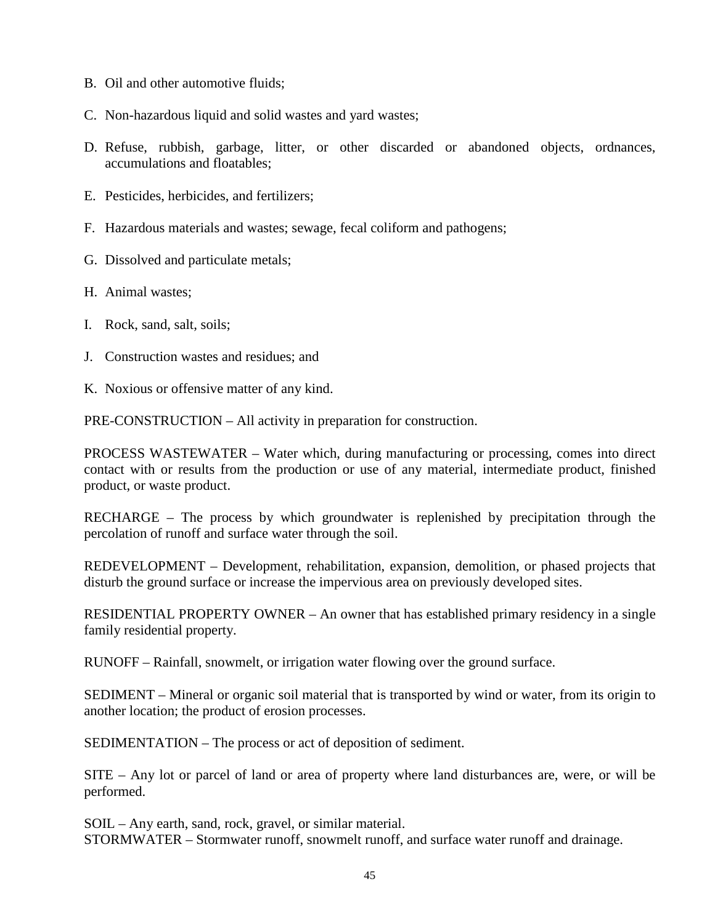- B. Oil and other automotive fluids;
- C. Non-hazardous liquid and solid wastes and yard wastes;
- D. Refuse, rubbish, garbage, litter, or other discarded or abandoned objects, ordnances, accumulations and floatables;
- E. Pesticides, herbicides, and fertilizers;
- F. Hazardous materials and wastes; sewage, fecal coliform and pathogens;
- G. Dissolved and particulate metals;
- H. Animal wastes;
- I. Rock, sand, salt, soils;
- J. Construction wastes and residues; and
- K. Noxious or offensive matter of any kind.

PRE-CONSTRUCTION – All activity in preparation for construction.

PROCESS WASTEWATER – Water which, during manufacturing or processing, comes into direct contact with or results from the production or use of any material, intermediate product, finished product, or waste product.

RECHARGE – The process by which groundwater is replenished by precipitation through the percolation of runoff and surface water through the soil.

REDEVELOPMENT – Development, rehabilitation, expansion, demolition, or phased projects that disturb the ground surface or increase the impervious area on previously developed sites.

RESIDENTIAL PROPERTY OWNER – An owner that has established primary residency in a single family residential property.

RUNOFF – Rainfall, snowmelt, or irrigation water flowing over the ground surface.

SEDIMENT – Mineral or organic soil material that is transported by wind or water, from its origin to another location; the product of erosion processes.

SEDIMENTATION – The process or act of deposition of sediment.

SITE – Any lot or parcel of land or area of property where land disturbances are, were, or will be performed.

SOIL – Any earth, sand, rock, gravel, or similar material. STORMWATER – Stormwater runoff, snowmelt runoff, and surface water runoff and drainage.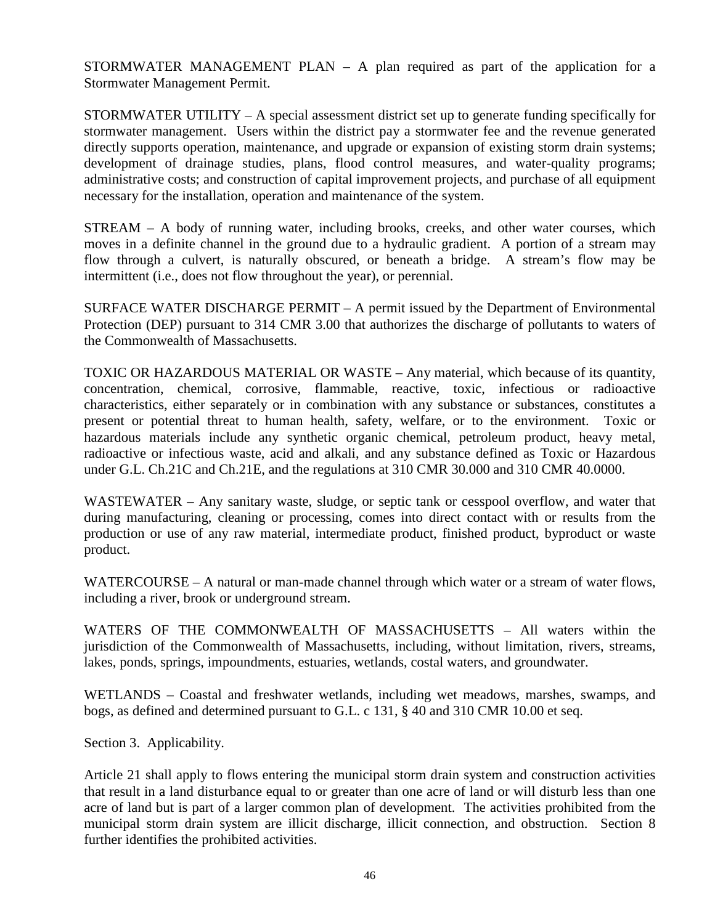STORMWATER MANAGEMENT PLAN  $-$  A plan required as part of the application for a Stormwater Management Permit.

STORMWATER UTILITY – A special assessment district set up to generate funding specifically for stormwater management. Users within the district pay a stormwater fee and the revenue generated directly supports operation, maintenance, and upgrade or expansion of existing storm drain systems; development of drainage studies, plans, flood control measures, and water-quality programs; administrative costs; and construction of capital improvement projects, and purchase of all equipment necessary for the installation, operation and maintenance of the system.

STREAM – A body of running water, including brooks, creeks, and other water courses, which moves in a definite channel in the ground due to a hydraulic gradient. A portion of a stream may flow through a culvert, is naturally obscured, or beneath a bridge. A stream's flow may be intermittent (i.e., does not flow throughout the year), or perennial.

SURFACE WATER DISCHARGE PERMIT – A permit issued by the Department of Environmental Protection (DEP) pursuant to 314 CMR 3.00 that authorizes the discharge of pollutants to waters of the Commonwealth of Massachusetts.

TOXIC OR HAZARDOUS MATERIAL OR WASTE – Any material, which because of its quantity, concentration, chemical, corrosive, flammable, reactive, toxic, infectious or radioactive characteristics, either separately or in combination with any substance or substances, constitutes a present or potential threat to human health, safety, welfare, or to the environment. Toxic or hazardous materials include any synthetic organic chemical, petroleum product, heavy metal, radioactive or infectious waste, acid and alkali, and any substance defined as Toxic or Hazardous under G.L. Ch.21C and Ch.21E, and the regulations at 310 CMR 30.000 and 310 CMR 40.0000.

WASTEWATER – Any sanitary waste, sludge, or septic tank or cesspool overflow, and water that during manufacturing, cleaning or processing, comes into direct contact with or results from the production or use of any raw material, intermediate product, finished product, byproduct or waste product.

WATERCOURSE – A natural or man-made channel through which water or a stream of water flows, including a river, brook or underground stream.

WATERS OF THE COMMONWEALTH OF MASSACHUSETTS – All waters within the jurisdiction of the Commonwealth of Massachusetts, including, without limitation, rivers, streams, lakes, ponds, springs, impoundments, estuaries, wetlands, costal waters, and groundwater.

WETLANDS – Coastal and freshwater wetlands, including wet meadows, marshes, swamps, and bogs, as defined and determined pursuant to G.L. c 131, § 40 and 310 CMR 10.00 et seq.

Section 3. Applicability.

Article 21 shall apply to flows entering the municipal storm drain system and construction activities that result in a land disturbance equal to or greater than one acre of land or will disturb less than one acre of land but is part of a larger common plan of development. The activities prohibited from the municipal storm drain system are illicit discharge, illicit connection, and obstruction. Section 8 further identifies the prohibited activities.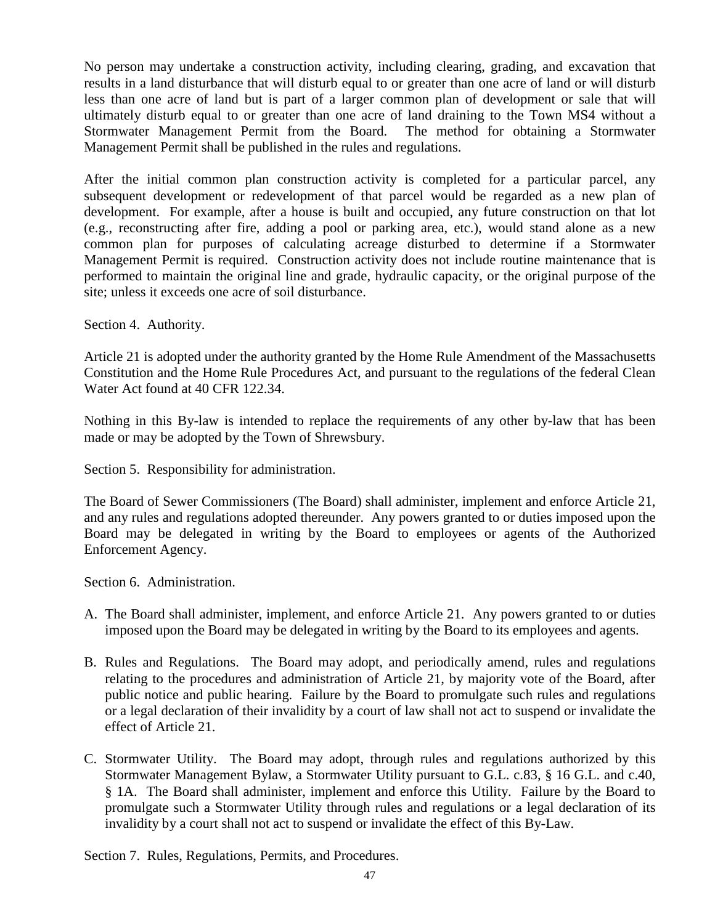No person may undertake a construction activity, including clearing, grading, and excavation that results in a land disturbance that will disturb equal to or greater than one acre of land or will disturb less than one acre of land but is part of a larger common plan of development or sale that will ultimately disturb equal to or greater than one acre of land draining to the Town MS4 without a Stormwater Management Permit from the Board. The method for obtaining a Stormwater Management Permit shall be published in the rules and regulations.

After the initial common plan construction activity is completed for a particular parcel, any subsequent development or redevelopment of that parcel would be regarded as a new plan of development. For example, after a house is built and occupied, any future construction on that lot (e.g., reconstructing after fire, adding a pool or parking area, etc.), would stand alone as a new common plan for purposes of calculating acreage disturbed to determine if a Stormwater Management Permit is required. Construction activity does not include routine maintenance that is performed to maintain the original line and grade, hydraulic capacity, or the original purpose of the site; unless it exceeds one acre of soil disturbance.

Section 4. Authority.

Article 21 is adopted under the authority granted by the Home Rule Amendment of the Massachusetts Constitution and the Home Rule Procedures Act, and pursuant to the regulations of the federal Clean Water Act found at 40 CFR 122.34.

Nothing in this By-law is intended to replace the requirements of any other by-law that has been made or may be adopted by the Town of Shrewsbury.

Section 5. Responsibility for administration.

The Board of Sewer Commissioners (The Board) shall administer, implement and enforce Article 21, and any rules and regulations adopted thereunder. Any powers granted to or duties imposed upon the Board may be delegated in writing by the Board to employees or agents of the Authorized Enforcement Agency.

Section 6. Administration.

- A. The Board shall administer, implement, and enforce Article 21. Any powers granted to or duties imposed upon the Board may be delegated in writing by the Board to its employees and agents.
- B. Rules and Regulations. The Board may adopt, and periodically amend, rules and regulations relating to the procedures and administration of Article 21, by majority vote of the Board, after public notice and public hearing. Failure by the Board to promulgate such rules and regulations or a legal declaration of their invalidity by a court of law shall not act to suspend or invalidate the effect of Article 21.
- C. Stormwater Utility. The Board may adopt, through rules and regulations authorized by this Stormwater Management Bylaw, a Stormwater Utility pursuant to G.L. c.83, § 16 G.L. and c.40, § 1A. The Board shall administer, implement and enforce this Utility. Failure by the Board to promulgate such a Stormwater Utility through rules and regulations or a legal declaration of its invalidity by a court shall not act to suspend or invalidate the effect of this By-Law.

Section 7. Rules, Regulations, Permits, and Procedures.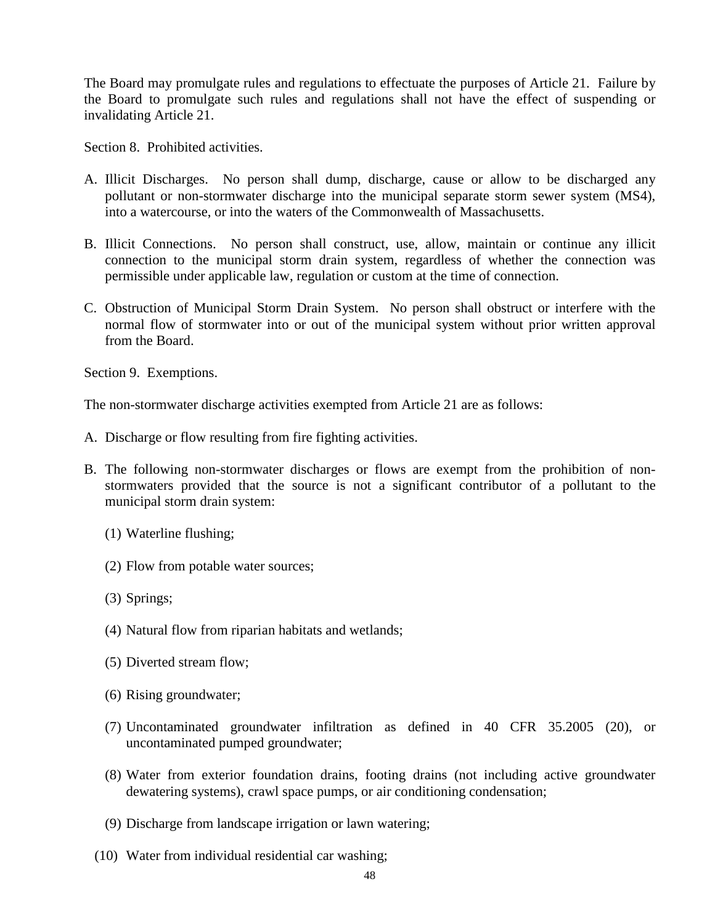The Board may promulgate rules and regulations to effectuate the purposes of Article 21. Failure by the Board to promulgate such rules and regulations shall not have the effect of suspending or invalidating Article 21.

Section 8. Prohibited activities.

- A. Illicit Discharges. No person shall dump, discharge, cause or allow to be discharged any pollutant or non-stormwater discharge into the municipal separate storm sewer system (MS4), into a watercourse, or into the waters of the Commonwealth of Massachusetts.
- B. Illicit Connections. No person shall construct, use, allow, maintain or continue any illicit connection to the municipal storm drain system, regardless of whether the connection was permissible under applicable law, regulation or custom at the time of connection.
- C. Obstruction of Municipal Storm Drain System. No person shall obstruct or interfere with the normal flow of stormwater into or out of the municipal system without prior written approval from the Board.

Section 9. Exemptions.

The non-stormwater discharge activities exempted from Article 21 are as follows:

- A. Discharge or flow resulting from fire fighting activities.
- B. The following non-stormwater discharges or flows are exempt from the prohibition of nonstormwaters provided that the source is not a significant contributor of a pollutant to the municipal storm drain system:
	- (1) Waterline flushing;
	- (2) Flow from potable water sources;
	- (3) Springs;
	- (4) Natural flow from riparian habitats and wetlands;
	- (5) Diverted stream flow;
	- (6) Rising groundwater;
	- (7) Uncontaminated groundwater infiltration as defined in 40 CFR 35.2005 (20), or uncontaminated pumped groundwater;
	- (8) Water from exterior foundation drains, footing drains (not including active groundwater dewatering systems), crawl space pumps, or air conditioning condensation;
	- (9) Discharge from landscape irrigation or lawn watering;
	- (10) Water from individual residential car washing;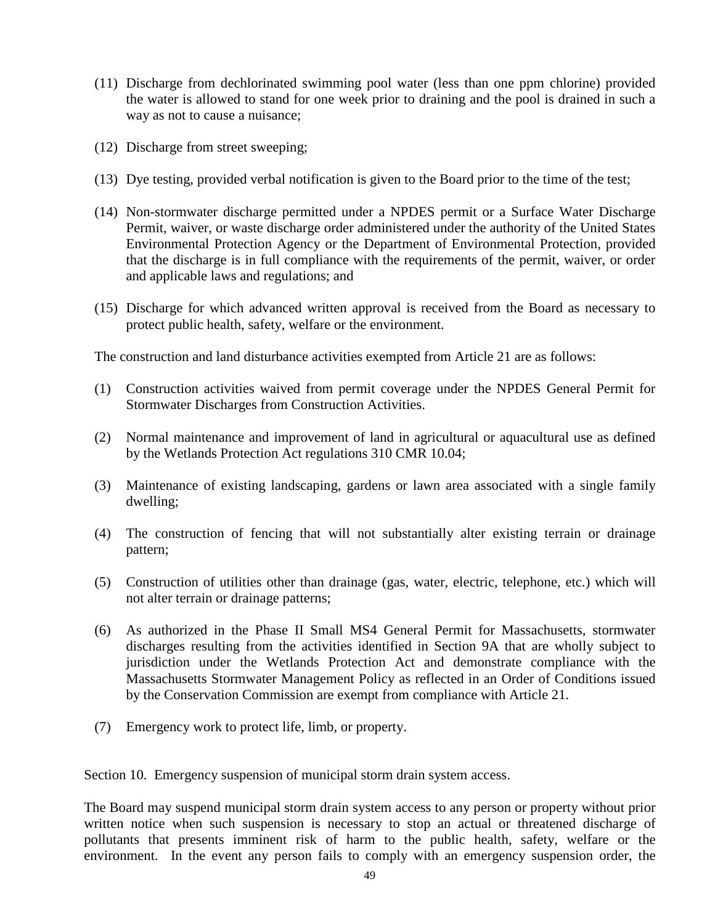- (11) Discharge from dechlorinated swimming pool water (less than one ppm chlorine) provided the water is allowed to stand for one week prior to draining and the pool is drained in such a way as not to cause a nuisance;
- (12) Discharge from street sweeping;
- (13) Dye testing, provided verbal notification is given to the Board prior to the time of the test;
- (14) Non-stormwater discharge permitted under a NPDES permit or a Surface Water Discharge Permit, waiver, or waste discharge order administered under the authority of the United States Environmental Protection Agency or the Department of Environmental Protection, provided that the discharge is in full compliance with the requirements of the permit, waiver, or order and applicable laws and regulations; and
- (15) Discharge for which advanced written approval is received from the Board as necessary to protect public health, safety, welfare or the environment.

The construction and land disturbance activities exempted from Article 21 are as follows:

- (1) Construction activities waived from permit coverage under the NPDES General Permit for Stormwater Discharges from Construction Activities.
- (2) Normal maintenance and improvement of land in agricultural or aquacultural use as defined by the Wetlands Protection Act regulations 310 CMR 10.04;
- (3) Maintenance of existing landscaping, gardens or lawn area associated with a single family dwelling;
- (4) The construction of fencing that will not substantially alter existing terrain or drainage pattern;
- (5) Construction of utilities other than drainage (gas, water, electric, telephone, etc.) which will not alter terrain or drainage patterns;
- (6) As authorized in the Phase II Small MS4 General Permit for Massachusetts, stormwater discharges resulting from the activities identified in Section 9A that are wholly subject to jurisdiction under the Wetlands Protection Act and demonstrate compliance with the Massachusetts Stormwater Management Policy as reflected in an Order of Conditions issued by the Conservation Commission are exempt from compliance with Article 21.
- (7) Emergency work to protect life, limb, or property.

Section 10. Emergency suspension of municipal storm drain system access.

The Board may suspend municipal storm drain system access to any person or property without prior written notice when such suspension is necessary to stop an actual or threatened discharge of pollutants that presents imminent risk of harm to the public health, safety, welfare or the environment. In the event any person fails to comply with an emergency suspension order, the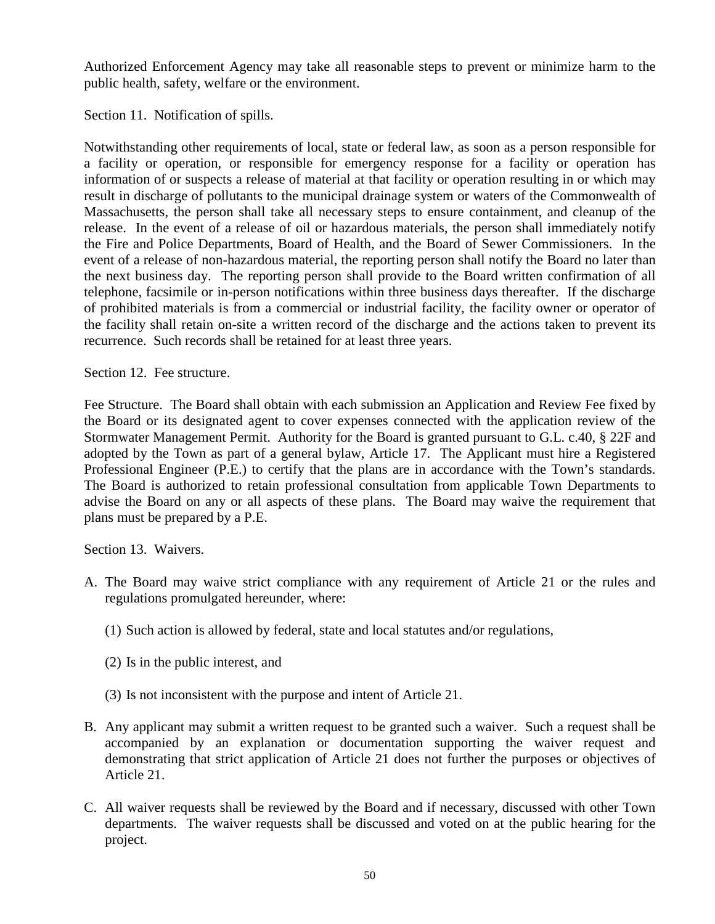Authorized Enforcement Agency may take all reasonable steps to prevent or minimize harm to the public health, safety, welfare or the environment.

Section 11. Notification of spills.

Notwithstanding other requirements of local, state or federal law, as soon as a person responsible for a facility or operation, or responsible for emergency response for a facility or operation has information of or suspects a release of material at that facility or operation resulting in or which may result in discharge of pollutants to the municipal drainage system or waters of the Commonwealth of Massachusetts, the person shall take all necessary steps to ensure containment, and cleanup of the release. In the event of a release of oil or hazardous materials, the person shall immediately notify the Fire and Police Departments, Board of Health, and the Board of Sewer Commissioners. In the event of a release of non-hazardous material, the reporting person shall notify the Board no later than the next business day. The reporting person shall provide to the Board written confirmation of all telephone, facsimile or in-person notifications within three business days thereafter. If the discharge of prohibited materials is from a commercial or industrial facility, the facility owner or operator of the facility shall retain on-site a written record of the discharge and the actions taken to prevent its recurrence. Such records shall be retained for at least three years.

Section 12. Fee structure.

Fee Structure. The Board shall obtain with each submission an Application and Review Fee fixed by the Board or its designated agent to cover expenses connected with the application review of the Stormwater Management Permit. Authority for the Board is granted pursuant to G.L. c.40, § 22F and adopted by the Town as part of a general bylaw, Article 17. The Applicant must hire a Registered Professional Engineer (P.E.) to certify that the plans are in accordance with the Town's standards. The Board is authorized to retain professional consultation from applicable Town Departments to advise the Board on any or all aspects of these plans. The Board may waive the requirement that plans must be prepared by a P.E.

Section 13. Waivers.

- A. The Board may waive strict compliance with any requirement of Article 21 or the rules and regulations promulgated hereunder, where:
	- (1) Such action is allowed by federal, state and local statutes and/or regulations,
	- (2) Is in the public interest, and
	- (3) Is not inconsistent with the purpose and intent of Article 21.
- B. Any applicant may submit a written request to be granted such a waiver. Such a request shall be accompanied by an explanation or documentation supporting the waiver request and demonstrating that strict application of Article 21 does not further the purposes or objectives of Article 21.
- C. All waiver requests shall be reviewed by the Board and if necessary, discussed with other Town departments. The waiver requests shall be discussed and voted on at the public hearing for the project.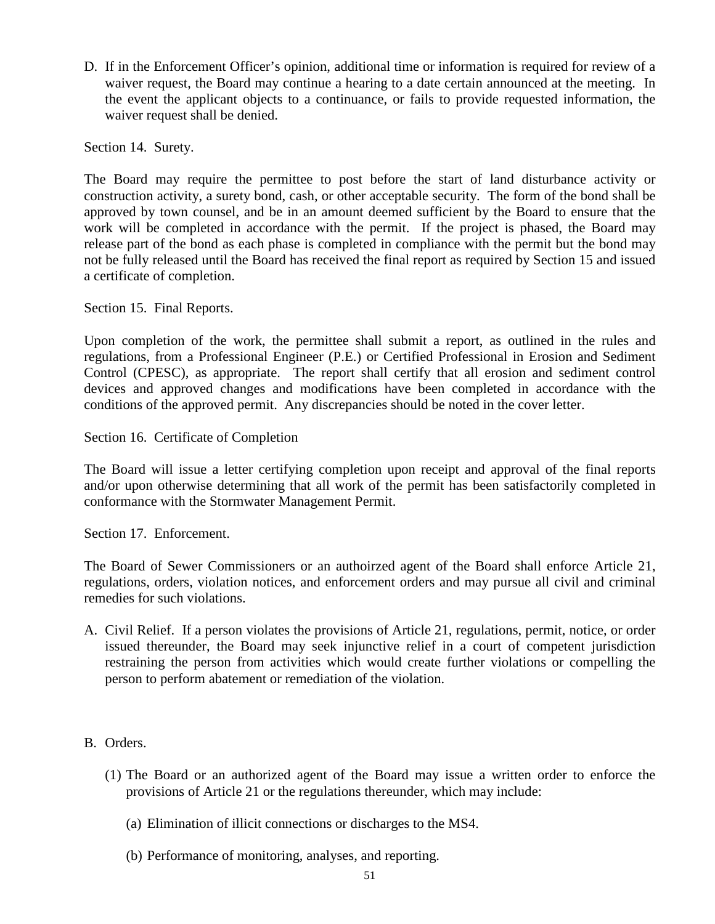D. If in the Enforcement Officer's opinion, additional time or information is required for review of a waiver request, the Board may continue a hearing to a date certain announced at the meeting. In the event the applicant objects to a continuance, or fails to provide requested information, the waiver request shall be denied.

Section 14. Surety.

The Board may require the permittee to post before the start of land disturbance activity or construction activity, a surety bond, cash, or other acceptable security. The form of the bond shall be approved by town counsel, and be in an amount deemed sufficient by the Board to ensure that the work will be completed in accordance with the permit. If the project is phased, the Board may release part of the bond as each phase is completed in compliance with the permit but the bond may not be fully released until the Board has received the final report as required by Section 15 and issued a certificate of completion.

Section 15. Final Reports.

Upon completion of the work, the permittee shall submit a report, as outlined in the rules and regulations, from a Professional Engineer (P.E.) or Certified Professional in Erosion and Sediment Control (CPESC), as appropriate. The report shall certify that all erosion and sediment control devices and approved changes and modifications have been completed in accordance with the conditions of the approved permit. Any discrepancies should be noted in the cover letter.

Section 16. Certificate of Completion

The Board will issue a letter certifying completion upon receipt and approval of the final reports and/or upon otherwise determining that all work of the permit has been satisfactorily completed in conformance with the Stormwater Management Permit.

Section 17. Enforcement.

The Board of Sewer Commissioners or an authoirzed agent of the Board shall enforce Article 21, regulations, orders, violation notices, and enforcement orders and may pursue all civil and criminal remedies for such violations.

- A. Civil Relief. If a person violates the provisions of Article 21, regulations, permit, notice, or order issued thereunder, the Board may seek injunctive relief in a court of competent jurisdiction restraining the person from activities which would create further violations or compelling the person to perform abatement or remediation of the violation.
- B. Orders.
	- (1) The Board or an authorized agent of the Board may issue a written order to enforce the provisions of Article 21 or the regulations thereunder, which may include:
		- (a) Elimination of illicit connections or discharges to the MS4.
		- (b) Performance of monitoring, analyses, and reporting.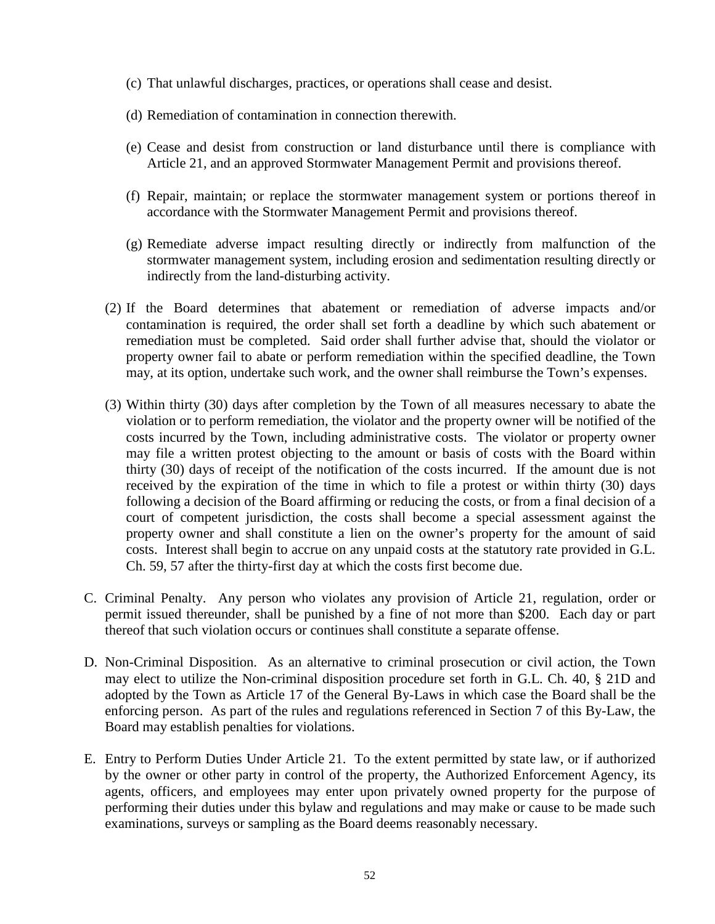- (c) That unlawful discharges, practices, or operations shall cease and desist.
- (d) Remediation of contamination in connection therewith.
- (e) Cease and desist from construction or land disturbance until there is compliance with Article 21, and an approved Stormwater Management Permit and provisions thereof.
- (f) Repair, maintain; or replace the stormwater management system or portions thereof in accordance with the Stormwater Management Permit and provisions thereof.
- (g) Remediate adverse impact resulting directly or indirectly from malfunction of the stormwater management system, including erosion and sedimentation resulting directly or indirectly from the land-disturbing activity.
- (2) If the Board determines that abatement or remediation of adverse impacts and/or contamination is required, the order shall set forth a deadline by which such abatement or remediation must be completed. Said order shall further advise that, should the violator or property owner fail to abate or perform remediation within the specified deadline, the Town may, at its option, undertake such work, and the owner shall reimburse the Town's expenses.
- (3) Within thirty (30) days after completion by the Town of all measures necessary to abate the violation or to perform remediation, the violator and the property owner will be notified of the costs incurred by the Town, including administrative costs. The violator or property owner may file a written protest objecting to the amount or basis of costs with the Board within thirty (30) days of receipt of the notification of the costs incurred. If the amount due is not received by the expiration of the time in which to file a protest or within thirty (30) days following a decision of the Board affirming or reducing the costs, or from a final decision of a court of competent jurisdiction, the costs shall become a special assessment against the property owner and shall constitute a lien on the owner's property for the amount of said costs. Interest shall begin to accrue on any unpaid costs at the statutory rate provided in G.L. Ch. 59, 57 after the thirty-first day at which the costs first become due.
- C. Criminal Penalty. Any person who violates any provision of Article 21, regulation, order or permit issued thereunder, shall be punished by a fine of not more than \$200. Each day or part thereof that such violation occurs or continues shall constitute a separate offense.
- D. Non-Criminal Disposition. As an alternative to criminal prosecution or civil action, the Town may elect to utilize the Non-criminal disposition procedure set forth in G.L. Ch. 40, § 21D and adopted by the Town as Article 17 of the General By-Laws in which case the Board shall be the enforcing person. As part of the rules and regulations referenced in Section 7 of this By-Law, the Board may establish penalties for violations.
- E. Entry to Perform Duties Under Article 21. To the extent permitted by state law, or if authorized by the owner or other party in control of the property, the Authorized Enforcement Agency, its agents, officers, and employees may enter upon privately owned property for the purpose of performing their duties under this bylaw and regulations and may make or cause to be made such examinations, surveys or sampling as the Board deems reasonably necessary.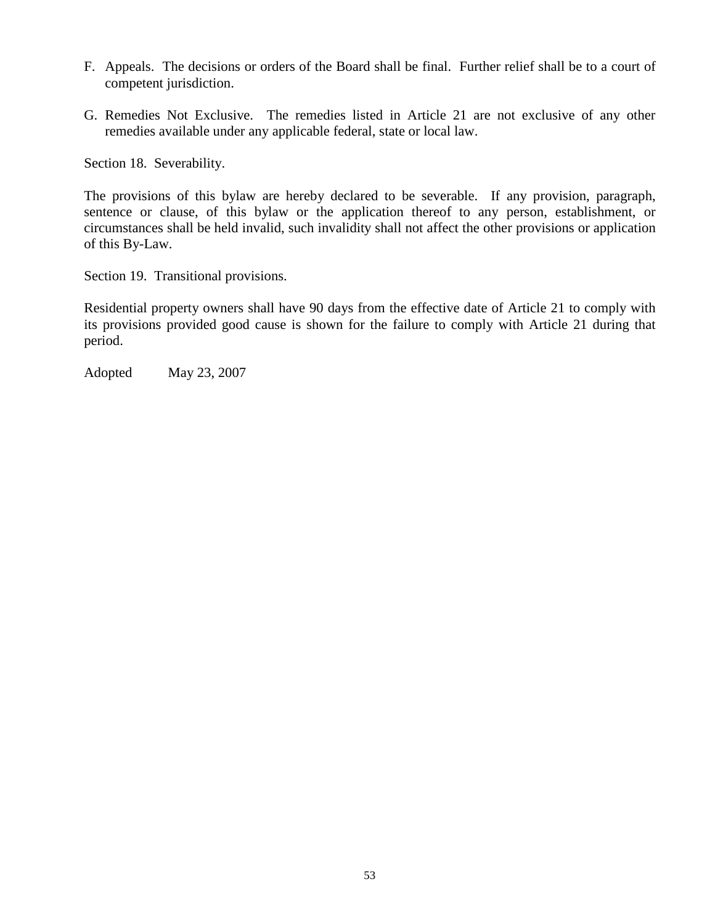- F. Appeals. The decisions or orders of the Board shall be final. Further relief shall be to a court of competent jurisdiction.
- G. Remedies Not Exclusive. The remedies listed in Article 21 are not exclusive of any other remedies available under any applicable federal, state or local law.

Section 18. Severability.

The provisions of this bylaw are hereby declared to be severable. If any provision, paragraph, sentence or clause, of this bylaw or the application thereof to any person, establishment, or circumstances shall be held invalid, such invalidity shall not affect the other provisions or application of this By-Law.

Section 19. Transitional provisions.

Residential property owners shall have 90 days from the effective date of Article 21 to comply with its provisions provided good cause is shown for the failure to comply with Article 21 during that period.

Adopted May 23, 2007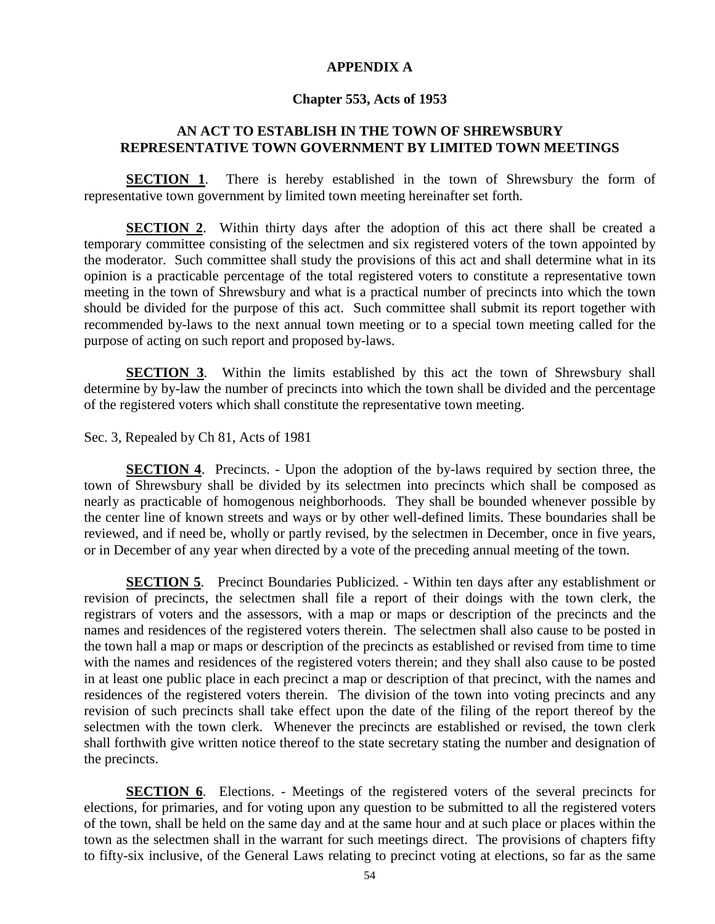### **APPENDIX A**

#### **Chapter 553, Acts of 1953**

# **AN ACT TO ESTABLISH IN THE TOWN OF SHREWSBURY REPRESENTATIVE TOWN GOVERNMENT BY LIMITED TOWN MEETINGS**

**SECTION 1.** There is hereby established in the town of Shrewsbury the form of representative town government by limited town meeting hereinafter set forth.

**SECTION 2.** Within thirty days after the adoption of this act there shall be created a temporary committee consisting of the selectmen and six registered voters of the town appointed by the moderator. Such committee shall study the provisions of this act and shall determine what in its opinion is a practicable percentage of the total registered voters to constitute a representative town meeting in the town of Shrewsbury and what is a practical number of precincts into which the town should be divided for the purpose of this act. Such committee shall submit its report together with recommended by-laws to the next annual town meeting or to a special town meeting called for the purpose of acting on such report and proposed by-laws.

**SECTION 3**. Within the limits established by this act the town of Shrewsbury shall determine by by-law the number of precincts into which the town shall be divided and the percentage of the registered voters which shall constitute the representative town meeting.

Sec. 3, Repealed by Ch 81, Acts of 1981

**SECTION 4.** Precincts. - Upon the adoption of the by-laws required by section three, the town of Shrewsbury shall be divided by its selectmen into precincts which shall be composed as nearly as practicable of homogenous neighborhoods. They shall be bounded whenever possible by the center line of known streets and ways or by other well-defined limits. These boundaries shall be reviewed, and if need be, wholly or partly revised, by the selectmen in December, once in five years, or in December of any year when directed by a vote of the preceding annual meeting of the town.

**SECTION 5.** Precinct Boundaries Publicized. - Within ten days after any establishment or revision of precincts, the selectmen shall file a report of their doings with the town clerk, the registrars of voters and the assessors, with a map or maps or description of the precincts and the names and residences of the registered voters therein. The selectmen shall also cause to be posted in the town hall a map or maps or description of the precincts as established or revised from time to time with the names and residences of the registered voters therein; and they shall also cause to be posted in at least one public place in each precinct a map or description of that precinct, with the names and residences of the registered voters therein. The division of the town into voting precincts and any revision of such precincts shall take effect upon the date of the filing of the report thereof by the selectmen with the town clerk. Whenever the precincts are established or revised, the town clerk shall forthwith give written notice thereof to the state secretary stating the number and designation of the precincts.

**SECTION 6.** Elections. - Meetings of the registered voters of the several precincts for elections, for primaries, and for voting upon any question to be submitted to all the registered voters of the town, shall be held on the same day and at the same hour and at such place or places within the town as the selectmen shall in the warrant for such meetings direct. The provisions of chapters fifty to fifty-six inclusive, of the General Laws relating to precinct voting at elections, so far as the same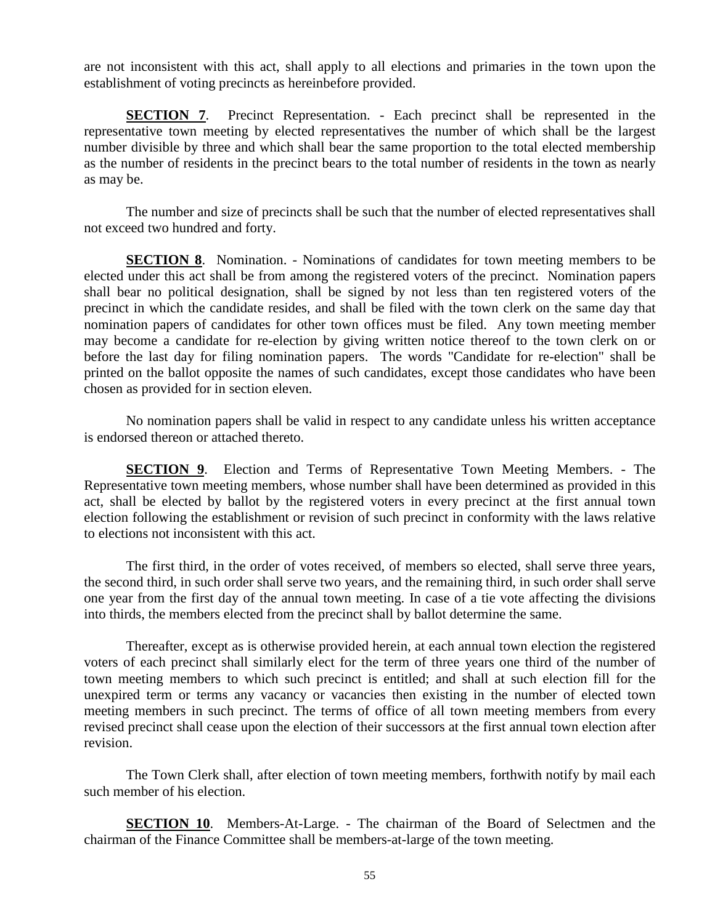are not inconsistent with this act, shall apply to all elections and primaries in the town upon the establishment of voting precincts as hereinbefore provided.

**SECTION 7.** Precinct Representation. - Each precinct shall be represented in the representative town meeting by elected representatives the number of which shall be the largest number divisible by three and which shall bear the same proportion to the total elected membership as the number of residents in the precinct bears to the total number of residents in the town as nearly as may be.

The number and size of precincts shall be such that the number of elected representatives shall not exceed two hundred and forty.

**SECTION 8.** Nomination. - Nominations of candidates for town meeting members to be elected under this act shall be from among the registered voters of the precinct. Nomination papers shall bear no political designation, shall be signed by not less than ten registered voters of the precinct in which the candidate resides, and shall be filed with the town clerk on the same day that nomination papers of candidates for other town offices must be filed. Any town meeting member may become a candidate for re-election by giving written notice thereof to the town clerk on or before the last day for filing nomination papers. The words "Candidate for re-election" shall be printed on the ballot opposite the names of such candidates, except those candidates who have been chosen as provided for in section eleven.

No nomination papers shall be valid in respect to any candidate unless his written acceptance is endorsed thereon or attached thereto.

**SECTION 9**. Election and Terms of Representative Town Meeting Members. - The Representative town meeting members, whose number shall have been determined as provided in this act, shall be elected by ballot by the registered voters in every precinct at the first annual town election following the establishment or revision of such precinct in conformity with the laws relative to elections not inconsistent with this act.

The first third, in the order of votes received, of members so elected, shall serve three years, the second third, in such order shall serve two years, and the remaining third, in such order shall serve one year from the first day of the annual town meeting. In case of a tie vote affecting the divisions into thirds, the members elected from the precinct shall by ballot determine the same.

Thereafter, except as is otherwise provided herein, at each annual town election the registered voters of each precinct shall similarly elect for the term of three years one third of the number of town meeting members to which such precinct is entitled; and shall at such election fill for the unexpired term or terms any vacancy or vacancies then existing in the number of elected town meeting members in such precinct. The terms of office of all town meeting members from every revised precinct shall cease upon the election of their successors at the first annual town election after revision.

The Town Clerk shall, after election of town meeting members, forthwith notify by mail each such member of his election.

**SECTION 10**. Members-At-Large. - The chairman of the Board of Selectmen and the chairman of the Finance Committee shall be members-at-large of the town meeting.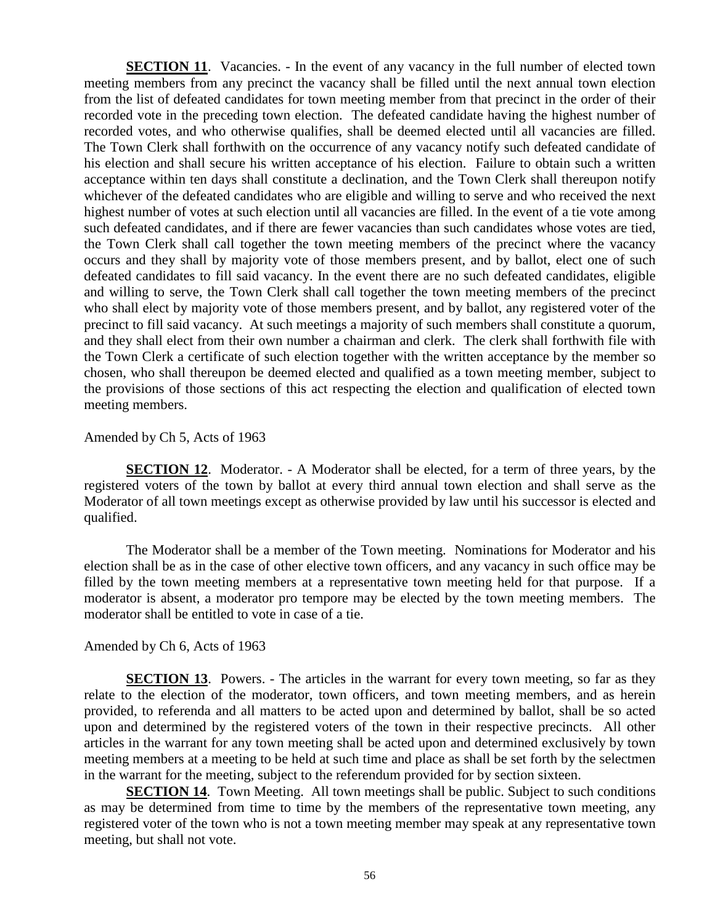**SECTION 11.** Vacancies. - In the event of any vacancy in the full number of elected town meeting members from any precinct the vacancy shall be filled until the next annual town election from the list of defeated candidates for town meeting member from that precinct in the order of their recorded vote in the preceding town election. The defeated candidate having the highest number of recorded votes, and who otherwise qualifies, shall be deemed elected until all vacancies are filled. The Town Clerk shall forthwith on the occurrence of any vacancy notify such defeated candidate of his election and shall secure his written acceptance of his election. Failure to obtain such a written acceptance within ten days shall constitute a declination, and the Town Clerk shall thereupon notify whichever of the defeated candidates who are eligible and willing to serve and who received the next highest number of votes at such election until all vacancies are filled. In the event of a tie vote among such defeated candidates, and if there are fewer vacancies than such candidates whose votes are tied, the Town Clerk shall call together the town meeting members of the precinct where the vacancy occurs and they shall by majority vote of those members present, and by ballot, elect one of such defeated candidates to fill said vacancy. In the event there are no such defeated candidates, eligible and willing to serve, the Town Clerk shall call together the town meeting members of the precinct who shall elect by majority vote of those members present, and by ballot, any registered voter of the precinct to fill said vacancy. At such meetings a majority of such members shall constitute a quorum, and they shall elect from their own number a chairman and clerk. The clerk shall forthwith file with the Town Clerk a certificate of such election together with the written acceptance by the member so chosen, who shall thereupon be deemed elected and qualified as a town meeting member, subject to the provisions of those sections of this act respecting the election and qualification of elected town meeting members.

#### Amended by Ch 5, Acts of 1963

**SECTION 12**. Moderator. - A Moderator shall be elected, for a term of three years, by the registered voters of the town by ballot at every third annual town election and shall serve as the Moderator of all town meetings except as otherwise provided by law until his successor is elected and qualified.

The Moderator shall be a member of the Town meeting. Nominations for Moderator and his election shall be as in the case of other elective town officers, and any vacancy in such office may be filled by the town meeting members at a representative town meeting held for that purpose. If a moderator is absent, a moderator pro tempore may be elected by the town meeting members. The moderator shall be entitled to vote in case of a tie.

#### Amended by Ch 6, Acts of 1963

**SECTION 13**. Powers. - The articles in the warrant for every town meeting, so far as they relate to the election of the moderator, town officers, and town meeting members, and as herein provided, to referenda and all matters to be acted upon and determined by ballot, shall be so acted upon and determined by the registered voters of the town in their respective precincts. All other articles in the warrant for any town meeting shall be acted upon and determined exclusively by town meeting members at a meeting to be held at such time and place as shall be set forth by the selectmen in the warrant for the meeting, subject to the referendum provided for by section sixteen.

**SECTION 14.** Town Meeting. All town meetings shall be public. Subject to such conditions as may be determined from time to time by the members of the representative town meeting, any registered voter of the town who is not a town meeting member may speak at any representative town meeting, but shall not vote.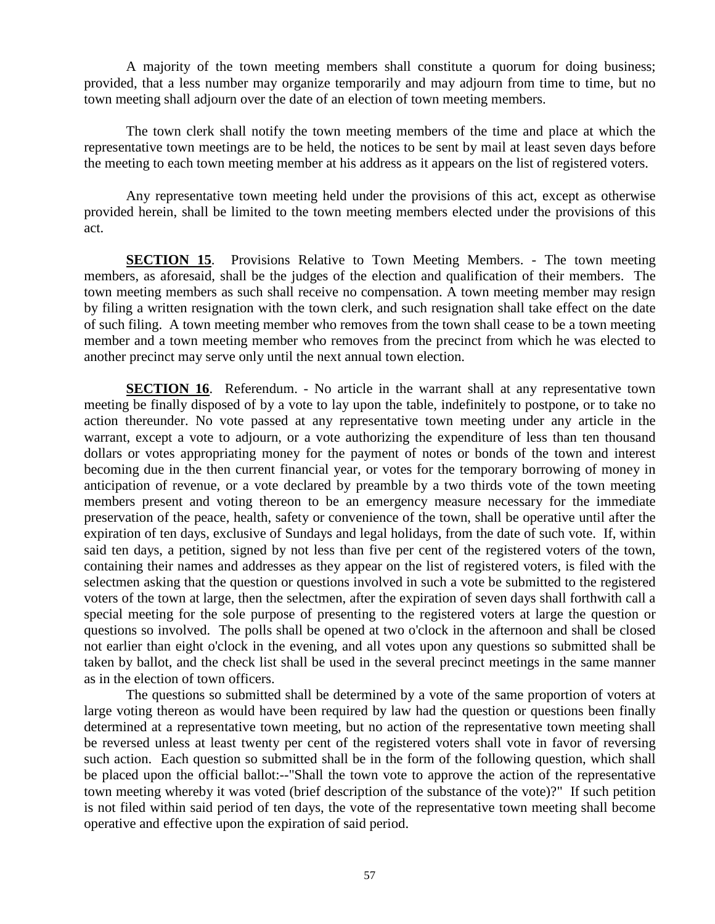A majority of the town meeting members shall constitute a quorum for doing business; provided, that a less number may organize temporarily and may adjourn from time to time, but no town meeting shall adjourn over the date of an election of town meeting members.

The town clerk shall notify the town meeting members of the time and place at which the representative town meetings are to be held, the notices to be sent by mail at least seven days before the meeting to each town meeting member at his address as it appears on the list of registered voters.

Any representative town meeting held under the provisions of this act, except as otherwise provided herein, shall be limited to the town meeting members elected under the provisions of this act.

**SECTION 15**. Provisions Relative to Town Meeting Members. - The town meeting members, as aforesaid, shall be the judges of the election and qualification of their members. The town meeting members as such shall receive no compensation. A town meeting member may resign by filing a written resignation with the town clerk, and such resignation shall take effect on the date of such filing. A town meeting member who removes from the town shall cease to be a town meeting member and a town meeting member who removes from the precinct from which he was elected to another precinct may serve only until the next annual town election.

**SECTION 16.** Referendum. - No article in the warrant shall at any representative town meeting be finally disposed of by a vote to lay upon the table, indefinitely to postpone, or to take no action thereunder. No vote passed at any representative town meeting under any article in the warrant, except a vote to adjourn, or a vote authorizing the expenditure of less than ten thousand dollars or votes appropriating money for the payment of notes or bonds of the town and interest becoming due in the then current financial year, or votes for the temporary borrowing of money in anticipation of revenue, or a vote declared by preamble by a two thirds vote of the town meeting members present and voting thereon to be an emergency measure necessary for the immediate preservation of the peace, health, safety or convenience of the town, shall be operative until after the expiration of ten days, exclusive of Sundays and legal holidays, from the date of such vote. If, within said ten days, a petition, signed by not less than five per cent of the registered voters of the town, containing their names and addresses as they appear on the list of registered voters, is filed with the selectmen asking that the question or questions involved in such a vote be submitted to the registered voters of the town at large, then the selectmen, after the expiration of seven days shall forthwith call a special meeting for the sole purpose of presenting to the registered voters at large the question or questions so involved. The polls shall be opened at two o'clock in the afternoon and shall be closed not earlier than eight o'clock in the evening, and all votes upon any questions so submitted shall be taken by ballot, and the check list shall be used in the several precinct meetings in the same manner as in the election of town officers.

The questions so submitted shall be determined by a vote of the same proportion of voters at large voting thereon as would have been required by law had the question or questions been finally determined at a representative town meeting, but no action of the representative town meeting shall be reversed unless at least twenty per cent of the registered voters shall vote in favor of reversing such action. Each question so submitted shall be in the form of the following question, which shall be placed upon the official ballot:--"Shall the town vote to approve the action of the representative town meeting whereby it was voted (brief description of the substance of the vote)?" If such petition is not filed within said period of ten days, the vote of the representative town meeting shall become operative and effective upon the expiration of said period.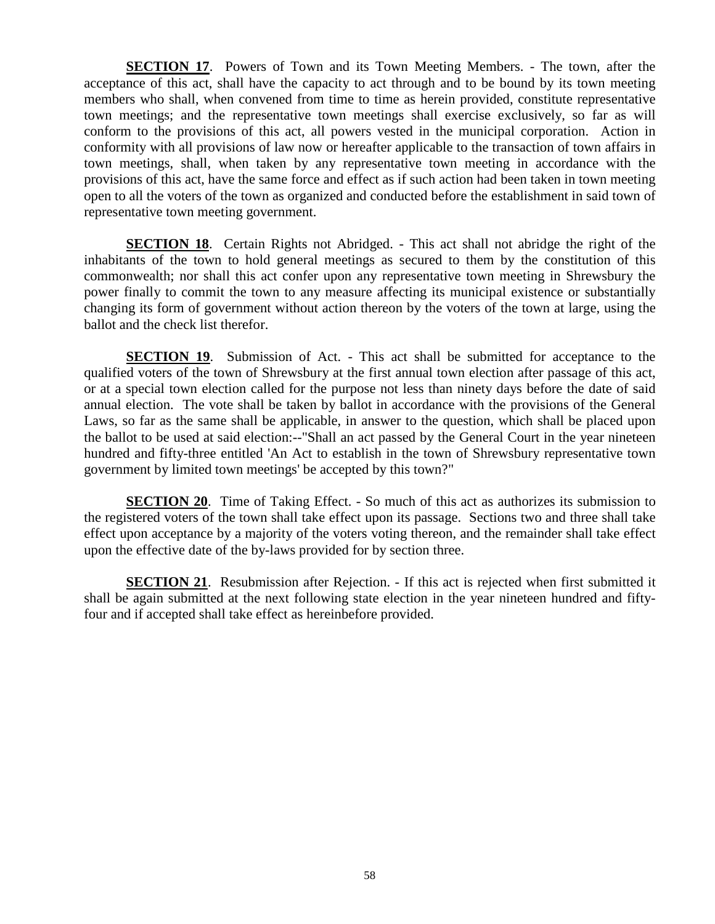**SECTION 17**. Powers of Town and its Town Meeting Members. - The town, after the acceptance of this act, shall have the capacity to act through and to be bound by its town meeting members who shall, when convened from time to time as herein provided, constitute representative town meetings; and the representative town meetings shall exercise exclusively, so far as will conform to the provisions of this act, all powers vested in the municipal corporation. Action in conformity with all provisions of law now or hereafter applicable to the transaction of town affairs in town meetings, shall, when taken by any representative town meeting in accordance with the provisions of this act, have the same force and effect as if such action had been taken in town meeting open to all the voters of the town as organized and conducted before the establishment in said town of representative town meeting government.

**SECTION 18**. Certain Rights not Abridged. - This act shall not abridge the right of the inhabitants of the town to hold general meetings as secured to them by the constitution of this commonwealth; nor shall this act confer upon any representative town meeting in Shrewsbury the power finally to commit the town to any measure affecting its municipal existence or substantially changing its form of government without action thereon by the voters of the town at large, using the ballot and the check list therefor.

**SECTION 19.** Submission of Act. - This act shall be submitted for acceptance to the qualified voters of the town of Shrewsbury at the first annual town election after passage of this act, or at a special town election called for the purpose not less than ninety days before the date of said annual election. The vote shall be taken by ballot in accordance with the provisions of the General Laws, so far as the same shall be applicable, in answer to the question, which shall be placed upon the ballot to be used at said election:--"Shall an act passed by the General Court in the year nineteen hundred and fifty-three entitled 'An Act to establish in the town of Shrewsbury representative town government by limited town meetings' be accepted by this town?"

**SECTION 20.** Time of Taking Effect. - So much of this act as authorizes its submission to the registered voters of the town shall take effect upon its passage. Sections two and three shall take effect upon acceptance by a majority of the voters voting thereon, and the remainder shall take effect upon the effective date of the by-laws provided for by section three.

**SECTION 21.** Resubmission after Rejection. - If this act is rejected when first submitted it shall be again submitted at the next following state election in the year nineteen hundred and fiftyfour and if accepted shall take effect as hereinbefore provided.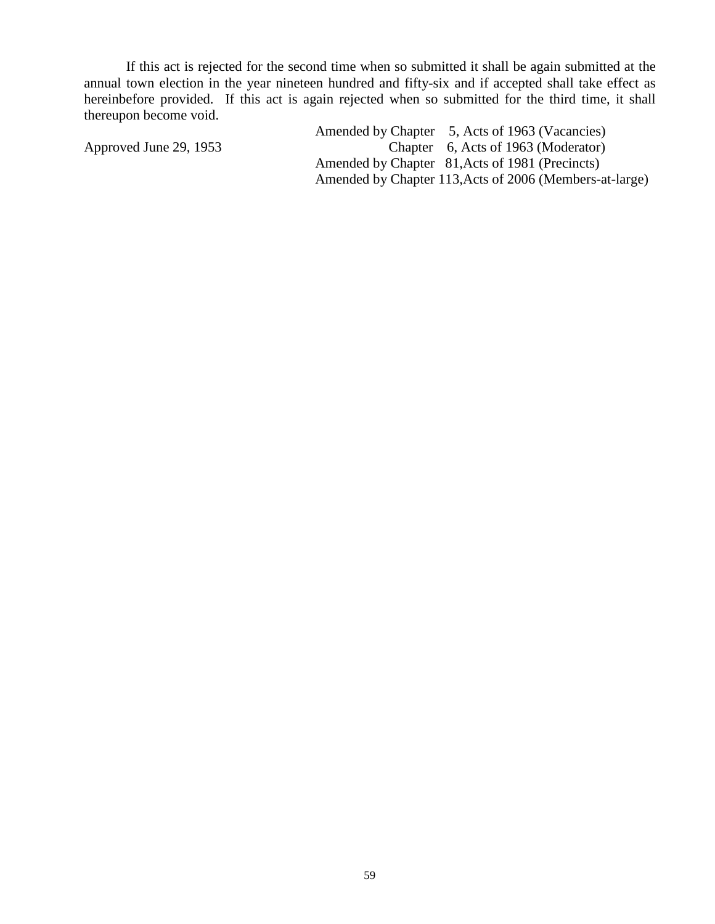If this act is rejected for the second time when so submitted it shall be again submitted at the annual town election in the year nineteen hundred and fifty-six and if accepted shall take effect as hereinbefore provided. If this act is again rejected when so submitted for the third time, it shall thereupon become void.

Amended by Chapter 5, Acts of 1963 (Vacancies) Approved June 29, 1953 Chapter 6, Acts of 1963 (Moderator) Amended by Chapter 81,Acts of 1981 (Precincts) Amended by Chapter 113,Acts of 2006 (Members-at-large)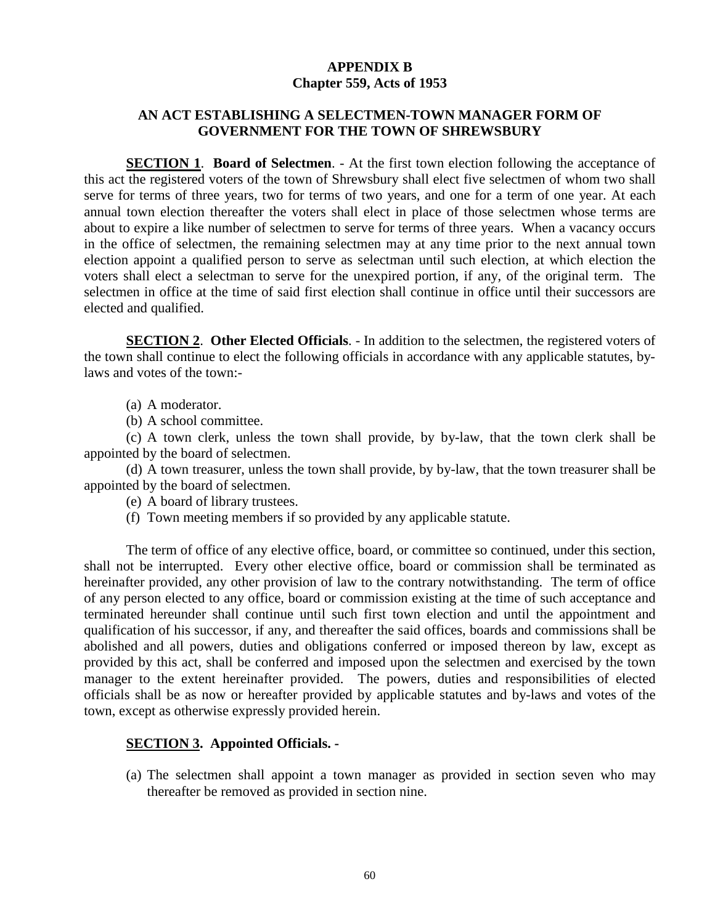# **APPENDIX B Chapter 559, Acts of 1953**

# **AN ACT ESTABLISHING A SELECTMEN-TOWN MANAGER FORM OF GOVERNMENT FOR THE TOWN OF SHREWSBURY**

**SECTION 1**. **Board of Selectmen**. - At the first town election following the acceptance of this act the registered voters of the town of Shrewsbury shall elect five selectmen of whom two shall serve for terms of three years, two for terms of two years, and one for a term of one year. At each annual town election thereafter the voters shall elect in place of those selectmen whose terms are about to expire a like number of selectmen to serve for terms of three years. When a vacancy occurs in the office of selectmen, the remaining selectmen may at any time prior to the next annual town election appoint a qualified person to serve as selectman until such election, at which election the voters shall elect a selectman to serve for the unexpired portion, if any, of the original term. The selectmen in office at the time of said first election shall continue in office until their successors are elected and qualified.

**SECTION 2**. **Other Elected Officials**. - In addition to the selectmen, the registered voters of the town shall continue to elect the following officials in accordance with any applicable statutes, bylaws and votes of the town:-

- (a) A moderator.
- (b) A school committee.

(c) A town clerk, unless the town shall provide, by by-law, that the town clerk shall be appointed by the board of selectmen.

(d) A town treasurer, unless the town shall provide, by by-law, that the town treasurer shall be appointed by the board of selectmen.

- (e) A board of library trustees.
- (f) Town meeting members if so provided by any applicable statute.

The term of office of any elective office, board, or committee so continued, under this section, shall not be interrupted. Every other elective office, board or commission shall be terminated as hereinafter provided, any other provision of law to the contrary notwithstanding. The term of office of any person elected to any office, board or commission existing at the time of such acceptance and terminated hereunder shall continue until such first town election and until the appointment and qualification of his successor, if any, and thereafter the said offices, boards and commissions shall be abolished and all powers, duties and obligations conferred or imposed thereon by law, except as provided by this act, shall be conferred and imposed upon the selectmen and exercised by the town manager to the extent hereinafter provided. The powers, duties and responsibilities of elected officials shall be as now or hereafter provided by applicable statutes and by-laws and votes of the town, except as otherwise expressly provided herein.

## **SECTION 3. Appointed Officials. -**

(a) The selectmen shall appoint a town manager as provided in section seven who may thereafter be removed as provided in section nine.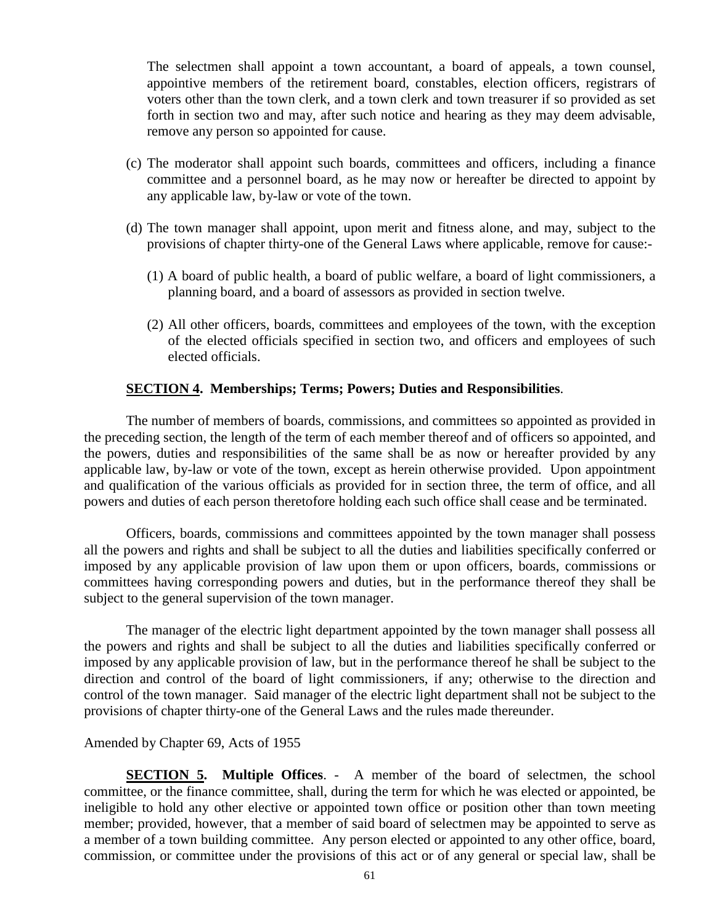The selectmen shall appoint a town accountant, a board of appeals, a town counsel, appointive members of the retirement board, constables, election officers, registrars of voters other than the town clerk, and a town clerk and town treasurer if so provided as set forth in section two and may, after such notice and hearing as they may deem advisable, remove any person so appointed for cause.

- (c) The moderator shall appoint such boards, committees and officers, including a finance committee and a personnel board, as he may now or hereafter be directed to appoint by any applicable law, by-law or vote of the town.
- (d) The town manager shall appoint, upon merit and fitness alone, and may, subject to the provisions of chapter thirty-one of the General Laws where applicable, remove for cause:-
	- (1) A board of public health, a board of public welfare, a board of light commissioners, a planning board, and a board of assessors as provided in section twelve.
	- (2) All other officers, boards, committees and employees of the town, with the exception of the elected officials specified in section two, and officers and employees of such elected officials.

### **SECTION 4. Memberships; Terms; Powers; Duties and Responsibilities**.

The number of members of boards, commissions, and committees so appointed as provided in the preceding section, the length of the term of each member thereof and of officers so appointed, and the powers, duties and responsibilities of the same shall be as now or hereafter provided by any applicable law, by-law or vote of the town, except as herein otherwise provided. Upon appointment and qualification of the various officials as provided for in section three, the term of office, and all powers and duties of each person theretofore holding each such office shall cease and be terminated.

Officers, boards, commissions and committees appointed by the town manager shall possess all the powers and rights and shall be subject to all the duties and liabilities specifically conferred or imposed by any applicable provision of law upon them or upon officers, boards, commissions or committees having corresponding powers and duties, but in the performance thereof they shall be subject to the general supervision of the town manager.

The manager of the electric light department appointed by the town manager shall possess all the powers and rights and shall be subject to all the duties and liabilities specifically conferred or imposed by any applicable provision of law, but in the performance thereof he shall be subject to the direction and control of the board of light commissioners, if any; otherwise to the direction and control of the town manager. Said manager of the electric light department shall not be subject to the provisions of chapter thirty-one of the General Laws and the rules made thereunder.

#### Amended by Chapter 69, Acts of 1955

**SECTION 5. Multiple Offices**. - A member of the board of selectmen, the school committee, or the finance committee, shall, during the term for which he was elected or appointed, be ineligible to hold any other elective or appointed town office or position other than town meeting member; provided, however, that a member of said board of selectmen may be appointed to serve as a member of a town building committee. Any person elected or appointed to any other office, board, commission, or committee under the provisions of this act or of any general or special law, shall be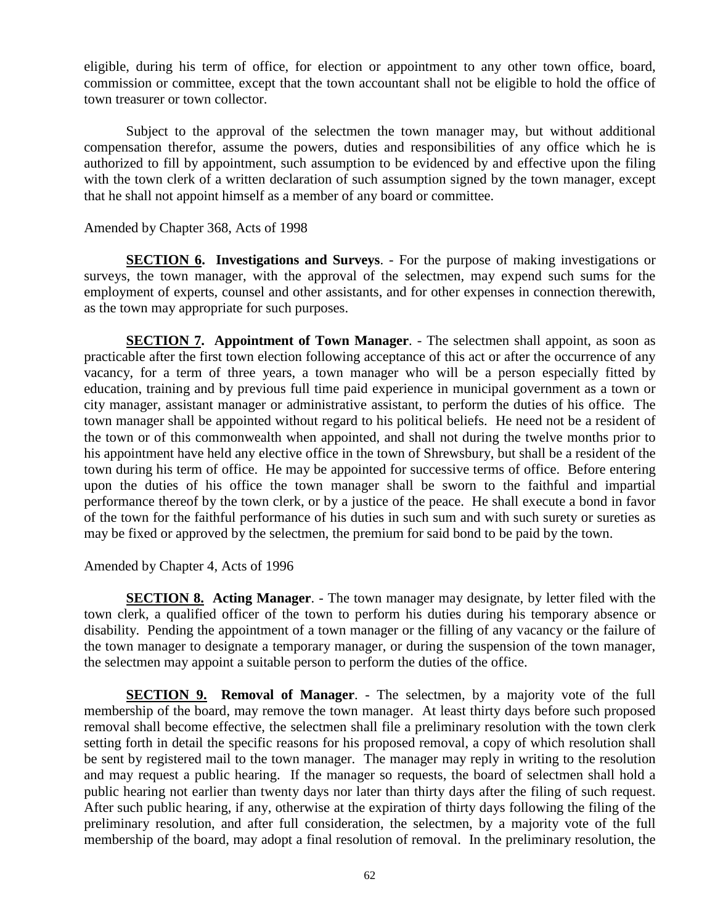eligible, during his term of office, for election or appointment to any other town office, board, commission or committee, except that the town accountant shall not be eligible to hold the office of town treasurer or town collector.

Subject to the approval of the selectmen the town manager may, but without additional compensation therefor, assume the powers, duties and responsibilities of any office which he is authorized to fill by appointment, such assumption to be evidenced by and effective upon the filing with the town clerk of a written declaration of such assumption signed by the town manager, except that he shall not appoint himself as a member of any board or committee.

### Amended by Chapter 368, Acts of 1998

**SECTION 6. Investigations and Surveys**. - For the purpose of making investigations or surveys, the town manager, with the approval of the selectmen, may expend such sums for the employment of experts, counsel and other assistants, and for other expenses in connection therewith, as the town may appropriate for such purposes.

**SECTION 7. Appointment of Town Manager.** - The selectmen shall appoint, as soon as practicable after the first town election following acceptance of this act or after the occurrence of any vacancy, for a term of three years, a town manager who will be a person especially fitted by education, training and by previous full time paid experience in municipal government as a town or city manager, assistant manager or administrative assistant, to perform the duties of his office. The town manager shall be appointed without regard to his political beliefs. He need not be a resident of the town or of this commonwealth when appointed, and shall not during the twelve months prior to his appointment have held any elective office in the town of Shrewsbury, but shall be a resident of the town during his term of office. He may be appointed for successive terms of office. Before entering upon the duties of his office the town manager shall be sworn to the faithful and impartial performance thereof by the town clerk, or by a justice of the peace. He shall execute a bond in favor of the town for the faithful performance of his duties in such sum and with such surety or sureties as may be fixed or approved by the selectmen, the premium for said bond to be paid by the town.

Amended by Chapter 4, Acts of 1996

**SECTION 8. Acting Manager**. - The town manager may designate, by letter filed with the town clerk, a qualified officer of the town to perform his duties during his temporary absence or disability. Pending the appointment of a town manager or the filling of any vacancy or the failure of the town manager to designate a temporary manager, or during the suspension of the town manager, the selectmen may appoint a suitable person to perform the duties of the office.

**SECTION 9. Removal of Manager.** - The selectmen, by a majority vote of the full membership of the board, may remove the town manager. At least thirty days before such proposed removal shall become effective, the selectmen shall file a preliminary resolution with the town clerk setting forth in detail the specific reasons for his proposed removal, a copy of which resolution shall be sent by registered mail to the town manager. The manager may reply in writing to the resolution and may request a public hearing. If the manager so requests, the board of selectmen shall hold a public hearing not earlier than twenty days nor later than thirty days after the filing of such request. After such public hearing, if any, otherwise at the expiration of thirty days following the filing of the preliminary resolution, and after full consideration, the selectmen, by a majority vote of the full membership of the board, may adopt a final resolution of removal. In the preliminary resolution, the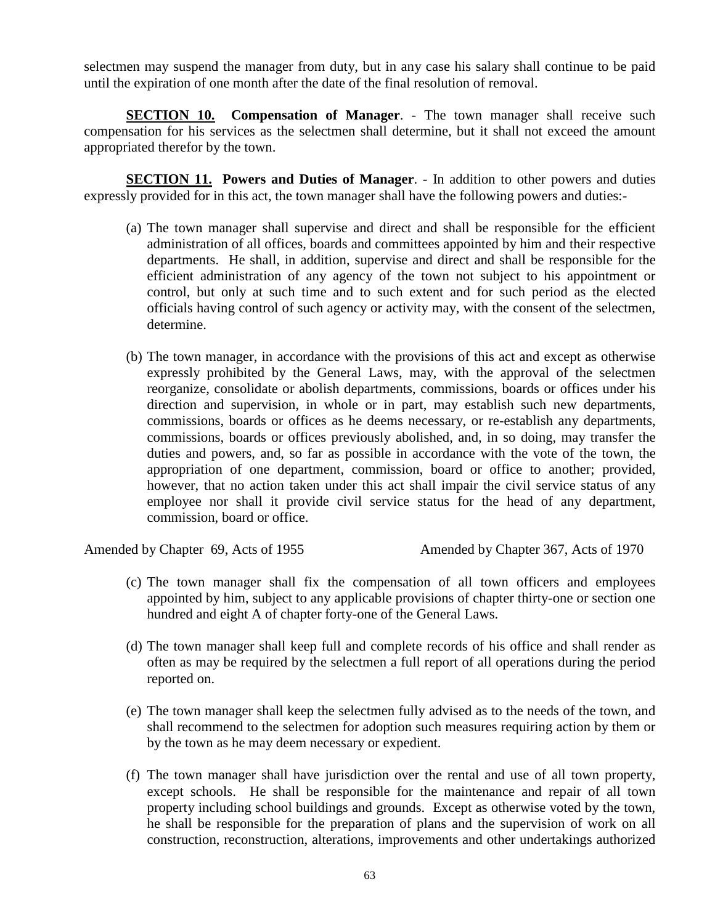selectmen may suspend the manager from duty, but in any case his salary shall continue to be paid until the expiration of one month after the date of the final resolution of removal.

**SECTION 10. Compensation of Manager.** - The town manager shall receive such compensation for his services as the selectmen shall determine, but it shall not exceed the amount appropriated therefor by the town.

**SECTION 11. Powers and Duties of Manager**. - In addition to other powers and duties expressly provided for in this act, the town manager shall have the following powers and duties:-

- (a) The town manager shall supervise and direct and shall be responsible for the efficient administration of all offices, boards and committees appointed by him and their respective departments. He shall, in addition, supervise and direct and shall be responsible for the efficient administration of any agency of the town not subject to his appointment or control, but only at such time and to such extent and for such period as the elected officials having control of such agency or activity may, with the consent of the selectmen, determine.
- (b) The town manager, in accordance with the provisions of this act and except as otherwise expressly prohibited by the General Laws, may, with the approval of the selectmen reorganize, consolidate or abolish departments, commissions, boards or offices under his direction and supervision, in whole or in part, may establish such new departments, commissions, boards or offices as he deems necessary, or re-establish any departments, commissions, boards or offices previously abolished, and, in so doing, may transfer the duties and powers, and, so far as possible in accordance with the vote of the town, the appropriation of one department, commission, board or office to another; provided, however, that no action taken under this act shall impair the civil service status of any employee nor shall it provide civil service status for the head of any department, commission, board or office.

Amended by Chapter 69, Acts of 1955 Amended by Chapter 367, Acts of 1970

- (c) The town manager shall fix the compensation of all town officers and employees appointed by him, subject to any applicable provisions of chapter thirty-one or section one hundred and eight A of chapter forty-one of the General Laws.
- (d) The town manager shall keep full and complete records of his office and shall render as often as may be required by the selectmen a full report of all operations during the period reported on.
- (e) The town manager shall keep the selectmen fully advised as to the needs of the town, and shall recommend to the selectmen for adoption such measures requiring action by them or by the town as he may deem necessary or expedient.
- (f) The town manager shall have jurisdiction over the rental and use of all town property, except schools. He shall be responsible for the maintenance and repair of all town property including school buildings and grounds. Except as otherwise voted by the town, he shall be responsible for the preparation of plans and the supervision of work on all construction, reconstruction, alterations, improvements and other undertakings authorized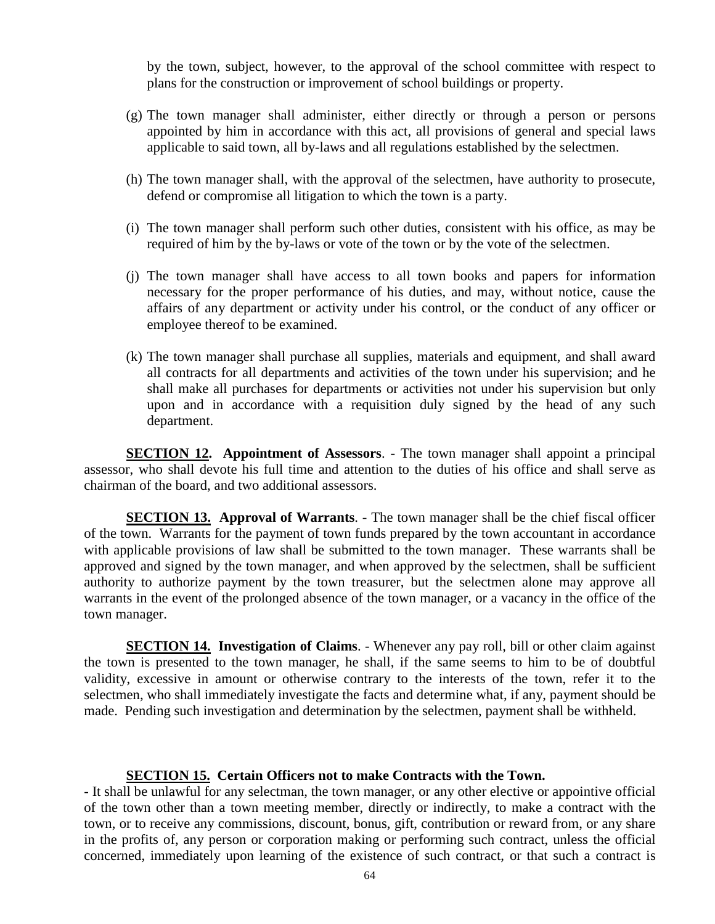by the town, subject, however, to the approval of the school committee with respect to plans for the construction or improvement of school buildings or property.

- (g) The town manager shall administer, either directly or through a person or persons appointed by him in accordance with this act, all provisions of general and special laws applicable to said town, all by-laws and all regulations established by the selectmen.
- (h) The town manager shall, with the approval of the selectmen, have authority to prosecute, defend or compromise all litigation to which the town is a party.
- (i) The town manager shall perform such other duties, consistent with his office, as may be required of him by the by-laws or vote of the town or by the vote of the selectmen.
- (j) The town manager shall have access to all town books and papers for information necessary for the proper performance of his duties, and may, without notice, cause the affairs of any department or activity under his control, or the conduct of any officer or employee thereof to be examined.
- (k) The town manager shall purchase all supplies, materials and equipment, and shall award all contracts for all departments and activities of the town under his supervision; and he shall make all purchases for departments or activities not under his supervision but only upon and in accordance with a requisition duly signed by the head of any such department.

**SECTION 12. Appointment of Assessors**. - The town manager shall appoint a principal assessor, who shall devote his full time and attention to the duties of his office and shall serve as chairman of the board, and two additional assessors.

**SECTION 13. Approval of Warrants**. - The town manager shall be the chief fiscal officer of the town. Warrants for the payment of town funds prepared by the town accountant in accordance with applicable provisions of law shall be submitted to the town manager. These warrants shall be approved and signed by the town manager, and when approved by the selectmen, shall be sufficient authority to authorize payment by the town treasurer, but the selectmen alone may approve all warrants in the event of the prolonged absence of the town manager, or a vacancy in the office of the town manager.

**SECTION 14. Investigation of Claims**. - Whenever any pay roll, bill or other claim against the town is presented to the town manager, he shall, if the same seems to him to be of doubtful validity, excessive in amount or otherwise contrary to the interests of the town, refer it to the selectmen, who shall immediately investigate the facts and determine what, if any, payment should be made. Pending such investigation and determination by the selectmen, payment shall be withheld.

#### **SECTION 15. Certain Officers not to make Contracts with the Town.**

- It shall be unlawful for any selectman, the town manager, or any other elective or appointive official of the town other than a town meeting member, directly or indirectly, to make a contract with the town, or to receive any commissions, discount, bonus, gift, contribution or reward from, or any share in the profits of, any person or corporation making or performing such contract, unless the official concerned, immediately upon learning of the existence of such contract, or that such a contract is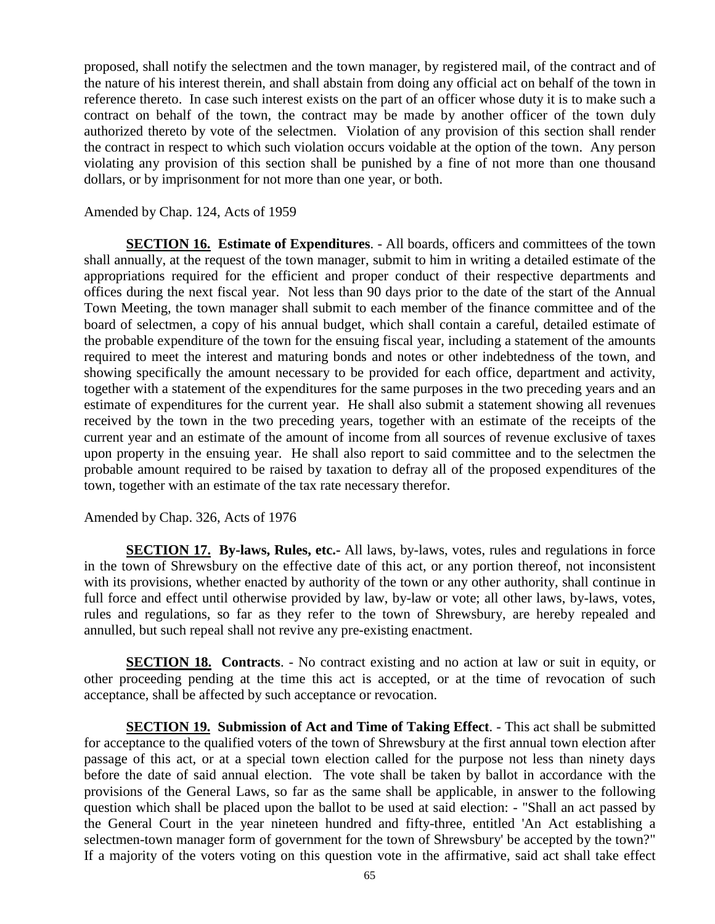proposed, shall notify the selectmen and the town manager, by registered mail, of the contract and of the nature of his interest therein, and shall abstain from doing any official act on behalf of the town in reference thereto. In case such interest exists on the part of an officer whose duty it is to make such a contract on behalf of the town, the contract may be made by another officer of the town duly authorized thereto by vote of the selectmen. Violation of any provision of this section shall render the contract in respect to which such violation occurs voidable at the option of the town. Any person violating any provision of this section shall be punished by a fine of not more than one thousand dollars, or by imprisonment for not more than one year, or both.

### Amended by Chap. 124, Acts of 1959

**SECTION 16. Estimate of Expenditures.** - All boards, officers and committees of the town shall annually, at the request of the town manager, submit to him in writing a detailed estimate of the appropriations required for the efficient and proper conduct of their respective departments and offices during the next fiscal year. Not less than 90 days prior to the date of the start of the Annual Town Meeting, the town manager shall submit to each member of the finance committee and of the board of selectmen, a copy of his annual budget, which shall contain a careful, detailed estimate of the probable expenditure of the town for the ensuing fiscal year, including a statement of the amounts required to meet the interest and maturing bonds and notes or other indebtedness of the town, and showing specifically the amount necessary to be provided for each office, department and activity, together with a statement of the expenditures for the same purposes in the two preceding years and an estimate of expenditures for the current year. He shall also submit a statement showing all revenues received by the town in the two preceding years, together with an estimate of the receipts of the current year and an estimate of the amount of income from all sources of revenue exclusive of taxes upon property in the ensuing year. He shall also report to said committee and to the selectmen the probable amount required to be raised by taxation to defray all of the proposed expenditures of the town, together with an estimate of the tax rate necessary therefor.

Amended by Chap. 326, Acts of 1976

**SECTION 17. By-laws, Rules, etc.-** All laws, by-laws, votes, rules and regulations in force in the town of Shrewsbury on the effective date of this act, or any portion thereof, not inconsistent with its provisions, whether enacted by authority of the town or any other authority, shall continue in full force and effect until otherwise provided by law, by-law or vote; all other laws, by-laws, votes, rules and regulations, so far as they refer to the town of Shrewsbury, are hereby repealed and annulled, but such repeal shall not revive any pre-existing enactment.

**SECTION 18. Contracts**. - No contract existing and no action at law or suit in equity, or other proceeding pending at the time this act is accepted, or at the time of revocation of such acceptance, shall be affected by such acceptance or revocation.

**SECTION 19. Submission of Act and Time of Taking Effect**. - This act shall be submitted for acceptance to the qualified voters of the town of Shrewsbury at the first annual town election after passage of this act, or at a special town election called for the purpose not less than ninety days before the date of said annual election. The vote shall be taken by ballot in accordance with the provisions of the General Laws, so far as the same shall be applicable, in answer to the following question which shall be placed upon the ballot to be used at said election: - "Shall an act passed by the General Court in the year nineteen hundred and fifty-three, entitled 'An Act establishing a selectmen-town manager form of government for the town of Shrewsbury' be accepted by the town?" If a majority of the voters voting on this question vote in the affirmative, said act shall take effect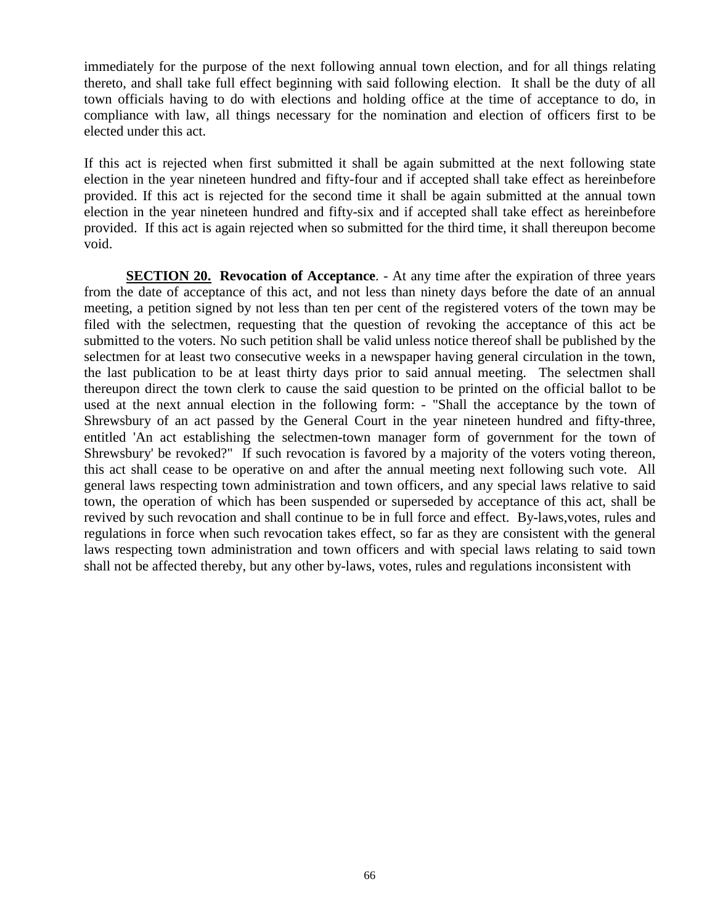immediately for the purpose of the next following annual town election, and for all things relating thereto, and shall take full effect beginning with said following election. It shall be the duty of all town officials having to do with elections and holding office at the time of acceptance to do, in compliance with law, all things necessary for the nomination and election of officers first to be elected under this act.

If this act is rejected when first submitted it shall be again submitted at the next following state election in the year nineteen hundred and fifty-four and if accepted shall take effect as hereinbefore provided. If this act is rejected for the second time it shall be again submitted at the annual town election in the year nineteen hundred and fifty-six and if accepted shall take effect as hereinbefore provided. If this act is again rejected when so submitted for the third time, it shall thereupon become void.

**SECTION 20. Revocation of Acceptance.** - At any time after the expiration of three years from the date of acceptance of this act, and not less than ninety days before the date of an annual meeting, a petition signed by not less than ten per cent of the registered voters of the town may be filed with the selectmen, requesting that the question of revoking the acceptance of this act be submitted to the voters. No such petition shall be valid unless notice thereof shall be published by the selectmen for at least two consecutive weeks in a newspaper having general circulation in the town, the last publication to be at least thirty days prior to said annual meeting. The selectmen shall thereupon direct the town clerk to cause the said question to be printed on the official ballot to be used at the next annual election in the following form: - "Shall the acceptance by the town of Shrewsbury of an act passed by the General Court in the year nineteen hundred and fifty-three, entitled 'An act establishing the selectmen-town manager form of government for the town of Shrewsbury' be revoked?" If such revocation is favored by a majority of the voters voting thereon, this act shall cease to be operative on and after the annual meeting next following such vote. All general laws respecting town administration and town officers, and any special laws relative to said town, the operation of which has been suspended or superseded by acceptance of this act, shall be revived by such revocation and shall continue to be in full force and effect. By-laws,votes, rules and regulations in force when such revocation takes effect, so far as they are consistent with the general laws respecting town administration and town officers and with special laws relating to said town shall not be affected thereby, but any other by-laws, votes, rules and regulations inconsistent with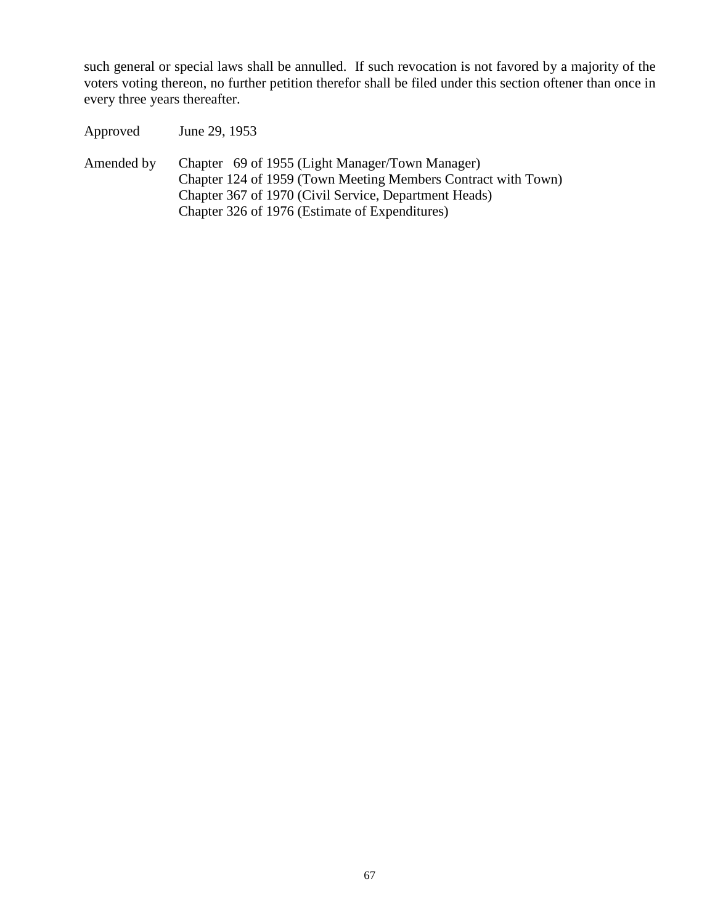such general or special laws shall be annulled. If such revocation is not favored by a majority of the voters voting thereon, no further petition therefor shall be filed under this section oftener than once in every three years thereafter.

Approved June 29, 1953 Amended by Chapter 69 of 1955 (Light Manager/Town Manager) Chapter 124 of 1959 (Town Meeting Members Contract with Town) Chapter 367 of 1970 (Civil Service, Department Heads) Chapter 326 of 1976 (Estimate of Expenditures)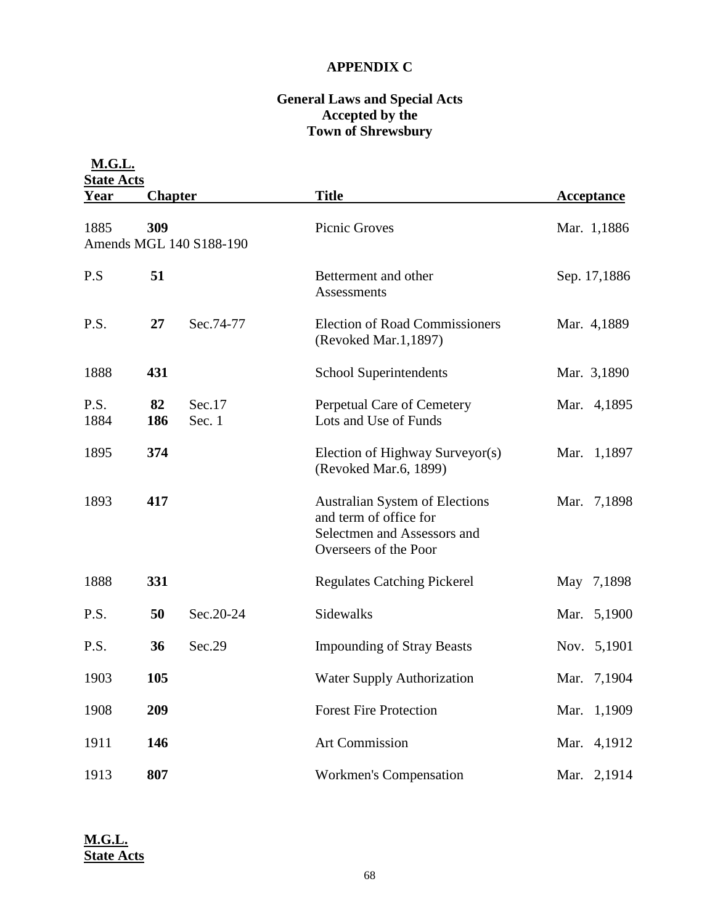# **APPENDIX C**

# **General Laws and Special Acts Accepted by the Town of Shrewsbury**

| <b>M.G.L.</b><br><b>State Acts</b> |                                |                  |                                                                                                                         |                   |  |  |
|------------------------------------|--------------------------------|------------------|-------------------------------------------------------------------------------------------------------------------------|-------------------|--|--|
| <u>Year</u>                        | <b>Chapter</b>                 |                  | <b>Title</b>                                                                                                            | <b>Acceptance</b> |  |  |
| 1885                               | 309<br>Amends MGL 140 S188-190 |                  | Picnic Groves                                                                                                           | Mar. 1,1886       |  |  |
| P.S                                | 51                             |                  | Betterment and other<br>Assessments                                                                                     | Sep. 17,1886      |  |  |
| P.S.                               | 27                             | Sec.74-77        | <b>Election of Road Commissioners</b><br>(Revoked Mar.1,1897)                                                           | Mar. 4,1889       |  |  |
| 1888                               | 431                            |                  | School Superintendents                                                                                                  | Mar. 3,1890       |  |  |
| P.S.<br>1884                       | 82<br>186                      | Sec.17<br>Sec. 1 | Perpetual Care of Cemetery<br>Lots and Use of Funds                                                                     | Mar. 4,1895       |  |  |
| 1895                               | 374                            |                  | Election of Highway Surveyor(s)<br>(Revoked Mar.6, 1899)                                                                | Mar. 1,1897       |  |  |
| 1893                               | 417                            |                  | <b>Australian System of Elections</b><br>and term of office for<br>Selectmen and Assessors and<br>Overseers of the Poor | Mar. 7,1898       |  |  |
| 1888                               | 331                            |                  | <b>Regulates Catching Pickerel</b>                                                                                      | May 7,1898        |  |  |
| P.S.                               | 50                             | Sec.20-24        | Sidewalks                                                                                                               | Mar. 5,1900       |  |  |
| P.S.                               | 36                             | Sec.29           | <b>Impounding of Stray Beasts</b>                                                                                       | Nov. 5,1901       |  |  |
| 1903                               | 105                            |                  | <b>Water Supply Authorization</b>                                                                                       | Mar. 7,1904       |  |  |
| 1908                               | 209                            |                  | <b>Forest Fire Protection</b>                                                                                           | Mar. 1,1909       |  |  |
| 1911                               | 146                            |                  | Art Commission                                                                                                          | Mar. 4,1912       |  |  |
| 1913                               | 807                            |                  | Workmen's Compensation                                                                                                  | Mar. 2,1914       |  |  |

**M.G.L. State Acts**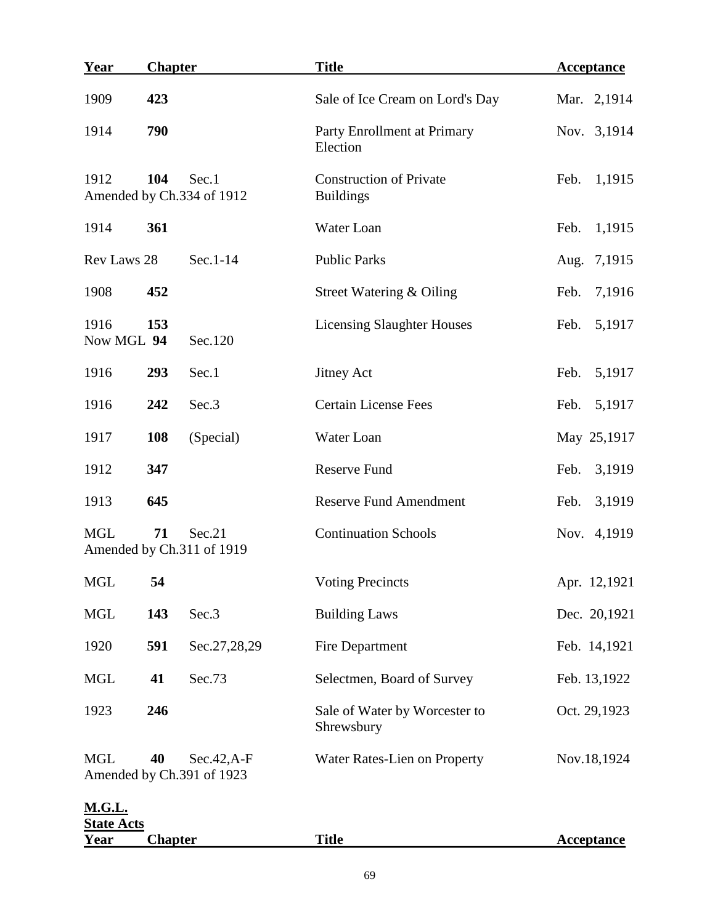| <u>Year</u>                        | <b>Chapter</b> |                                            | <b>Title</b>                                       | <b>Acceptance</b> |  |
|------------------------------------|----------------|--------------------------------------------|----------------------------------------------------|-------------------|--|
| 1909                               | 423            |                                            | Sale of Ice Cream on Lord's Day                    | Mar. 2,1914       |  |
| 1914                               | 790            |                                            | Party Enrollment at Primary<br>Election            | Nov. 3,1914       |  |
| 1912                               | 104            | Sec.1<br>Amended by Ch.334 of 1912         | <b>Construction of Private</b><br><b>Buildings</b> | 1,1915<br>Feb.    |  |
| 1914                               | 361            |                                            | Water Loan                                         | 1,1915<br>Feb.    |  |
| Rev Laws 28                        |                | Sec.1-14                                   | <b>Public Parks</b>                                | 7,1915<br>Aug.    |  |
| 1908                               | 452            |                                            | Street Watering & Oiling                           | 7,1916<br>Feb.    |  |
| 1916<br>Now MGL 94                 | 153            | Sec.120                                    | <b>Licensing Slaughter Houses</b>                  | 5,1917<br>Feb.    |  |
| 1916                               | 293            | Sec.1                                      | <b>Jitney Act</b>                                  | 5,1917<br>Feb.    |  |
| 1916                               | 242            | Sec.3                                      | <b>Certain License Fees</b>                        | 5,1917<br>Feb.    |  |
| 1917                               | 108            | (Special)                                  | Water Loan                                         | May 25,1917       |  |
| 1912                               | 347            |                                            | <b>Reserve Fund</b>                                | 3,1919<br>Feb.    |  |
| 1913                               | 645            |                                            | <b>Reserve Fund Amendment</b>                      | 3,1919<br>Feb.    |  |
| <b>MGL</b>                         | 71             | Sec.21<br>Amended by Ch.311 of 1919        | <b>Continuation Schools</b>                        | Nov. 4,1919       |  |
| <b>MGL</b>                         | 54             |                                            | <b>Voting Precincts</b>                            | Apr. 12,1921      |  |
| <b>MGL</b>                         | 143            | Sec.3                                      | <b>Building Laws</b>                               | Dec. 20,1921      |  |
| 1920                               | 591            | Sec.27,28,29                               | Fire Department                                    | Feb. 14,1921      |  |
| <b>MGL</b>                         | 41             | Sec.73                                     | Selectmen, Board of Survey                         | Feb. 13,1922      |  |
| 1923                               | 246            |                                            | Sale of Water by Worcester to<br>Shrewsbury        | Oct. 29,1923      |  |
| <b>MGL</b>                         | 40             | $Sec.42, A-F$<br>Amended by Ch.391 of 1923 | Water Rates-Lien on Property                       | Nov.18,1924       |  |
| <b>M.G.L.</b><br><b>State Acts</b> |                |                                            |                                                    |                   |  |
| <u>Year</u>                        | <b>Chapter</b> |                                            | <b>Title</b>                                       | <b>Acceptance</b> |  |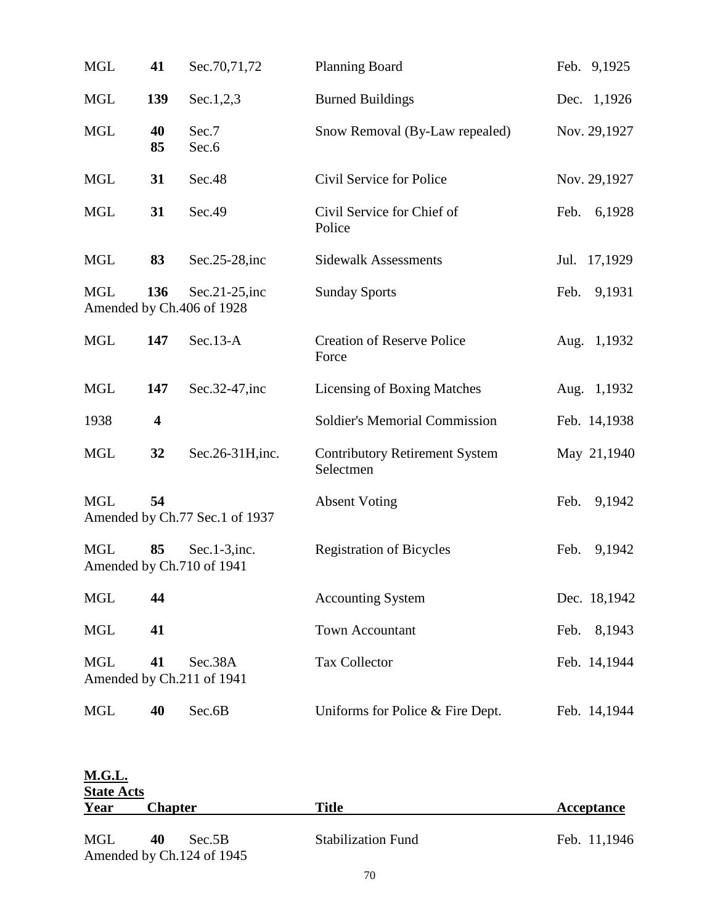| <b>MGL</b> | 41       | Sec.70,71,72                                  | <b>Planning Board</b>                              | Feb. 9,1925    |
|------------|----------|-----------------------------------------------|----------------------------------------------------|----------------|
| <b>MGL</b> | 139      | Sec.1,2,3                                     | <b>Burned Buildings</b>                            | Dec. 1,1926    |
| <b>MGL</b> | 40<br>85 | Sec.7<br>Sec.6                                | Snow Removal (By-Law repealed)                     | Nov. 29,1927   |
| <b>MGL</b> | 31       | Sec.48                                        | Civil Service for Police                           | Nov. 29,1927   |
| <b>MGL</b> | 31       | Sec.49                                        | Civil Service for Chief of<br>Police               | 6,1928<br>Feb. |
| <b>MGL</b> | 83       | $Sec.25-28$ , inc                             | <b>Sidewalk Assessments</b>                        | Jul. 17,1929   |
| <b>MGL</b> | 136      | Sec.21-25, inc<br>Amended by Ch.406 of 1928   | <b>Sunday Sports</b>                               | Feb.<br>9,1931 |
| <b>MGL</b> | 147      | $Sec.13-A$                                    | <b>Creation of Reserve Police</b><br>Force         | Aug. 1,1932    |
| <b>MGL</b> | 147      | Sec.32-47, inc                                | <b>Licensing of Boxing Matches</b>                 | Aug. 1,1932    |
| 1938       | 4        |                                               | <b>Soldier's Memorial Commission</b>               | Feb. 14,1938   |
| <b>MGL</b> | 32       | Sec.26-31H, inc.                              | <b>Contributory Retirement System</b><br>Selectmen | May 21,1940    |
| <b>MGL</b> | 54       | Amended by Ch.77 Sec.1 of 1937                | <b>Absent Voting</b>                               | Feb.<br>9,1942 |
| <b>MGL</b> | 85       | $Sec.1-3$ , inc.<br>Amended by Ch.710 of 1941 | <b>Registration of Bicycles</b>                    | Feb.<br>9,1942 |
| <b>MGL</b> | 44       |                                               | <b>Accounting System</b>                           | Dec. 18,1942   |
| <b>MGL</b> | 41       |                                               | <b>Town Accountant</b>                             | 8,1943<br>Feb. |
| <b>MGL</b> | 41       | Sec.38A<br>Amended by Ch.211 of 1941          | <b>Tax Collector</b>                               | Feb. 14,1944   |
| <b>MGL</b> | 40       | Sec.6B                                        | Uniforms for Police & Fire Dept.                   | Feb. 14,1944   |

| <b>M.G.L.</b>     |                                           |                           |              |  |  |  |
|-------------------|-------------------------------------------|---------------------------|--------------|--|--|--|
| <b>State Acts</b> |                                           |                           |              |  |  |  |
| Year              | <b>Chapter</b>                            | Title                     | Acceptance   |  |  |  |
| MGL               | 40<br>Sec.5B<br>Amended by Ch.124 of 1945 | <b>Stabilization Fund</b> | Feb. 11,1946 |  |  |  |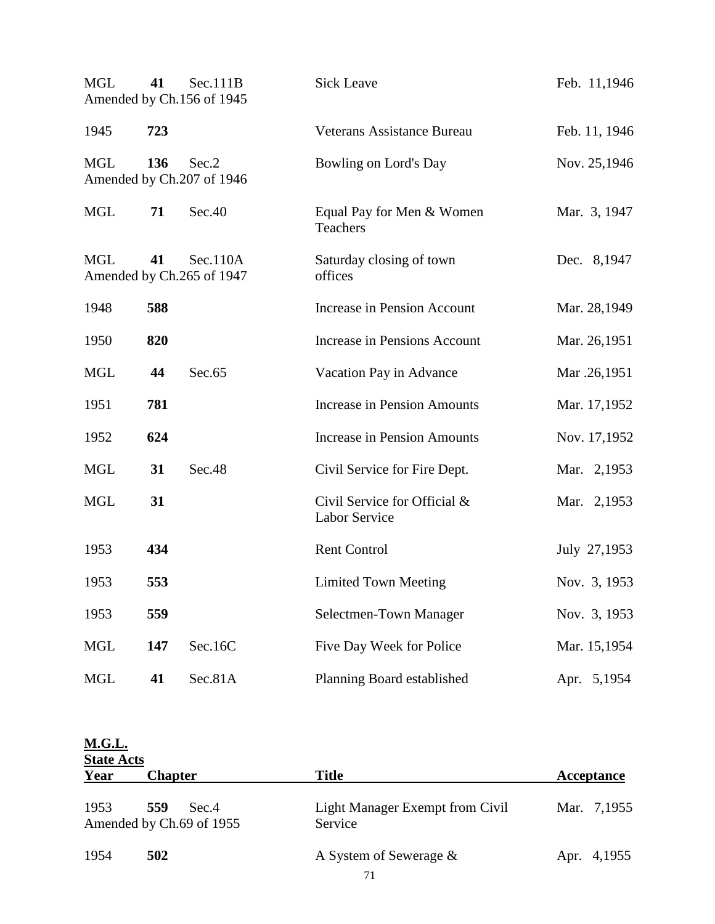| <b>MGL</b> | 41  | Sec.111B<br>Amended by Ch.156 of 1945 | <b>Sick Leave</b>                             | Feb. 11,1946  |
|------------|-----|---------------------------------------|-----------------------------------------------|---------------|
| 1945       | 723 |                                       | Veterans Assistance Bureau                    | Feb. 11, 1946 |
| <b>MGL</b> | 136 | Sec.2<br>Amended by Ch.207 of 1946    | Bowling on Lord's Day                         | Nov. 25,1946  |
| <b>MGL</b> | 71  | Sec.40                                | Equal Pay for Men & Women<br>Teachers         | Mar. 3, 1947  |
| <b>MGL</b> | 41  | Sec.110A<br>Amended by Ch.265 of 1947 | Saturday closing of town<br>offices           | Dec. 8,1947   |
| 1948       | 588 |                                       | Increase in Pension Account                   | Mar. 28,1949  |
| 1950       | 820 |                                       | Increase in Pensions Account                  | Mar. 26,1951  |
| <b>MGL</b> | 44  | Sec.65                                | Vacation Pay in Advance                       | Mar .26,1951  |
| 1951       | 781 |                                       | <b>Increase in Pension Amounts</b>            | Mar. 17,1952  |
| 1952       | 624 |                                       | <b>Increase in Pension Amounts</b>            | Nov. 17,1952  |
| MGL        | 31  | Sec.48                                | Civil Service for Fire Dept.                  | Mar. 2,1953   |
| <b>MGL</b> | 31  |                                       | Civil Service for Official &<br>Labor Service | Mar. 2,1953   |
| 1953       | 434 |                                       | <b>Rent Control</b>                           | July 27,1953  |
| 1953       | 553 |                                       | <b>Limited Town Meeting</b>                   | Nov. 3, 1953  |
| 1953       | 559 |                                       | Selectmen-Town Manager                        | Nov. 3, 1953  |
| <b>MGL</b> | 147 | Sec.16C                               | Five Day Week for Police                      | Mar. 15,1954  |
| <b>MGL</b> | 41  | Sec.81A                               | Planning Board established                    | Apr. 5,1954   |

| <b>M.G.L.</b> | <b>State Acts</b>                        |                                                   |             |  |  |  |  |
|---------------|------------------------------------------|---------------------------------------------------|-------------|--|--|--|--|
| Year          | <b>Chapter</b>                           | <b>Title</b>                                      | Acceptance  |  |  |  |  |
| 1953          | 559<br>Sec.4<br>Amended by Ch.69 of 1955 | <b>Light Manager Exempt from Civil</b><br>Service | Mar. 7,1955 |  |  |  |  |
| 1954          | 502                                      | A System of Sewerage $\&$                         | Apr. 4,1955 |  |  |  |  |
|               |                                          | 71                                                |             |  |  |  |  |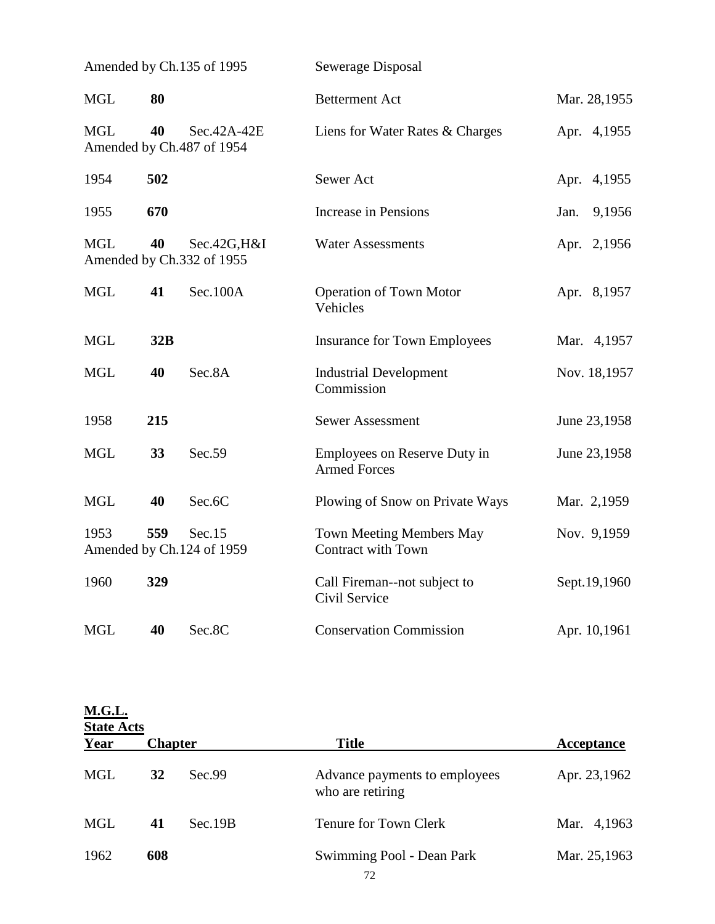| Amended by Ch.135 of 1995 |     |                                           | Sewerage Disposal                                            |                |  |
|---------------------------|-----|-------------------------------------------|--------------------------------------------------------------|----------------|--|
| <b>MGL</b>                | 80  |                                           | <b>Betterment Act</b>                                        | Mar. 28,1955   |  |
| <b>MGL</b>                | 40  | Sec.42A-42E<br>Amended by Ch.487 of 1954  | Liens for Water Rates & Charges                              | Apr. 4,1955    |  |
| 1954                      | 502 |                                           | Sewer Act                                                    | Apr. 4,1955    |  |
| 1955                      | 670 |                                           | <b>Increase in Pensions</b>                                  | 9,1956<br>Jan. |  |
| <b>MGL</b>                | 40  | Sec.42G, H&I<br>Amended by Ch.332 of 1955 | <b>Water Assessments</b>                                     | Apr. 2,1956    |  |
| <b>MGL</b>                | 41  | Sec.100A                                  | <b>Operation of Town Motor</b><br>Vehicles                   | Apr. 8,1957    |  |
| <b>MGL</b>                | 32B |                                           | <b>Insurance for Town Employees</b>                          | Mar. 4,1957    |  |
| <b>MGL</b>                | 40  | Sec.8A                                    | <b>Industrial Development</b><br>Commission                  | Nov. 18,1957   |  |
| 1958                      | 215 |                                           | <b>Sewer Assessment</b>                                      | June 23,1958   |  |
| <b>MGL</b>                | 33  | Sec.59                                    | Employees on Reserve Duty in<br><b>Armed Forces</b>          | June 23,1958   |  |
| <b>MGL</b>                | 40  | Sec.6C                                    | Plowing of Snow on Private Ways                              | Mar. 2,1959    |  |
| 1953                      | 559 | Sec.15<br>Amended by Ch.124 of 1959       | <b>Town Meeting Members May</b><br><b>Contract with Town</b> | Nov. 9,1959    |  |
| 1960                      | 329 |                                           | Call Fireman--not subject to<br>Civil Service                | Sept.19,1960   |  |
| <b>MGL</b>                | 40  | Sec.8C                                    | <b>Conservation Commission</b>                               | Apr. 10,1961   |  |

| <b>M.G.L.</b> | <b>State Acts</b> |         |                                                   |              |  |  |  |
|---------------|-------------------|---------|---------------------------------------------------|--------------|--|--|--|
| Year          | <b>Chapter</b>    |         | <b>Title</b>                                      | Acceptance   |  |  |  |
| <b>MGL</b>    | 32                | Sec.99  | Advance payments to employees<br>who are retiring | Apr. 23,1962 |  |  |  |
| <b>MGL</b>    | 41                | Sec.19B | Tenure for Town Clerk                             | Mar. 4,1963  |  |  |  |
| 1962          | 608               |         | Swimming Pool - Dean Park                         | Mar. 25,1963 |  |  |  |
|               |                   |         | 72                                                |              |  |  |  |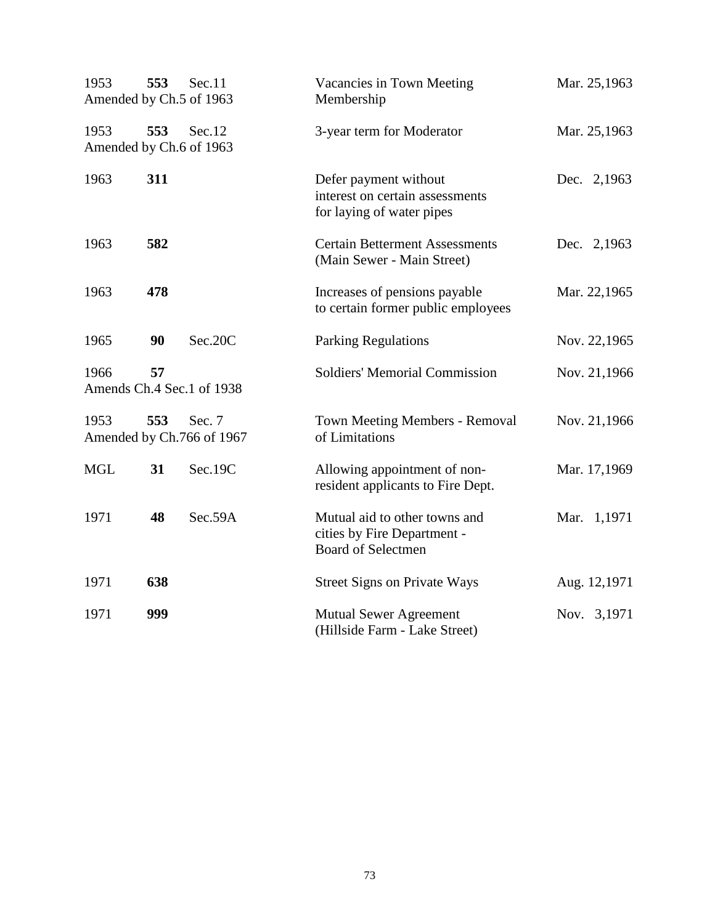| 1953<br>Amended by Ch.5 of 1963 | 553 | Sec.11                              | Vacancies in Town Meeting<br>Membership                                                   | Mar. 25,1963 |
|---------------------------------|-----|-------------------------------------|-------------------------------------------------------------------------------------------|--------------|
| 1953<br>Amended by Ch.6 of 1963 | 553 | Sec.12                              | 3-year term for Moderator                                                                 | Mar. 25,1963 |
| 1963                            | 311 |                                     | Defer payment without<br>interest on certain assessments<br>for laying of water pipes     | Dec. 2,1963  |
| 1963                            | 582 |                                     | <b>Certain Betterment Assessments</b><br>(Main Sewer - Main Street)                       | Dec. 2,1963  |
| 1963                            | 478 |                                     | Increases of pensions payable<br>to certain former public employees                       | Mar. 22,1965 |
| 1965                            | 90  | Sec.20C                             | <b>Parking Regulations</b>                                                                | Nov. 22,1965 |
| 1966                            | 57  | Amends Ch.4 Sec.1 of 1938           | <b>Soldiers' Memorial Commission</b>                                                      | Nov. 21,1966 |
| 1953                            | 553 | Sec. 7<br>Amended by Ch.766 of 1967 | <b>Town Meeting Members - Removal</b><br>of Limitations                                   | Nov. 21,1966 |
| <b>MGL</b>                      | 31  | Sec.19C                             | Allowing appointment of non-<br>resident applicants to Fire Dept.                         | Mar. 17,1969 |
| 1971                            | 48  | Sec.59A                             | Mutual aid to other towns and<br>cities by Fire Department -<br><b>Board of Selectmen</b> | Mar. 1,1971  |
| 1971                            | 638 |                                     | <b>Street Signs on Private Ways</b>                                                       | Aug. 12,1971 |
| 1971                            | 999 |                                     | <b>Mutual Sewer Agreement</b><br>(Hillside Farm - Lake Street)                            | Nov. 3,1971  |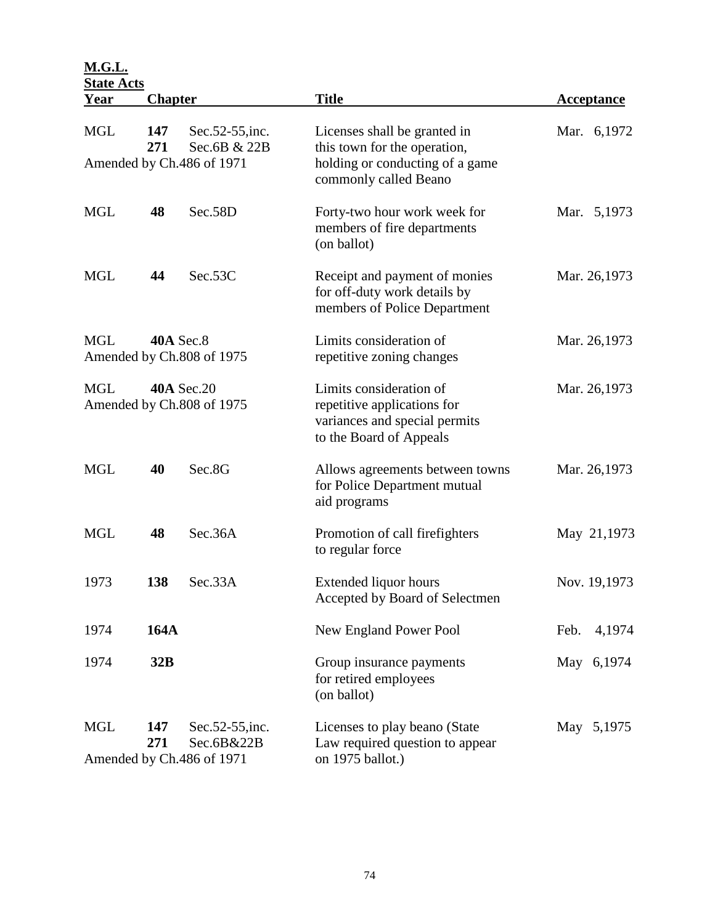**M.G.L.**

| <b>State Acts</b>                                            |                |                                                               |                                                                                                                    |                   |
|--------------------------------------------------------------|----------------|---------------------------------------------------------------|--------------------------------------------------------------------------------------------------------------------|-------------------|
| <u>Year</u>                                                  | <b>Chapter</b> |                                                               | <b>Title</b>                                                                                                       | <b>Acceptance</b> |
| <b>MGL</b>                                                   | 147<br>271     | Sec. 52 - 55, inc.<br>Sec.6B & 22B                            | Licenses shall be granted in<br>this town for the operation,                                                       | Mar. 6,1972       |
|                                                              |                | Amended by Ch.486 of 1971                                     | holding or conducting of a game<br>commonly called Beano                                                           |                   |
| <b>MGL</b>                                                   | 48             | Sec.58D                                                       | Forty-two hour work week for<br>members of fire departments<br>(on ballot)                                         | Mar. 5,1973       |
| <b>MGL</b>                                                   | 44             | Sec.53C                                                       | Receipt and payment of monies<br>for off-duty work details by<br>members of Police Department                      | Mar. 26,1973      |
| <b>MGL</b>                                                   |                | <b>40A Sec.8</b><br>Amended by Ch.808 of 1975                 | Limits consideration of<br>repetitive zoning changes                                                               | Mar. 26,1973      |
| <b>40A Sec.20</b><br><b>MGL</b><br>Amended by Ch.808 of 1975 |                |                                                               | Limits consideration of<br>repetitive applications for<br>variances and special permits<br>to the Board of Appeals | Mar. 26,1973      |
| <b>MGL</b>                                                   | 40             | Sec.8G                                                        | Allows agreements between towns<br>for Police Department mutual<br>aid programs                                    | Mar. 26,1973      |
| <b>MGL</b>                                                   | 48             | Sec.36A                                                       | Promotion of call firefighters<br>to regular force                                                                 | May 21,1973       |
| 1973                                                         | 138            | Sec.33A                                                       | Extended liquor hours<br>Accepted by Board of Selectmen                                                            | Nov. 19,1973      |
| 1974                                                         | <b>164A</b>    |                                                               | New England Power Pool                                                                                             | Feb.<br>4,1974    |
| 1974                                                         | 32B            |                                                               | Group insurance payments<br>for retired employees<br>(on ballot)                                                   | May 6,1974        |
| <b>MGL</b>                                                   | 147<br>271     | Sec. 52 - 55, inc.<br>Sec.6B&22B<br>Amended by Ch.486 of 1971 | Licenses to play beano (State<br>Law required question to appear<br>on 1975 ballot.)                               | May 5,1975        |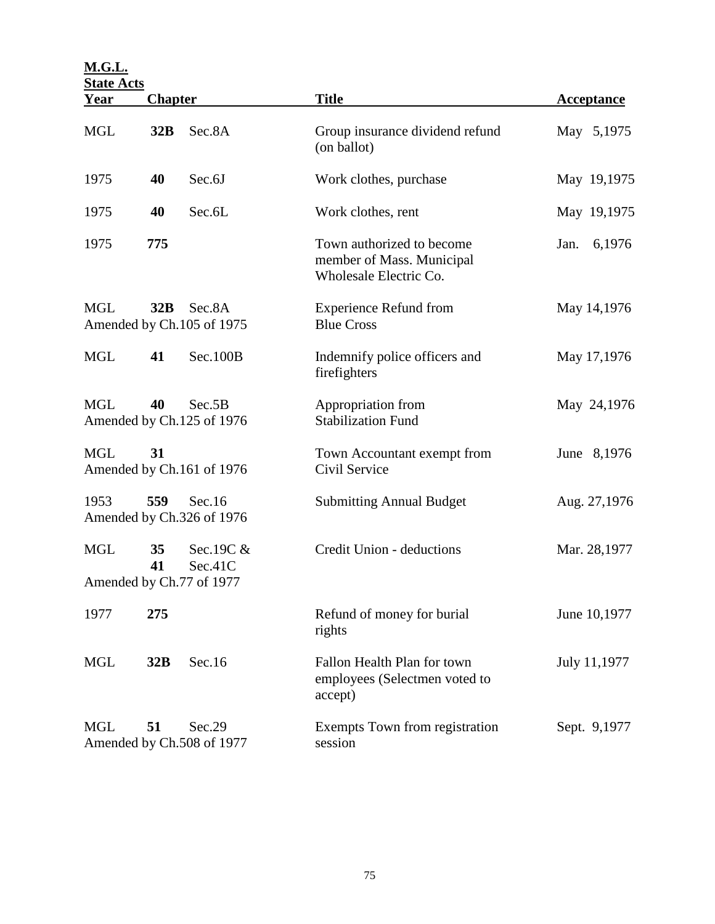| <b>M.G.L.</b>                                            |                |                                                  |                                                                                  |                   |
|----------------------------------------------------------|----------------|--------------------------------------------------|----------------------------------------------------------------------------------|-------------------|
| <b>State Acts</b><br>Year                                | <b>Chapter</b> |                                                  | <b>Title</b>                                                                     | <b>Acceptance</b> |
| <b>MGL</b>                                               | 32B            | Sec.8A                                           | Group insurance dividend refund<br>(on ballot)                                   | May 5,1975        |
| 1975                                                     | 40             | Sec.6J                                           | Work clothes, purchase                                                           | May 19,1975       |
| 1975                                                     | 40             | Sec.6L                                           | Work clothes, rent                                                               | May 19,1975       |
| 1975                                                     | 775            |                                                  | Town authorized to become<br>member of Mass. Municipal<br>Wholesale Electric Co. | 6,1976<br>Jan.    |
| <b>MGL</b><br>32B<br>Sec.8A<br>Amended by Ch.105 of 1975 |                |                                                  | <b>Experience Refund from</b><br><b>Blue Cross</b>                               | May 14,1976       |
| <b>MGL</b>                                               | 41             | Sec.100B                                         | Indemnify police officers and<br>firefighters                                    | May 17,1976       |
| <b>MGL</b>                                               | 40             | Sec.5B<br>Amended by Ch.125 of 1976              | Appropriation from<br><b>Stabilization Fund</b>                                  | May 24,1976       |
| <b>MGL</b><br>31<br>Amended by Ch.161 of 1976            |                |                                                  | Town Accountant exempt from<br>Civil Service                                     | June 8,1976       |
| 1953                                                     | 559            | Sec.16<br>Amended by Ch.326 of 1976              | <b>Submitting Annual Budget</b>                                                  | Aug. 27,1976      |
| <b>MGL</b>                                               | 35<br>41       | Sec.19C &<br>Sec.41C<br>Amended by Ch.77 of 1977 | Credit Union - deductions                                                        | Mar. 28,1977      |
| 1977                                                     | 275            |                                                  | Refund of money for burial<br>rights                                             | June 10,1977      |
| <b>MGL</b>                                               | 32B            | Sec.16                                           | Fallon Health Plan for town<br>employees (Selectmen voted to<br>accept)          | July 11,1977      |
| <b>MGL</b>                                               | 51             | Sec.29<br>Amended by Ch.508 of 1977              | Exempts Town from registration<br>session                                        | Sept. 9,1977      |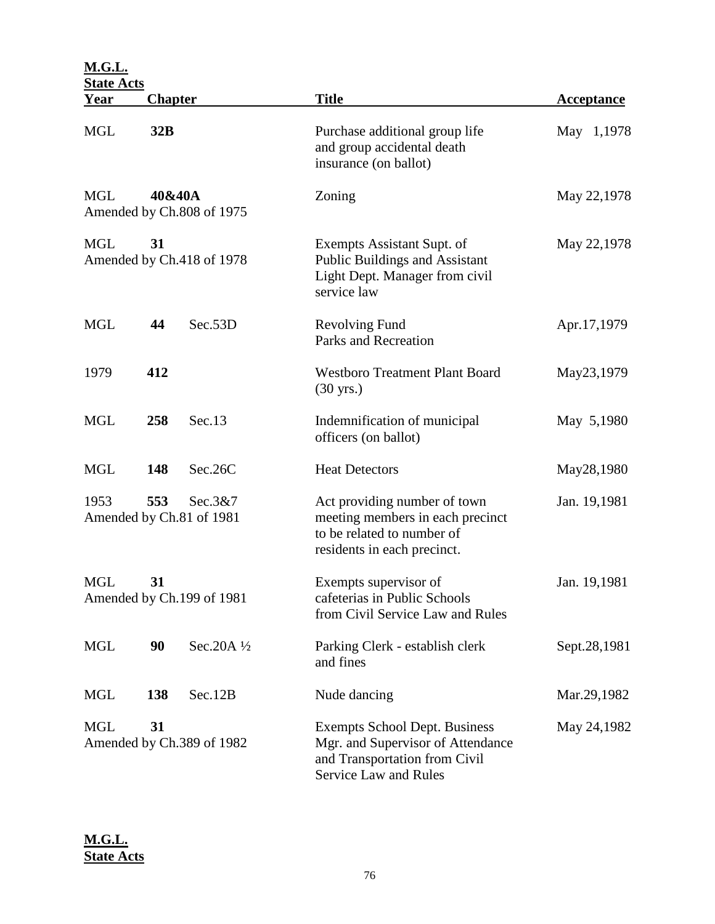| <b>M.G.L.</b>                                 | <b>State Acts</b> |                                     |                                                                                                                                     |              |  |  |
|-----------------------------------------------|-------------------|-------------------------------------|-------------------------------------------------------------------------------------------------------------------------------------|--------------|--|--|
| <u>Year</u>                                   | <b>Chapter</b>    |                                     | <b>Title</b>                                                                                                                        | Acceptance   |  |  |
| <b>MGL</b>                                    | 32B               |                                     | Purchase additional group life<br>and group accidental death<br>insurance (on ballot)                                               | May 1,1978   |  |  |
| <b>MGL</b>                                    | 40&40A            | Amended by Ch.808 of 1975           | Zoning                                                                                                                              | May 22,1978  |  |  |
| <b>MGL</b><br>31<br>Amended by Ch.418 of 1978 |                   |                                     | Exempts Assistant Supt. of<br>Public Buildings and Assistant<br>Light Dept. Manager from civil<br>service law                       | May 22,1978  |  |  |
| <b>MGL</b>                                    | 44                | Sec.53D                             | <b>Revolving Fund</b><br>Parks and Recreation                                                                                       | Apr.17,1979  |  |  |
| 1979                                          | 412               |                                     | <b>Westboro Treatment Plant Board</b><br>$(30 \text{ yrs.})$                                                                        | May23,1979   |  |  |
| <b>MGL</b>                                    | 258               | Sec.13                              | Indemnification of municipal<br>officers (on ballot)                                                                                | May 5,1980   |  |  |
| <b>MGL</b>                                    | 148               | Sec.26C                             | <b>Heat Detectors</b>                                                                                                               | May28,1980   |  |  |
| 1953                                          | 553               | Sec.3&7<br>Amended by Ch.81 of 1981 | Act providing number of town<br>meeting members in each precinct<br>to be related to number of<br>residents in each precinct.       | Jan. 19,1981 |  |  |
| <b>MGL</b><br>31<br>Amended by Ch.199 of 1981 |                   |                                     | Exempts supervisor of<br>cafeterias in Public Schools<br>from Civil Service Law and Rules                                           | Jan. 19,1981 |  |  |
| <b>MGL</b>                                    | 90                | Sec.20A $1/2$                       | Parking Clerk - establish clerk<br>and fines                                                                                        | Sept.28,1981 |  |  |
| <b>MGL</b>                                    | 138               | Sec.12B                             | Nude dancing                                                                                                                        | Mar.29,1982  |  |  |
| <b>MGL</b><br>31<br>Amended by Ch.389 of 1982 |                   |                                     | <b>Exempts School Dept. Business</b><br>Mgr. and Supervisor of Attendance<br>and Transportation from Civil<br>Service Law and Rules | May 24,1982  |  |  |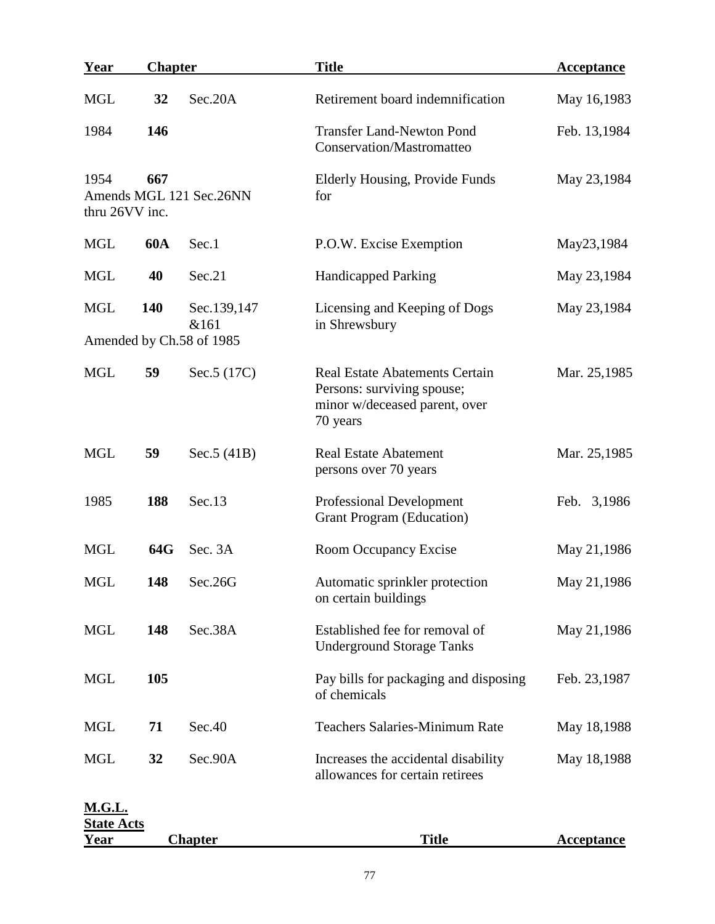| Year                               | <b>Chapter</b> |                          | <b>Title</b>                                                                                                     | Acceptance        |
|------------------------------------|----------------|--------------------------|------------------------------------------------------------------------------------------------------------------|-------------------|
| <b>MGL</b>                         | 32             | Sec.20A                  | Retirement board indemnification                                                                                 | May 16,1983       |
| 1984                               | 146            |                          | <b>Transfer Land-Newton Pond</b><br>Conservation/Mastromatteo                                                    | Feb. 13,1984      |
| 1954<br>thru 26VV inc.             | 667            | Amends MGL 121 Sec.26NN  | Elderly Housing, Provide Funds<br>for                                                                            | May 23,1984       |
| <b>MGL</b>                         | <b>60A</b>     | Sec.1                    | P.O.W. Excise Exemption                                                                                          | May23,1984        |
| <b>MGL</b>                         | 40             | Sec.21                   | <b>Handicapped Parking</b>                                                                                       | May 23,1984       |
| <b>MGL</b>                         | 140            | Sec.139,147<br>&161      | Licensing and Keeping of Dogs<br>in Shrewsbury                                                                   | May 23,1984       |
|                                    |                | Amended by Ch.58 of 1985 |                                                                                                                  |                   |
| <b>MGL</b>                         | 59             | Sec. 5 (17C)             | <b>Real Estate Abatements Certain</b><br>Persons: surviving spouse;<br>minor w/deceased parent, over<br>70 years | Mar. 25,1985      |
| <b>MGL</b>                         | 59             | Sec.5(41B)               | <b>Real Estate Abatement</b><br>persons over 70 years                                                            | Mar. 25,1985      |
| 1985                               | 188            | Sec.13                   | <b>Professional Development</b><br><b>Grant Program (Education)</b>                                              | Feb. 3,1986       |
| <b>MGL</b>                         | 64G            | Sec. 3A                  | Room Occupancy Excise                                                                                            | May 21,1986       |
| <b>MGL</b>                         | 148            | Sec.26G                  | Automatic sprinkler protection<br>on certain buildings                                                           | May 21,1986       |
| <b>MGL</b>                         | 148            | Sec.38A                  | Established fee for removal of<br><b>Underground Storage Tanks</b>                                               | May 21,1986       |
| <b>MGL</b>                         | 105            |                          | Pay bills for packaging and disposing<br>of chemicals                                                            | Feb. 23,1987      |
| <b>MGL</b>                         | 71             | Sec.40                   | <b>Teachers Salaries-Minimum Rate</b>                                                                            | May 18,1988       |
| <b>MGL</b>                         | 32             | Sec.90A                  | Increases the accidental disability<br>allowances for certain retirees                                           | May 18,1988       |
| <b>M.G.L.</b><br><u>State Acts</u> |                |                          |                                                                                                                  |                   |
| <u>Year</u>                        |                | <b>Chapter</b>           | <b>Title</b>                                                                                                     | <b>Acceptance</b> |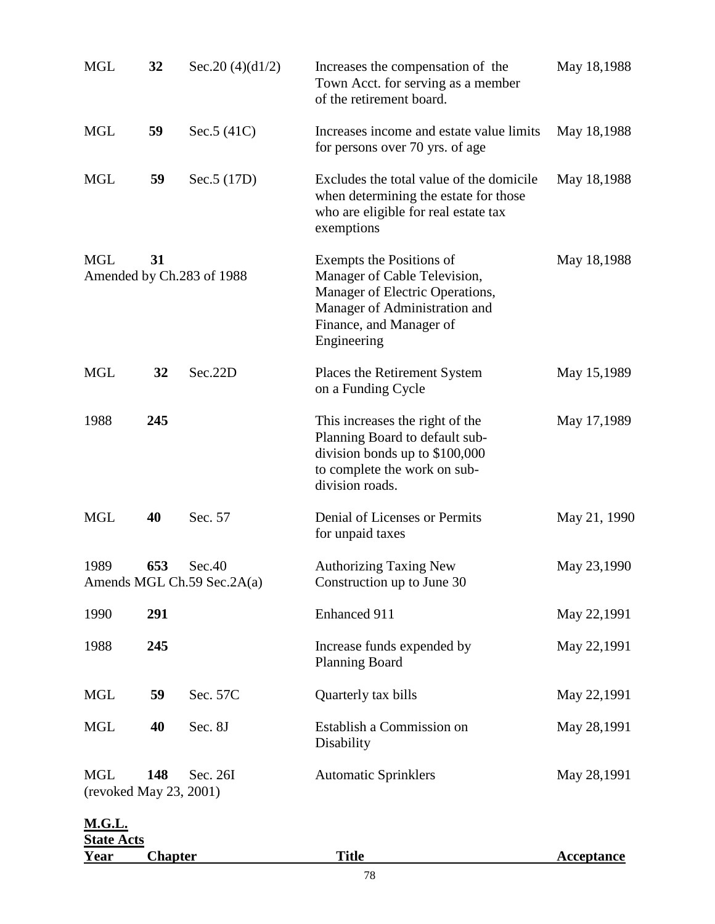| <u>Year</u>                          | <b>Chapter</b> |                                      | <b>Title</b>                                                                                                                                                           | <b>Acceptance</b> |
|--------------------------------------|----------------|--------------------------------------|------------------------------------------------------------------------------------------------------------------------------------------------------------------------|-------------------|
| <u>M.G.L.</u><br><b>State Acts</b>   |                |                                      |                                                                                                                                                                        |                   |
| <b>MGL</b><br>(revoked May 23, 2001) | 148            | Sec. 26I                             | <b>Automatic Sprinklers</b>                                                                                                                                            | May 28,1991       |
| <b>MGL</b>                           | 40             | Sec. 8J                              | Establish a Commission on<br>Disability                                                                                                                                | May 28,1991       |
| <b>MGL</b>                           | 59             | Sec. 57C                             | Quarterly tax bills                                                                                                                                                    | May 22,1991       |
| 1988                                 | 245            |                                      | Increase funds expended by<br><b>Planning Board</b>                                                                                                                    | May 22,1991       |
| 1990                                 | 291            |                                      | Enhanced 911                                                                                                                                                           | May 22,1991       |
| 1989                                 | 653            | Sec.40<br>Amends MGL Ch.59 Sec.2A(a) | <b>Authorizing Taxing New</b><br>Construction up to June 30                                                                                                            | May 23,1990       |
| <b>MGL</b>                           | 40             | Sec. 57                              | Denial of Licenses or Permits<br>for unpaid taxes                                                                                                                      | May 21, 1990      |
| 1988                                 | 245            |                                      | This increases the right of the<br>Planning Board to default sub-<br>division bonds up to \$100,000<br>to complete the work on sub-<br>division roads.                 | May 17,1989       |
| <b>MGL</b>                           | 32             | Sec.22D                              | Places the Retirement System<br>on a Funding Cycle                                                                                                                     | May 15,1989       |
| <b>MGL</b>                           | 31             | Amended by Ch.283 of 1988            | Exempts the Positions of<br>Manager of Cable Television,<br>Manager of Electric Operations,<br>Manager of Administration and<br>Finance, and Manager of<br>Engineering | May 18,1988       |
| <b>MGL</b>                           | 59             | Sec. 5 (17D)                         | Excludes the total value of the domicile<br>when determining the estate for those<br>who are eligible for real estate tax<br>exemptions                                | May 18,1988       |
| <b>MGL</b>                           | 59             | Sec. $5(41C)$                        | Increases income and estate value limits<br>for persons over 70 yrs. of age                                                                                            | May 18,1988       |
| <b>MGL</b>                           | 32             | Sec. 20 $(4)(d1/2)$                  | Increases the compensation of the<br>Town Acct. for serving as a member<br>of the retirement board.                                                                    | May 18,1988       |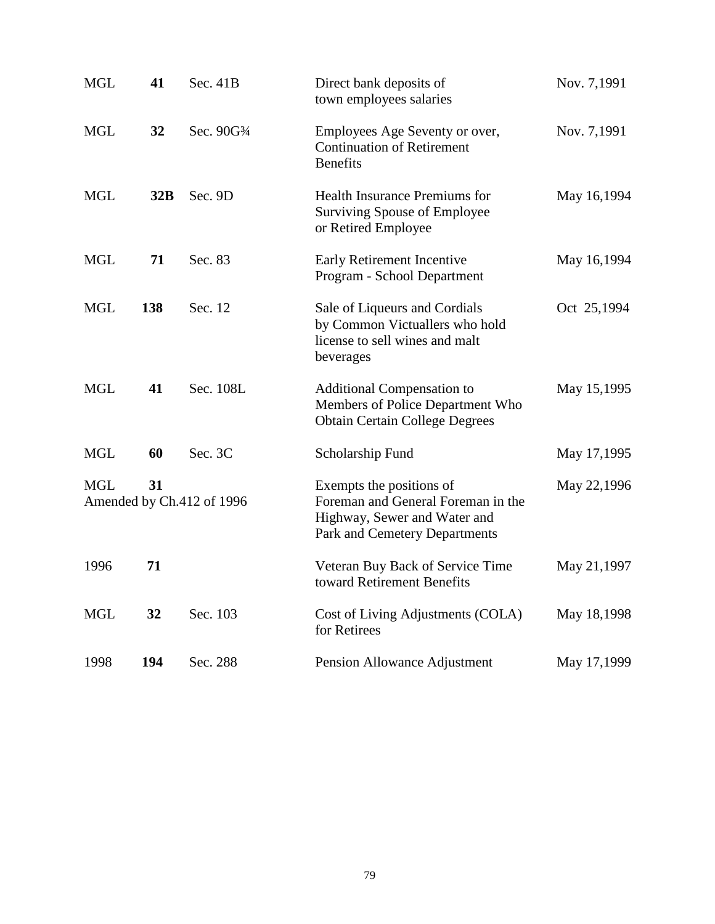| <b>MGL</b>                                    | 41  | Sec. 41B    | Direct bank deposits of<br>town employees salaries                                                                              | Nov. 7,1991 |
|-----------------------------------------------|-----|-------------|---------------------------------------------------------------------------------------------------------------------------------|-------------|
| <b>MGL</b>                                    | 32  | Sec. 90G3/4 | Employees Age Seventy or over,<br><b>Continuation of Retirement</b><br><b>Benefits</b>                                          | Nov. 7,1991 |
| <b>MGL</b>                                    | 32B | Sec. 9D     | Health Insurance Premiums for<br>Surviving Spouse of Employee<br>or Retired Employee                                            | May 16,1994 |
| <b>MGL</b>                                    | 71  | Sec. 83     | Early Retirement Incentive<br>Program - School Department                                                                       | May 16,1994 |
| <b>MGL</b>                                    | 138 | Sec. 12     | Sale of Liqueurs and Cordials<br>by Common Victuallers who hold<br>license to sell wines and malt<br>beverages                  | Oct 25,1994 |
| <b>MGL</b>                                    | 41  | Sec. 108L   | <b>Additional Compensation to</b><br>Members of Police Department Who<br><b>Obtain Certain College Degrees</b>                  | May 15,1995 |
| <b>MGL</b>                                    | 60  | Sec. 3C     | Scholarship Fund                                                                                                                | May 17,1995 |
| 31<br><b>MGL</b><br>Amended by Ch.412 of 1996 |     |             | Exempts the positions of<br>Foreman and General Foreman in the<br>Highway, Sewer and Water and<br>Park and Cemetery Departments | May 22,1996 |
| 1996                                          | 71  |             | Veteran Buy Back of Service Time<br>toward Retirement Benefits                                                                  | May 21,1997 |
| <b>MGL</b>                                    | 32  | Sec. 103    | Cost of Living Adjustments (COLA)<br>for Retirees                                                                               | May 18,1998 |
| 1998                                          | 194 | Sec. 288    | Pension Allowance Adjustment                                                                                                    | May 17,1999 |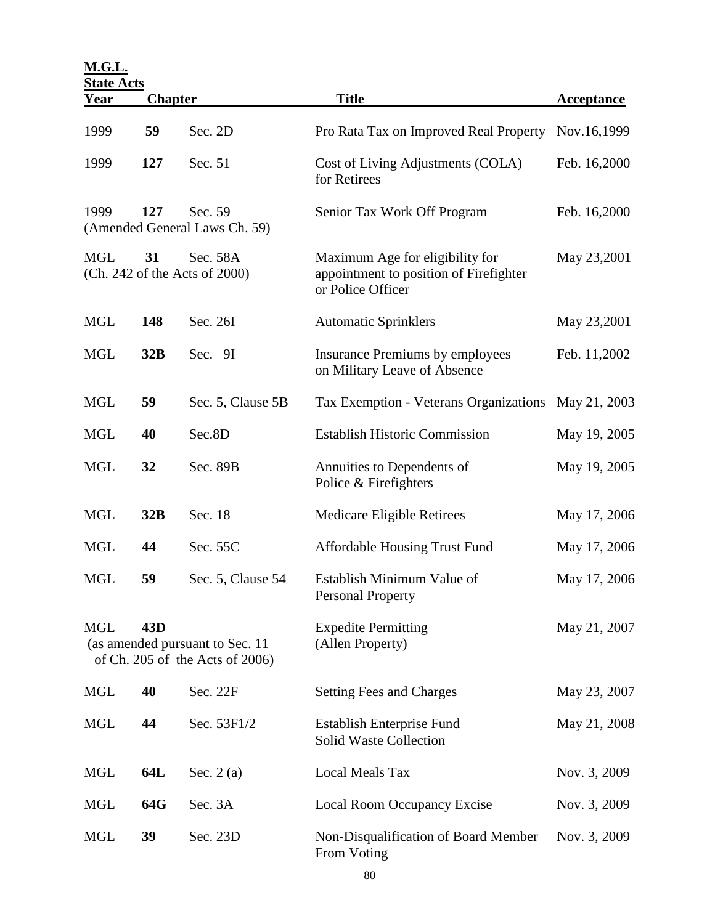**M.G.L.**

|                                                                                                     | <b>State Acts</b> |                                          |                                                                                                |                   |  |  |  |  |  |
|-----------------------------------------------------------------------------------------------------|-------------------|------------------------------------------|------------------------------------------------------------------------------------------------|-------------------|--|--|--|--|--|
| <u>Year</u>                                                                                         | <b>Chapter</b>    |                                          | <b>Title</b>                                                                                   | <b>Acceptance</b> |  |  |  |  |  |
| 1999                                                                                                | 59                | Sec. 2D                                  | Pro Rata Tax on Improved Real Property                                                         | Nov.16,1999       |  |  |  |  |  |
| 1999                                                                                                | 127               | Sec. 51                                  | Cost of Living Adjustments (COLA)<br>for Retirees                                              | Feb. 16,2000      |  |  |  |  |  |
| 1999                                                                                                | 127               | Sec. 59<br>(Amended General Laws Ch. 59) | Senior Tax Work Off Program                                                                    | Feb. 16,2000      |  |  |  |  |  |
| <b>MGL</b><br>31<br>Sec. 58A<br>(Ch. 242 of the Acts of 2000)                                       |                   |                                          | Maximum Age for eligibility for<br>appointment to position of Firefighter<br>or Police Officer | May 23,2001       |  |  |  |  |  |
| <b>MGL</b>                                                                                          | 148               | Sec. 26I                                 | <b>Automatic Sprinklers</b>                                                                    | May 23,2001       |  |  |  |  |  |
| <b>MGL</b>                                                                                          | 32B               | Sec. 9I                                  | Insurance Premiums by employees<br>on Military Leave of Absence                                | Feb. 11,2002      |  |  |  |  |  |
| <b>MGL</b>                                                                                          | 59                | Sec. 5, Clause 5B                        | Tax Exemption - Veterans Organizations May 21, 2003                                            |                   |  |  |  |  |  |
| <b>MGL</b>                                                                                          | 40                | Sec.8D                                   | <b>Establish Historic Commission</b>                                                           | May 19, 2005      |  |  |  |  |  |
| <b>MGL</b>                                                                                          | 32                | Sec. 89B                                 | Annuities to Dependents of<br>Police & Firefighters                                            | May 19, 2005      |  |  |  |  |  |
| <b>MGL</b>                                                                                          | 32B               | Sec. 18                                  | Medicare Eligible Retirees                                                                     | May 17, 2006      |  |  |  |  |  |
| <b>MGL</b>                                                                                          | 44                | Sec. 55C                                 | <b>Affordable Housing Trust Fund</b>                                                           | May 17, 2006      |  |  |  |  |  |
| <b>MGL</b>                                                                                          | 59                | Sec. 5, Clause 54                        | Establish Minimum Value of<br><b>Personal Property</b>                                         | May 17, 2006      |  |  |  |  |  |
| 43 <sub>D</sub><br><b>MGL</b><br>(as amended pursuant to Sec. 11<br>of Ch. 205 of the Acts of 2006) |                   |                                          | <b>Expedite Permitting</b><br>(Allen Property)                                                 | May 21, 2007      |  |  |  |  |  |
| <b>MGL</b>                                                                                          | 40                | Sec. 22F                                 | <b>Setting Fees and Charges</b>                                                                | May 23, 2007      |  |  |  |  |  |
| <b>MGL</b>                                                                                          | 44                | Sec. 53F1/2                              | <b>Establish Enterprise Fund</b><br><b>Solid Waste Collection</b>                              | May 21, 2008      |  |  |  |  |  |
| <b>MGL</b>                                                                                          | 64L               | Sec. $2(a)$                              | <b>Local Meals Tax</b>                                                                         | Nov. 3, 2009      |  |  |  |  |  |
| <b>MGL</b>                                                                                          | 64G               | Sec. 3A                                  | Local Room Occupancy Excise                                                                    | Nov. 3, 2009      |  |  |  |  |  |
| <b>MGL</b>                                                                                          | 39                | Sec. 23D                                 | Non-Disqualification of Board Member<br>From Voting                                            | Nov. 3, 2009      |  |  |  |  |  |